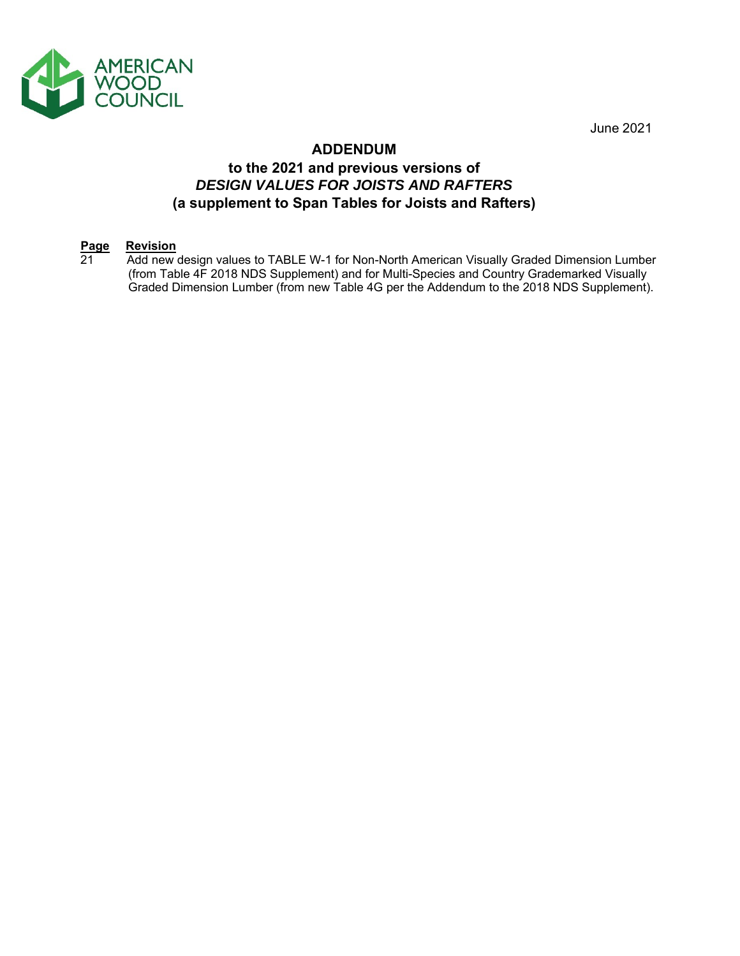

June 2021

## **ADDENDUM**

# **to the 2021 and previous versions of** *DESIGN VALUES FOR JOISTS AND RAFTERS* **(a supplement to Span Tables for Joists and Rafters)**

# **Page Revision**<br>21 **Add new**

Add new design values to TABLE W-1 for Non-North American Visually Graded Dimension Lumber (from Table 4F 2018 NDS Supplement) and for Multi-Species and Country Grademarked Visually Graded Dimension Lumber (from new Table 4G per the Addendum to the 2018 NDS Supplement).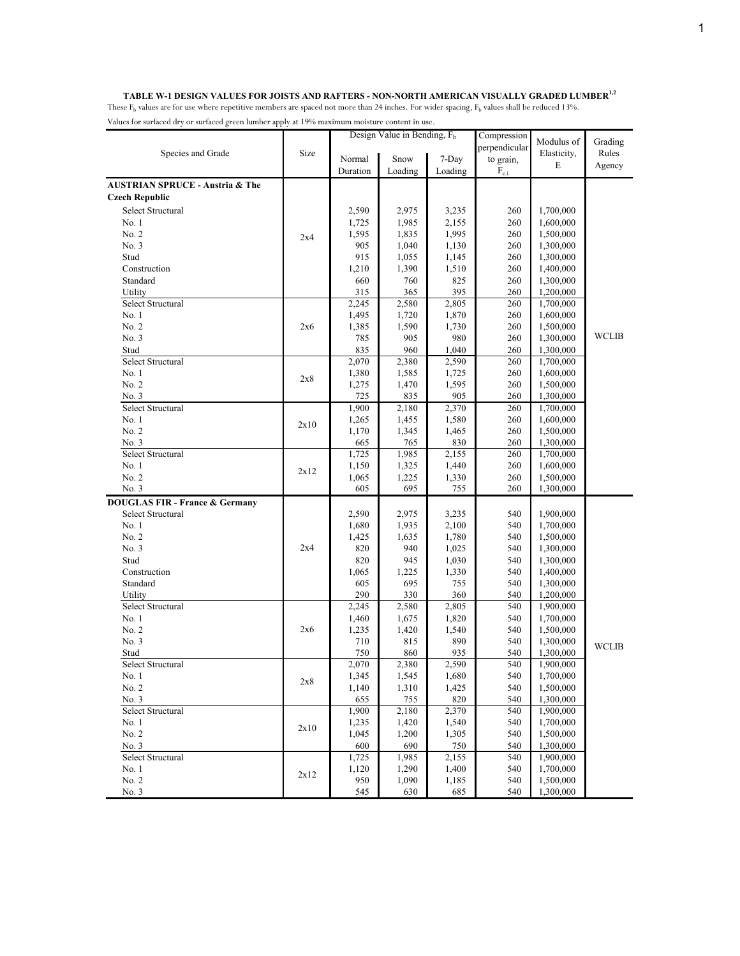|                                            |      |          | Design Value in Bending, F <sub>b</sub> |         | Compression      |             |              |
|--------------------------------------------|------|----------|-----------------------------------------|---------|------------------|-------------|--------------|
|                                            |      |          |                                         |         | perpendicular    | Modulus of  | Grading      |
| Species and Grade                          | Size | Normal   | Snow                                    | 7-Day   | to grain,        | Elasticity, | Rules        |
|                                            |      | Duration | Loading                                 | Loading | $\rm F_{c\perp}$ | E           | Agency       |
| <b>AUSTRIAN SPRUCE - Austria &amp; The</b> |      |          |                                         |         |                  |             |              |
| <b>Czech Republic</b>                      |      |          |                                         |         |                  |             |              |
| Select Structural                          |      | 2,590    | 2,975                                   | 3,235   | 260              | 1,700,000   |              |
| No.1                                       |      | 1,725    | 1,985                                   | 2,155   | 260              | 1,600,000   |              |
| No. 2                                      |      | 1,595    | 1,835                                   | 1,995   | 260              | 1,500,000   |              |
| No. 3                                      | 2x4  | 905      | 1,040                                   | 1,130   | 260              | 1,300,000   |              |
| Stud                                       |      | 915      | 1,055                                   | 1,145   | 260              | 1,300,000   |              |
| Construction                               |      | 1,210    | 1,390                                   | 1,510   | 260              | 1,400,000   |              |
| Standard                                   |      | 660      | 760                                     | 825     | 260              | 1,300,000   |              |
| Utility                                    |      | 315      | 365                                     | 395     | 260              | 1,200,000   |              |
| Select Structural                          |      | 2,245    | 2,580                                   | 2,805   | 260              | 1,700,000   |              |
| No. 1                                      |      | 1,495    | 1,720                                   | 1,870   | 260              | 1,600,000   |              |
| No. 2                                      | 2x6  | 1,385    | 1,590                                   | 1,730   | 260              | 1,500,000   |              |
| No. 3                                      |      | 785      | 905                                     | 980     | 260              | 1,300,000   | <b>WCLIB</b> |
| Stud                                       |      | 835      | 960                                     | 1,040   | 260              | 1,300,000   |              |
| Select Structural                          |      | 2,070    | 2,380                                   | 2,590   | 260              | 1,700,000   |              |
| No. 1                                      |      | 1,380    | 1,585                                   | 1,725   | 260              | 1,600,000   |              |
| No. 2                                      | 2x8  | 1,275    | 1,470                                   | 1,595   | 260              | 1,500,000   |              |
| No. 3                                      |      | 725      | 835                                     | 905     | 260              | 1,300,000   |              |
| Select Structural                          |      | 1,900    | 2,180                                   | 2,370   | 260              | 1,700,000   |              |
| No. 1                                      |      | 1,265    | 1,455                                   | 1,580   | 260              | 1,600,000   |              |
| No. 2                                      | 2x10 | 1,170    | 1,345                                   | 1,465   | 260              | 1,500,000   |              |
| No. 3                                      |      | 665      | 765                                     | 830     | 260              | 1,300,000   |              |
| Select Structural                          |      | 1,725    | 1,985                                   | 2,155   | 260              | 1,700,000   |              |
| No. 1                                      |      | 1,150    | 1,325                                   | 1,440   | 260              | 1,600,000   |              |
| No. 2                                      | 2x12 | 1,065    | 1,225                                   | 1,330   | 260              | 1,500,000   |              |
| No. 3                                      |      | 605      | 695                                     | 755     | 260              | 1,300,000   |              |
| <b>DOUGLAS FIR - France &amp; Germany</b>  |      |          |                                         |         |                  |             |              |
| Select Structural                          |      | 2,590    | 2,975                                   | 3,235   | 540              | 1,900,000   |              |
| No.1                                       |      | 1,680    | 1,935                                   | 2,100   | 540              | 1,700,000   |              |
| No. 2                                      |      | 1,425    | 1,635                                   | 1,780   | 540              | 1,500,000   |              |
| No. 3                                      | 2x4  | 820      | 940                                     | 1,025   | 540              | 1,300,000   |              |
| Stud                                       |      | 820      | 945                                     | 1,030   | 540              | 1,300,000   |              |
| Construction                               |      | 1,065    | 1,225                                   | 1,330   | 540              | 1,400,000   |              |
| Standard                                   |      | 605      | 695                                     | 755     | 540              | 1,300,000   |              |
| Utility                                    |      | 290      | 330                                     | 360     | 540              | 1,200,000   |              |
| Select Structural                          |      | 2,245    | 2,580                                   | 2,805   | 540              | 1,900,000   |              |
| No. 1                                      |      | 1,460    | 1,675                                   | 1,820   | 540              | 1,700,000   |              |
| No. 2                                      | 2x6  | 1,235    | 1,420                                   | 1,540   | 540              | 1,500,000   |              |
| No. 3                                      |      | 710      | 815                                     | 890     | 540              | 1,300,000   | <b>WCLIB</b> |
| Stud                                       |      | 750      | 860                                     | 935     | 540              | 1,300,000   |              |
| Select Structural                          |      | 2,070    | 2,380                                   | 2,590   | 540              | 1,900,000   |              |
| No. 1                                      | 2x8  | 1,345    | 1,545                                   | 1,680   | 540              | 1,700,000   |              |
| No. 2                                      |      | 1,140    | 1,310                                   | 1,425   | 540              | 1,500,000   |              |
| No. 3                                      |      | 655      | 755                                     | 820     | 540              | 1,300,000   |              |
| Select Structural                          |      | 1,900    | 2,180                                   | 2,370   | 540              | 1,900,000   |              |
| No. 1                                      | 2x10 | 1,235    | 1,420                                   | 1,540   | 540              | 1,700,000   |              |
| No. 2                                      |      | 1,045    | 1,200                                   | 1,305   | 540              | 1,500,000   |              |
| No. 3                                      |      | 600      | 690                                     | 750     | 540              | 1,300,000   |              |
| Select Structural                          |      | 1,725    | 1,985                                   | 2,155   | 540              | 1,900,000   |              |
| No.1                                       | 2x12 | 1,120    | 1,290                                   | 1,400   | 540              | 1,700,000   |              |
| No. 2                                      |      | 950      | 1,090                                   | 1,185   | 540              | 1,500,000   |              |
| No. 3                                      |      | 545      | 630                                     | 685     | 540              | 1,300,000   |              |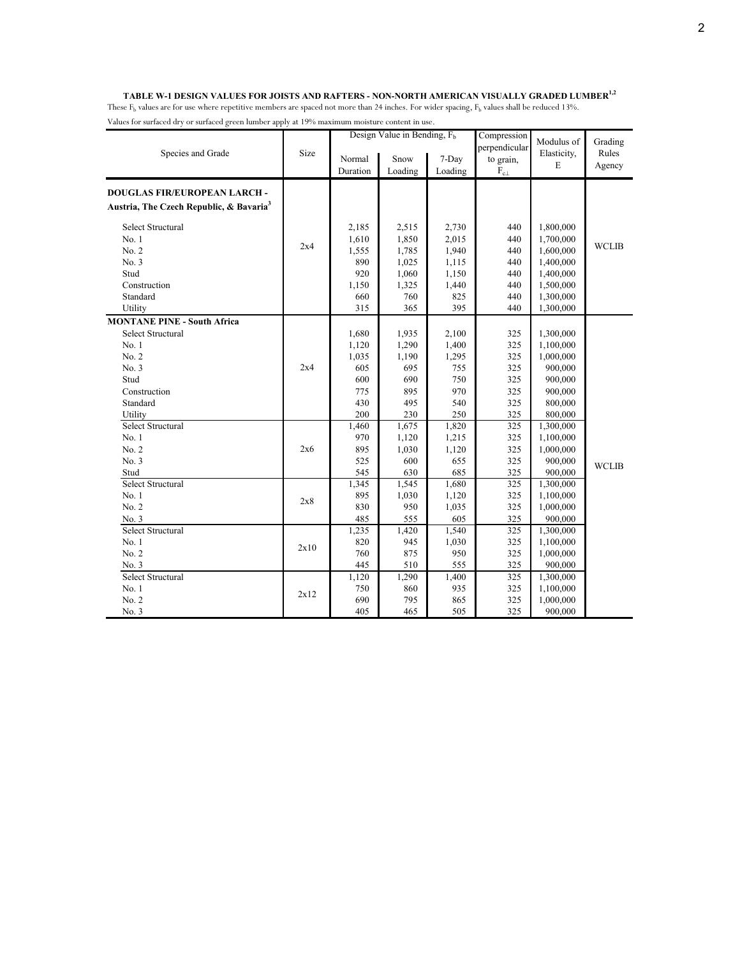### TABLE W-1 DESIGN VALUES FOR JOISTS AND RAFTERS - NON-NORTH AMERICAN VISUALLY GRADED LUMBER<sup>1,2</sup>

|                                                     |      |          | Design Value in Bending, $F_b$ |         | Compression   | Modulus of  | Grading      |
|-----------------------------------------------------|------|----------|--------------------------------|---------|---------------|-------------|--------------|
| Species and Grade                                   | Size |          |                                |         | perpendicular | Elasticity, | Rules        |
|                                                     |      | Normal   | Snow                           | 7-Day   | to grain,     | $\mathbf E$ | Agency       |
|                                                     |      | Duration | Loading                        | Loading | $F_{c\perp}$  |             |              |
| <b>DOUGLAS FIR/EUROPEAN LARCH-</b>                  |      |          |                                |         |               |             |              |
|                                                     |      |          |                                |         |               |             |              |
| Austria, The Czech Republic, & Bavaria <sup>3</sup> |      |          |                                |         |               |             |              |
| Select Structural                                   |      | 2,185    | 2,515                          | 2,730   | 440           | 1,800,000   |              |
| No. 1                                               |      | 1,610    | 1,850                          | 2,015   | 440           | 1,700,000   |              |
| No. 2                                               | 2x4  | 1,555    | 1,785                          | 1,940   | 440           | 1,600,000   | <b>WCLIB</b> |
| No. 3                                               |      | 890      | 1,025                          | 1,115   | 440           | 1,400,000   |              |
| Stud                                                |      | 920      | 1,060                          | 1,150   | 440           | 1,400,000   |              |
| Construction                                        |      | 1,150    | 1,325                          | 1,440   | 440           | 1,500,000   |              |
| Standard                                            |      | 660      | 760                            | 825     | 440           | 1,300,000   |              |
| Utility                                             |      | 315      | 365                            | 395     | 440           | 1,300,000   |              |
| <b>MONTANE PINE - South Africa</b>                  |      |          |                                |         |               |             |              |
| Select Structural                                   |      | 1,680    | 1,935                          | 2,100   | 325           | 1,300,000   |              |
| No. 1                                               |      | 1,120    | 1,290                          | 1,400   | 325           | 1,100,000   |              |
| No. 2                                               |      | 1,035    | 1,190                          | 1,295   | 325           | 1,000,000   |              |
| No.3                                                | 2x4  | 605      | 695                            | 755     | 325           | 900,000     |              |
| Stud                                                |      | 600      | 690                            | 750     | 325           | 900,000     |              |
| Construction                                        |      | 775      | 895                            | 970     | 325           | 900,000     |              |
| Standard                                            |      | 430      | 495                            | 540     | 325           | 800,000     |              |
| Utility                                             |      | 200      | 230                            | 250     | 325           | 800,000     |              |
| Select Structural                                   |      | 1,460    | 1,675                          | 1,820   | 325           | 1,300,000   |              |
| No. 1                                               |      | 970      | 1,120                          | 1,215   | 325           | 1,100,000   |              |
| No. 2                                               | 2x6  | 895      | 1,030                          | 1,120   | 325           | 1,000,000   |              |
| No.3                                                |      | 525      | 600                            | 655     | 325           | 900,000     |              |
| Stud                                                |      | 545      | 630                            | 685     | 325           | 900,000     | <b>WCLIB</b> |
| Select Structural                                   |      | 1,345    | 1,545                          | 1,680   | 325           | 1,300,000   |              |
| No.1                                                |      | 895      | 1,030                          | 1,120   | 325           | 1,100,000   |              |
| No. 2                                               | 2x8  | 830      | 950                            | 1,035   | 325           | 1,000,000   |              |
| No. 3                                               |      | 485      | 555                            | 605     | 325           | 900,000     |              |
| Select Structural                                   |      | 1,235    | 1,420                          | 1,540   | 325           | 1,300,000   |              |
| No. 1                                               |      | 820      | 945                            | 1,030   | 325           | 1,100,000   |              |
| No. 2                                               | 2x10 | 760      | 875                            | 950     | 325           | 1,000,000   |              |
| No. 3                                               |      | 445      | 510                            | 555     | 325           | 900,000     |              |
| Select Structural                                   |      | 1,120    | 1,290                          | 1,400   | 325           | 1,300,000   |              |
| No. 1                                               |      | 750      | 860                            | 935     | 325           | 1,100,000   |              |
| No. 2                                               | 2x12 | 690      | 795                            | 865     | 325           | 1,000,000   |              |
| No. 3                                               |      | 405      | 465                            | 505     | 325           | 900,000     |              |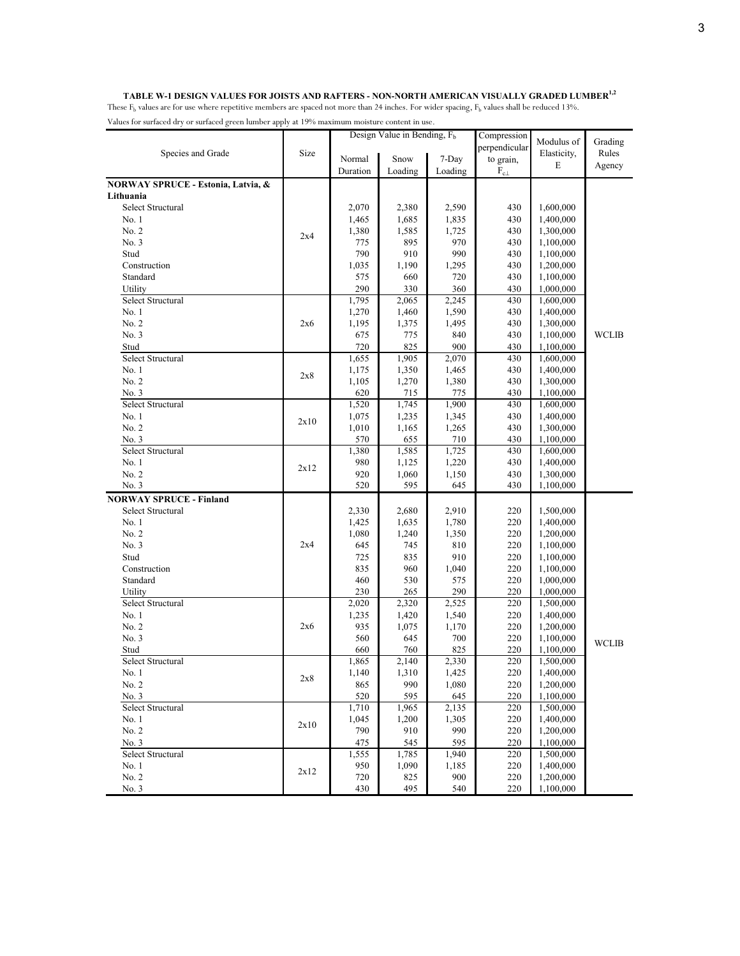#### **TABLE W-1 DESIGN VALUES FOR JOISTS AND RAFTERS - NON-NORTH AMERICAN VISUALLY GRADED LUMBER1,2**

|                                    |      |          | Design Value in Bending, F <sub>b</sub> |         | Compression      |             |              |
|------------------------------------|------|----------|-----------------------------------------|---------|------------------|-------------|--------------|
|                                    |      |          |                                         |         | perpendicular    | Modulus of  | Grading      |
| Species and Grade                  | Size | Normal   | Snow                                    | 7-Day   | to grain,        | Elasticity, | Rules        |
|                                    |      | Duration | Loading                                 | Loading | $\rm F_{c\perp}$ | E           | Agency       |
| NORWAY SPRUCE - Estonia, Latvia, & |      |          |                                         |         |                  |             |              |
| Lithuania                          |      |          |                                         |         |                  |             |              |
| Select Structural                  |      | 2,070    | 2,380                                   | 2,590   | 430              | 1,600,000   |              |
| No. 1                              |      | 1,465    | 1,685                                   | 1,835   | 430              | 1,400,000   |              |
| No. 2                              |      | 1,380    | 1,585                                   | 1,725   | 430              | 1,300,000   |              |
| No. 3                              | 2x4  | 775      | 895                                     | 970     | 430              | 1,100,000   |              |
| Stud                               |      | 790      | 910                                     | 990     | 430              | 1,100,000   |              |
| Construction                       |      | 1,035    | 1,190                                   | 1,295   | 430              | 1,200,000   |              |
| Standard                           |      | 575      | 660                                     | 720     | 430              | 1,100,000   |              |
| Utility                            |      | 290      | 330                                     | 360     | 430              | 1,000,000   |              |
| Select Structural                  |      | 1,795    | 2,065                                   | 2,245   | 430              | 1,600,000   |              |
| No. 1                              |      | 1,270    | 1,460                                   | 1,590   | 430              | 1,400,000   |              |
| No. 2                              | 2x6  | 1,195    | 1,375                                   | 1,495   | 430              | 1,300,000   |              |
| No. 3                              |      | 675      | 775                                     | 840     | 430              | 1,100,000   | <b>WCLIB</b> |
| Stud                               |      | 720      | 825                                     | 900     | 430              | 1,100,000   |              |
| Select Structural                  |      | 1,655    | 1,905                                   | 2,070   | 430              | 1,600,000   |              |
| No. 1                              |      | 1,175    | 1,350                                   | 1,465   | 430              | 1,400,000   |              |
| No. 2                              | 2x8  | 1,105    | 1,270                                   | 1,380   | 430              | 1,300,000   |              |
| No. 3                              |      | 620      | 715                                     | 775     | 430              | 1,100,000   |              |
| Select Structural                  |      | 1,520    | 1,745                                   | 1,900   | 430              | 1,600,000   |              |
| No. 1                              |      | 1,075    | 1,235                                   | 1,345   | 430              | 1,400,000   |              |
| No. 2                              | 2x10 | 1,010    | 1,165                                   | 1,265   | 430              | 1,300,000   |              |
| No. 3                              |      | 570      | 655                                     | 710     | 430              | 1,100,000   |              |
| Select Structural                  |      | 1,380    | 1,585                                   | 1,725   | 430              | 1,600,000   |              |
| No. 1                              |      | 980      | 1,125                                   | 1,220   | 430              | 1,400,000   |              |
| No. 2                              | 2x12 | 920      | 1,060                                   | 1,150   | 430              | 1,300,000   |              |
| No. 3                              |      | 520      | 595                                     | 645     | 430              | 1,100,000   |              |
| <b>NORWAY SPRUCE - Finland</b>     |      |          |                                         |         |                  |             |              |
| Select Structural                  |      | 2,330    | 2,680                                   | 2,910   | 220              | 1,500,000   |              |
| No. 1                              |      | 1,425    | 1,635                                   | 1,780   | 220              | 1,400,000   |              |
| No. 2                              |      | 1,080    | 1,240                                   | 1,350   | 220              | 1,200,000   |              |
| No. 3                              | 2x4  | 645      | 745                                     | 810     | 220              | 1,100,000   |              |
| Stud                               |      | 725      | 835                                     | 910     | 220              | 1,100,000   |              |
| Construction                       |      | 835      | 960                                     | 1,040   | 220              | 1,100,000   |              |
| Standard                           |      | 460      | 530                                     | 575     | 220              | 1,000,000   |              |
| Utility                            |      | 230      | 265                                     | 290     | 220              | 1,000,000   |              |
| Select Structural                  |      | 2,020    | 2,320                                   | 2,525   | 220              | 1,500,000   |              |
| No. 1                              |      | 1,235    | 1,420                                   | 1,540   | 220              | 1,400,000   |              |
| No. 2                              | 2x6  | 935      | 1,075                                   | 1,170   | 220              | 1,200,000   |              |
| No. 3                              |      | 560      | 645                                     | 700     | 220              | 1,100,000   | WCLIB        |
| Stud                               |      | 660      | 760                                     | 825     | 220              | 1,100,000   |              |
| Select Structural                  |      | 1,865    | 2,140                                   | 2,330   | 220              | 1,500,000   |              |
| No. 1                              | 2x8  | 1,140    | 1,310                                   | 1,425   | 220              | 1,400,000   |              |
| No. 2                              |      | 865      | 990                                     | 1,080   | 220              | 1,200,000   |              |
| No. 3                              |      | 520      | 595                                     | 645     | 220              | 1,100,000   |              |
| Select Structural                  |      | 1,710    | 1,965                                   | 2,135   | 220              | 1,500,000   |              |
| No. 1                              | 2x10 | 1,045    | 1,200                                   | 1,305   | 220              | 1,400,000   |              |
| No. 2                              |      | 790      | 910                                     | 990     | 220              | 1,200,000   |              |
| No. 3                              |      | 475      | 545                                     | 595     | 220              | 1,100,000   |              |
| Select Structural                  |      | 1,555    | 1,785                                   | 1,940   | 220              | 1,500,000   |              |
| No. 1                              | 2x12 | 950      | 1,090                                   | 1,185   | 220              | 1,400,000   |              |
| No. 2                              |      | 720      | 825                                     | 900     | 220              | 1,200,000   |              |
| No. 3                              |      | 430      | 495                                     | 540     | 220              | 1,100,000   |              |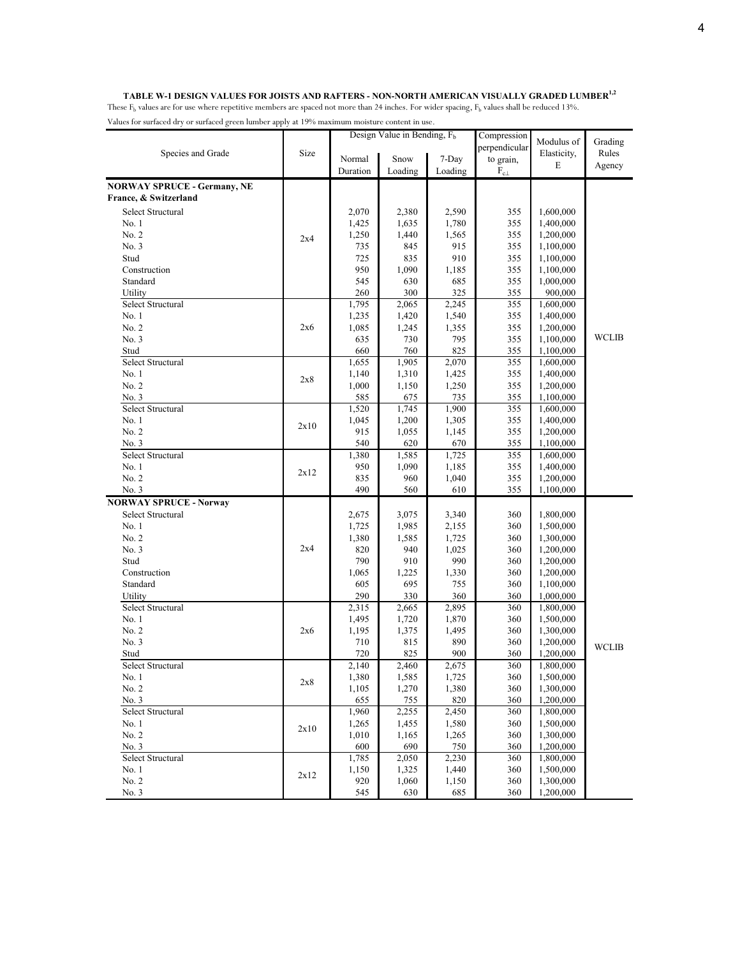#### **TABLE W-1 DESIGN VALUES FOR JOISTS AND RAFTERS - NON-NORTH AMERICAN VISUALLY GRADED LUMBER1,2**

|                                    |      |          | Design Value in Bending, $Fb$ |         | Compression      |             |              |
|------------------------------------|------|----------|-------------------------------|---------|------------------|-------------|--------------|
|                                    |      |          |                               |         | perpendicular    | Modulus of  | Grading      |
| Species and Grade                  | Size | Normal   | Snow                          | 7-Day   | to grain,        | Elasticity, | Rules        |
|                                    |      | Duration | Loading                       | Loading | $\rm F_{c\perp}$ | E           | Agency       |
|                                    |      |          |                               |         |                  |             |              |
| <b>NORWAY SPRUCE - Germany, NE</b> |      |          |                               |         |                  |             |              |
| France, & Switzerland              |      |          |                               |         |                  |             |              |
| Select Structural                  |      | 2,070    | 2,380                         | 2,590   | 355              | 1,600,000   |              |
| No. 1                              |      | 1,425    | 1,635                         | 1,780   | 355              | 1,400,000   |              |
| No. 2                              | 2x4  | 1,250    | 1,440                         | 1,565   | 355              | 1,200,000   |              |
| No. 3                              |      | 735      | 845                           | 915     | 355              | 1,100,000   |              |
| Stud                               |      | 725      | 835                           | 910     | 355              | 1,100,000   |              |
| Construction                       |      | 950      | 1,090                         | 1,185   | 355              | 1,100,000   |              |
| Standard                           |      | 545      | 630                           | 685     | 355              | 1,000,000   |              |
| Utility                            |      | 260      | 300                           | 325     | 355              | 900,000     |              |
| Select Structural                  |      | 1,795    | 2,065                         | 2,245   | 355              | 1,600,000   |              |
| No. 1                              |      | 1,235    | 1,420                         | 1,540   | 355              | 1,400,000   |              |
| No. 2                              | 2x6  | 1,085    | 1,245                         | 1,355   | 355              | 1,200,000   |              |
| No. 3                              |      | 635      | 730                           | 795     | 355              | 1,100,000   | <b>WCLIB</b> |
| Stud                               |      | 660      | 760                           | 825     | 355              | 1,100,000   |              |
| Select Structural                  |      | 1,655    | 1,905                         | 2,070   | 355              | 1,600,000   |              |
| No. 1                              |      | 1,140    | 1,310                         | 1,425   | 355              | 1,400,000   |              |
| No. 2                              | 2x8  | 1,000    | 1,150                         | 1,250   | 355              | 1,200,000   |              |
| No. 3                              |      | 585      | 675                           | 735     | 355              | 1,100,000   |              |
| Select Structural                  |      | 1,520    | 1,745                         | 1,900   | 355              | 1,600,000   |              |
| No. 1                              |      | 1,045    | 1,200                         | 1,305   | 355              | 1,400,000   |              |
| No. 2                              | 2x10 | 915      | 1,055                         | 1,145   | 355              | 1,200,000   |              |
| No. 3                              |      | 540      | 620                           | 670     | 355              | 1,100,000   |              |
| Select Structural                  |      | 1,380    | 1,585                         | 1,725   | 355              | 1,600,000   |              |
| No. 1                              |      | 950      | 1,090                         | 1,185   | 355              | 1,400,000   |              |
| No. 2                              | 2x12 | 835      | 960                           | 1,040   | 355              | 1,200,000   |              |
| No. 3                              |      | 490      | 560                           | 610     | 355              | 1,100,000   |              |
|                                    |      |          |                               |         |                  |             |              |
| <b>NORWAY SPRUCE - Norway</b>      |      |          |                               |         |                  |             |              |
| Select Structural                  |      | 2,675    | 3,075                         | 3,340   | 360              | 1,800,000   |              |
| No. 1                              |      | 1,725    | 1,985                         | 2,155   | 360              | 1,500,000   |              |
| No. 2                              |      | 1,380    | 1,585                         | 1,725   | 360              | 1,300,000   |              |
| No. 3                              | 2x4  | 820      | 940                           | 1,025   | 360              | 1,200,000   |              |
| Stud                               |      | 790      | 910                           | 990     | 360              | 1,200,000   |              |
| Construction                       |      | 1,065    | 1,225                         | 1,330   | 360              | 1,200,000   |              |
| Standard                           |      | 605      | 695                           | 755     | 360              | 1,100,000   |              |
| Utility                            |      | 290      | 330                           | 360     | 360              | 1,000,000   |              |
| Select Structural                  |      | 2,315    | 2,665                         | 2,895   | 360              | 1,800,000   |              |
| No. 1                              |      | 1,495    | 1,720                         | 1,870   | 360              | 1,500,000   |              |
| No. 2                              | 2x6  | 1,195    | 1,375                         | 1,495   | 360              | 1,300,000   |              |
| No. 3                              |      | 710      | 815                           | 890     | 360              | 1,200,000   | <b>WCLIB</b> |
| Stud                               |      | 720      | 825                           | 900     | 360              | 1,200,000   |              |
| Select Structural                  |      | 2,140    | 2,460                         | 2,675   | 360              | 1,800,000   |              |
| No. 1                              | 2x8  | 1,380    | 1,585                         | 1,725   | 360              | 1,500,000   |              |
| No. 2                              |      | 1,105    | 1,270                         | 1,380   | 360              | 1,300,000   |              |
| No. 3                              |      | 655      | 755                           | 820     | 360              | 1,200,000   |              |
| Select Structural                  |      | 1,960    | 2,255                         | 2,450   | 360              | 1,800,000   |              |
| No. 1                              | 2x10 | 1,265    | 1,455                         | 1,580   | 360              | 1,500,000   |              |
| No. 2                              |      | 1,010    | 1,165                         | 1,265   | 360              | 1,300,000   |              |
| No. 3                              |      | 600      | 690                           | 750     | 360              | 1,200,000   |              |
| Select Structural                  |      | 1,785    | 2,050                         | 2,230   | 360              | 1,800,000   |              |
| No. 1                              |      | 1,150    | 1,325                         | 1,440   | 360              | 1,500,000   |              |
| No. 2                              | 2x12 | 920      | 1,060                         | 1,150   | 360              | 1,300,000   |              |
| No. 3                              |      | 545      | 630                           | 685     | 360              | 1,200,000   |              |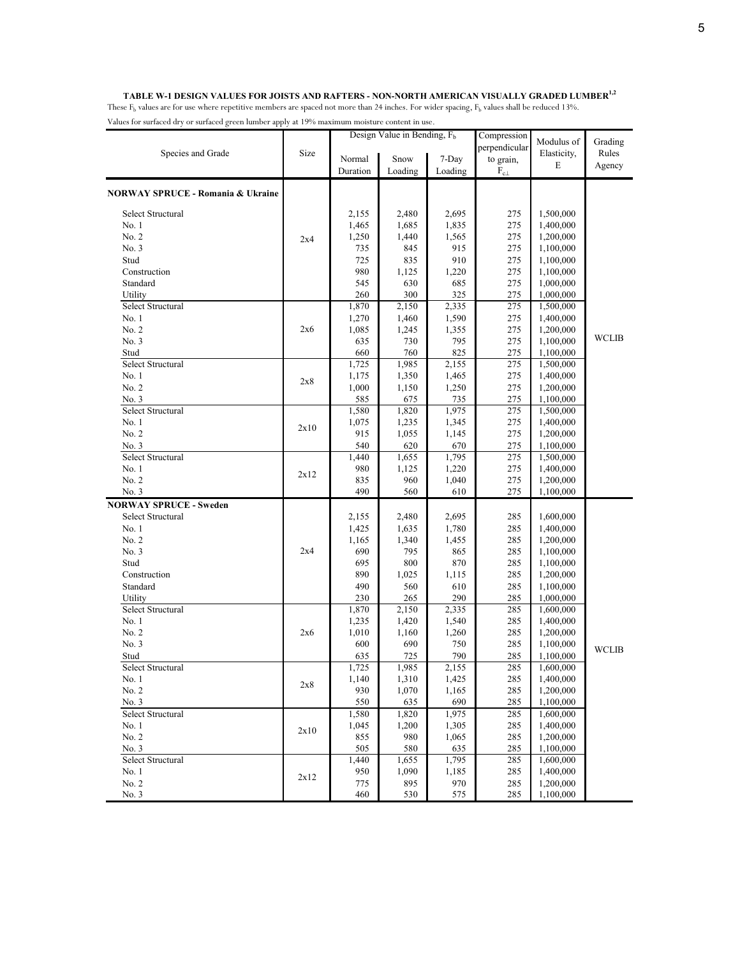|                                              |      |          | Design Value in Bending, $F_b$ |         | Compression      |             |              |
|----------------------------------------------|------|----------|--------------------------------|---------|------------------|-------------|--------------|
|                                              |      |          |                                |         | perpendicular    | Modulus of  | Grading      |
| Species and Grade                            | Size | Normal   | Snow                           | 7-Day   | to grain,        | Elasticity, | Rules        |
|                                              |      | Duration | Loading                        | Loading | $\rm F_{c\perp}$ | E           | Agency       |
|                                              |      |          |                                |         |                  |             |              |
| <b>NORWAY SPRUCE - Romania &amp; Ukraine</b> |      |          |                                |         |                  |             |              |
| <b>Select Structural</b>                     |      |          |                                |         |                  | 1,500,000   |              |
|                                              |      | 2,155    | 2,480                          | 2,695   | 275              |             |              |
| No. 1                                        |      | 1,465    | 1,685                          | 1,835   | 275              | 1,400,000   |              |
| No. 2                                        | 2x4  | 1,250    | 1,440                          | 1,565   | 275              | 1,200,000   |              |
| No. 3                                        |      | 735      | 845                            | 915     | 275              | 1,100,000   |              |
| Stud                                         |      | 725      | 835                            | 910     | 275              | 1,100,000   |              |
| Construction                                 |      | 980      | 1,125                          | 1,220   | 275              | 1,100,000   |              |
| Standard                                     |      | 545      | 630                            | 685     | 275              | 1,000,000   |              |
| Utility                                      |      | 260      | 300                            | 325     | 275              | 1,000,000   |              |
| Select Structural                            |      | 1,870    | 2,150                          | 2,335   | 275              | 1,500,000   |              |
| No. 1                                        |      | 1,270    | 1,460                          | 1,590   | 275              | 1,400,000   |              |
| No. 2                                        | 2x6  | 1,085    | 1,245                          | 1,355   | 275              | 1,200,000   | <b>WCLIB</b> |
| No. 3                                        |      | 635      | 730                            | 795     | 275              | 1,100,000   |              |
| Stud                                         |      | 660      | 760                            | 825     | 275              | 1,100,000   |              |
| Select Structural                            |      | 1,725    | 1,985                          | 2,155   | 275              | 1,500,000   |              |
| No. 1                                        | 2x8  | 1,175    | 1,350                          | 1,465   | 275              | 1,400,000   |              |
| No. 2                                        |      | 1,000    | 1,150                          | 1,250   | 275              | 1,200,000   |              |
| No. 3                                        |      | 585      | 675                            | 735     | 275              | 1,100,000   |              |
| Select Structural                            |      | 1,580    | 1,820                          | 1,975   | 275              | 1,500,000   |              |
| No. 1                                        | 2x10 | 1,075    | 1,235                          | 1,345   | 275              | 1,400,000   |              |
| No. 2                                        |      | 915      | 1,055                          | 1,145   | 275              | 1,200,000   |              |
| No. 3                                        |      | 540      | 620                            | 670     | 275              | 1,100,000   |              |
| Select Structural                            |      | 1,440    | 1,655                          | 1,795   | 275              | 1,500,000   |              |
| No. 1                                        | 2x12 | 980      | 1,125                          | 1,220   | 275              | 1,400,000   |              |
| No. 2                                        |      | 835      | 960                            | 1,040   | 275              | 1,200,000   |              |
| No. 3                                        |      | 490      | 560                            | 610     | 275              | 1,100,000   |              |
| <b>NORWAY SPRUCE - Sweden</b>                |      |          |                                |         |                  |             |              |
| Select Structural                            |      | 2,155    | 2,480                          | 2,695   | 285              | 1,600,000   |              |
| No. 1                                        |      | 1,425    | 1,635                          | 1,780   | 285              | 1,400,000   |              |
| No. 2                                        |      | 1,165    | 1,340                          | 1,455   | 285              | 1,200,000   |              |
| No. 3                                        | 2x4  | 690      | 795                            | 865     | 285              | 1,100,000   |              |
| Stud                                         |      | 695      | 800                            | 870     | 285              | 1,100,000   |              |
| Construction                                 |      | 890      | 1,025                          | 1,115   | 285              | 1,200,000   |              |
| Standard                                     |      | 490      | 560                            | 610     | 285              | 1,100,000   |              |
| Utility                                      |      | 230      | 265                            | 290     | 285              | 1,000,000   |              |
| Select Structural                            |      | 1,870    | 2,150                          | 2,335   | 285              | 1,600,000   |              |
| No. 1                                        |      | 1,235    | 1,420                          | 1,540   | 285              | 1,400,000   |              |
| No. 2                                        | 2x6  | 1,010    | 1,160                          | 1,260   | 285              | 1,200,000   |              |
| No. 3                                        |      | 600      | 690                            | 750     | 285              | 1,100,000   | <b>WCLIB</b> |
| Stud                                         |      | 635      | 725                            | 790     | 285              | 1,100,000   |              |
| Select Structural                            |      | 1,725    | 1,985                          | 2,155   | 285              | 1,600,000   |              |
| No. 1                                        |      | 1,140    | 1,310                          | 1,425   | 285              | 1,400,000   |              |
| No. 2                                        | 2x8  | 930      | 1,070                          | 1,165   | 285              | 1,200,000   |              |
| No. 3                                        |      | 550      | 635                            | 690     | 285              | 1,100,000   |              |
| Select Structural                            |      | 1,580    | 1,820                          | 1,975   | 285              | 1,600,000   |              |
| No. 1                                        |      | 1,045    | 1,200                          | 1,305   | 285              | 1,400,000   |              |
| No. 2                                        | 2x10 | 855      | 980                            | 1,065   | 285              | 1,200,000   |              |
| No. 3                                        |      | 505      | 580                            | 635     | 285              | 1,100,000   |              |
| Select Structural                            |      | 1,440    | 1,655                          | 1,795   | 285              | 1,600,000   |              |
| No.1                                         |      | 950      | 1,090                          | 1,185   | 285              | 1,400,000   |              |
| No. 2                                        | 2x12 | 775      | 895                            | 970     | 285              | 1,200,000   |              |
| No. 3                                        |      | 460      | 530                            | 575     | 285              | 1,100,000   |              |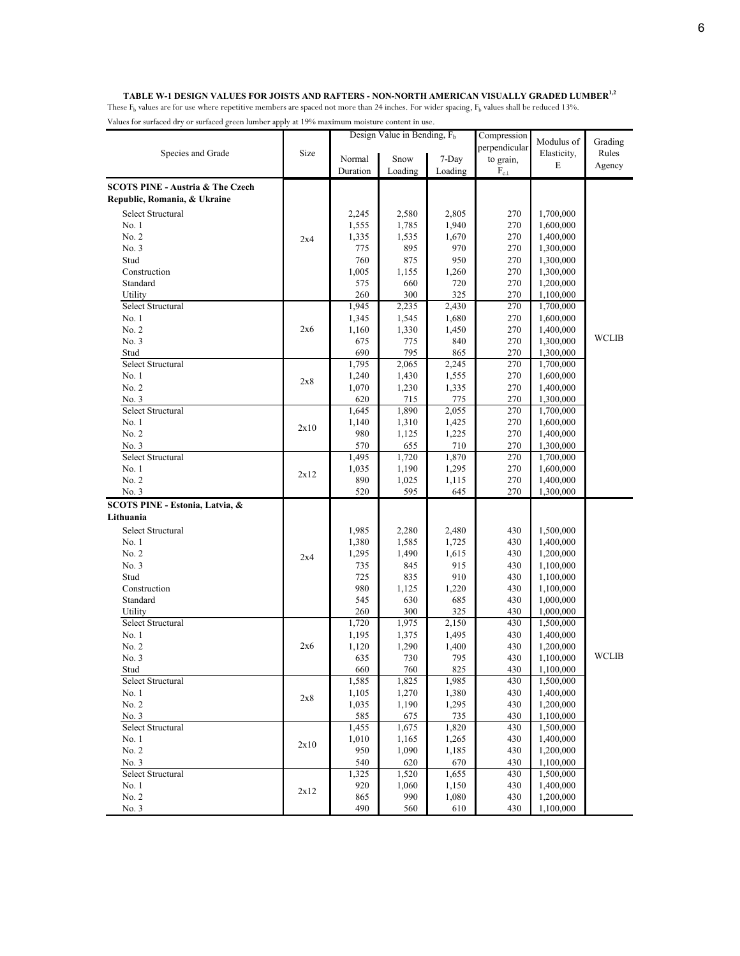#### **TABLE W-1 DESIGN VALUES FOR JOISTS AND RAFTERS - NON-NORTH AMERICAN VISUALLY GRADED LUMBER1,2**

|                                             |      |              | Design Value in Bending, $Fb$ |              | Compression      |                        |         |
|---------------------------------------------|------|--------------|-------------------------------|--------------|------------------|------------------------|---------|
|                                             |      |              |                               |              | perpendicular    | Modulus of             | Grading |
| Species and Grade                           | Size | Normal       | Snow                          | 7-Day        | to grain,        | Elasticity,            | Rules   |
|                                             |      | Duration     | Loading                       | Loading      | $\rm F_{c\perp}$ | E                      | Agency  |
| <b>SCOTS PINE - Austria &amp; The Czech</b> |      |              |                               |              |                  |                        |         |
| Republic, Romania, & Ukraine                |      |              |                               |              |                  |                        |         |
|                                             |      |              |                               |              |                  | 1,700,000              |         |
| Select Structural                           |      | 2,245        | 2,580                         | 2,805        | 270<br>270       |                        |         |
| No. 1                                       |      | 1,555        | 1,785                         | 1,940        |                  | 1,600,000              |         |
| No. 2<br>No. 3                              | 2x4  | 1,335<br>775 | 1,535<br>895                  | 1,670<br>970 | 270<br>270       | 1,400,000<br>1,300,000 |         |
| Stud                                        |      | 760          | 875                           | 950          | 270              | 1,300,000              |         |
| Construction                                |      | 1,005        | 1,155                         | 1,260        | 270              | 1,300,000              |         |
| Standard                                    |      | 575          | 660                           | 720          | 270              | 1,200,000              |         |
| Utility                                     |      | 260          | 300                           | 325          | 270              | 1,100,000              |         |
| Select Structural                           |      | 1,945        | 2,235                         | 2,430        | 270              | 1,700,000              |         |
| No. 1                                       |      | 1,345        | 1,545                         | 1,680        | 270              | 1,600,000              |         |
| No. 2                                       | 2x6  | 1,160        | 1,330                         | 1,450        | 270              | 1,400,000              |         |
| No. 3                                       |      | 675          | 775                           | 840          | 270              | 1,300,000              | WCLIB   |
| Stud                                        |      | 690          | 795                           | 865          | 270              | 1,300,000              |         |
| Select Structural                           |      | 1,795        | 2,065                         | 2,245        | 270              | 1,700,000              |         |
| No. 1                                       |      | 1,240        | 1,430                         | 1,555        | 270              | 1,600,000              |         |
| No. 2                                       | 2x8  | 1,070        | 1,230                         | 1,335        | 270              | 1,400,000              |         |
| No. 3                                       |      | 620          | 715                           | 775          | 270              | 1,300,000              |         |
| Select Structural                           |      | 1,645        | 1,890                         | 2,055        | 270              | 1,700,000              |         |
| No.1                                        |      | 1,140        | 1,310                         | 1,425        | 270              | 1,600,000              |         |
| No. 2                                       | 2x10 | 980          | 1,125                         | 1,225        | 270              | 1,400,000              |         |
| No. 3                                       |      | 570          | 655                           | 710          | 270              | 1,300,000              |         |
| Select Structural                           |      | 1,495        | 1,720                         | 1,870        | 270              | 1,700,000              |         |
| No. 1                                       |      | 1,035        | 1,190                         | 1,295        | 270              | 1,600,000              |         |
| No. 2                                       | 2x12 | 890          | 1,025                         | 1,115        | 270              | 1,400,000              |         |
| No. 3                                       |      | 520          | 595                           | 645          | 270              | 1,300,000              |         |
| SCOTS PINE - Estonia, Latvia, &             |      |              |                               |              |                  |                        |         |
| Lithuania                                   |      |              |                               |              |                  |                        |         |
| Select Structural                           |      | 1,985        | 2,280                         | 2,480        | 430              | 1,500,000              |         |
| No. 1                                       |      | 1,380        | 1,585                         | 1,725        | 430              | 1,400,000              |         |
| No. 2                                       | 2x4  | 1,295        | 1,490                         | 1,615        | 430              | 1,200,000              |         |
| No. 3                                       |      | 735          | 845                           | 915          | 430              | 1,100,000              |         |
| Stud                                        |      | 725          | 835                           | 910          | 430              | 1,100,000              |         |
| Construction                                |      | 980          | 1,125                         | 1,220        | 430              | 1,100,000              |         |
| Standard                                    |      | 545          | 630                           | 685          | 430              | 1,000,000              |         |
| Utility                                     |      | 260          | 300                           | 325          | 430              | 1,000,000              |         |
| Select Structural                           |      | 1,720        | 1,975                         | 2,150        | 430              | 1,500,000              |         |
| No. 1                                       |      | 1,195        | 1,375                         | 1,495        | 430              | 1,400,000              |         |
| No. 2                                       | 2x6  | 1,120        | 1,290                         | 1,400        | 430              | 1,200,000              |         |
| No. 3                                       |      | 635          | 730                           | 795          | 430              | 1,100,000              | WCLIB   |
| Stud                                        |      | 660          | 760                           | 825          | 430              | 1,100,000              |         |
| Select Structural                           |      | 1,585        | 1,825                         | 1,985        | 430              | 1,500,000              |         |
| No. 1                                       | 2x8  | 1,105        | 1,270                         | 1,380        | 430              | 1,400,000              |         |
| No. 2                                       |      | 1,035        | 1,190                         | 1,295        | 430              | 1,200,000              |         |
| No. 3                                       |      | 585          | 675                           | 735          | 430              | 1.100.000              |         |
| Select Structural                           |      | 1,455        | 1,675                         | 1,820        | 430              | 1,500,000              |         |
| No. 1                                       | 2x10 | 1,010        | 1,165                         | 1,265        | 430              | 1,400,000              |         |
| No. 2                                       |      | 950          | 1,090                         | 1,185        | 430              | 1,200,000              |         |
| No. 3                                       |      | 540          | 620                           | 670          | 430              | 1,100,000              |         |
| Select Structural                           |      | 1,325        | 1,520                         | 1,655        | 430              | 1,500,000              |         |
| No. 1                                       | 2x12 | 920          | 1,060                         | 1,150        | 430              | 1,400,000              |         |
| No. 2                                       |      | 865<br>490   | 990                           | 1,080        | 430              | 1,200,000              |         |
| No. 3                                       |      |              | 560                           | 610          | 430              | 1,100,000              |         |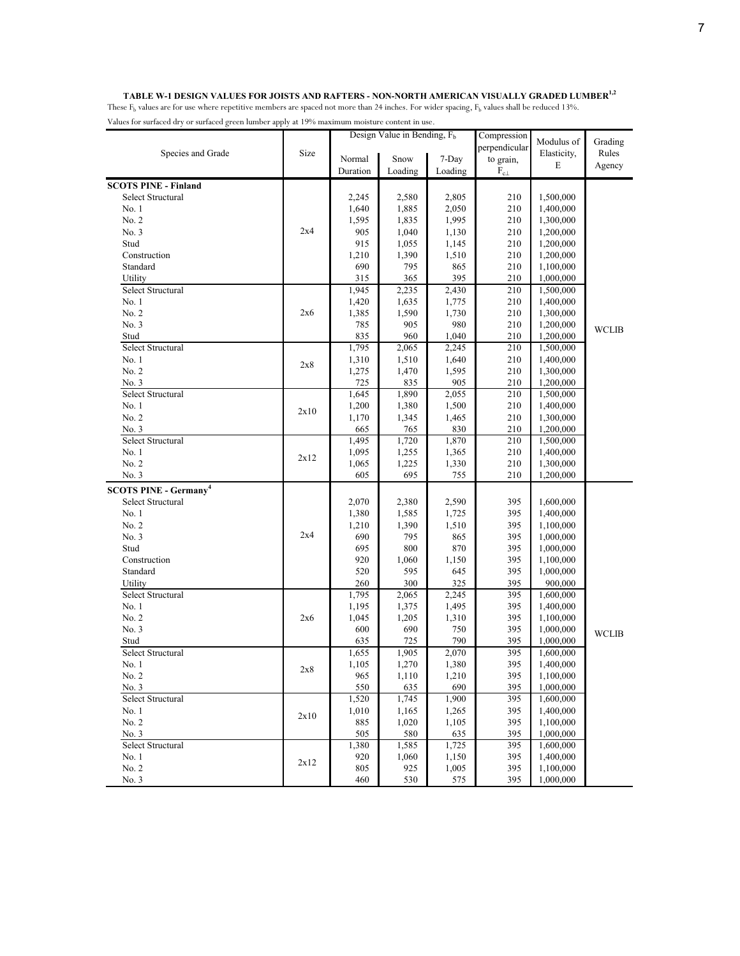#### **TABLE W-1 DESIGN VALUES FOR JOISTS AND RAFTERS - NON-NORTH AMERICAN VISUALLY GRADED LUMBER1,2**

|                                                              |      | Design Value in Bending, $F_h$ |                | Compression    |                  |                        |              |
|--------------------------------------------------------------|------|--------------------------------|----------------|----------------|------------------|------------------------|--------------|
|                                                              |      |                                |                |                | perpendicular    | Modulus of             | Grading      |
| Species and Grade                                            | Size | Normal                         | Snow           | 7-Day          | to grain,        | Elasticity,            | Rules        |
|                                                              |      | Duration                       | Loading        | Loading        | $\rm F_{c\perp}$ | E                      | Agency       |
| <b>SCOTS PINE - Finland</b>                                  |      |                                |                |                |                  |                        |              |
| Select Structural                                            |      |                                | 2,580          |                | 210              | 1,500,000              |              |
| No. 1                                                        |      | 2,245<br>1,640                 | 1,885          | 2,805<br>2,050 | 210              | 1,400,000              |              |
| No. 2                                                        |      |                                |                |                | 210              |                        |              |
| No. 3                                                        | 2x4  | 1,595                          | 1,835          | 1,995          | 210              | 1,300,000              |              |
| Stud                                                         |      | 905                            | 1,040          | 1,130          | 210              | 1,200,000              |              |
|                                                              |      | 915                            | 1,055          | 1,145          |                  | 1,200,000              |              |
| Construction<br>Standard                                     |      | 1,210<br>690                   | 1,390<br>795   | 1,510<br>865   | 210<br>210       | 1,200,000<br>1,100,000 |              |
|                                                              |      | 315                            |                | 395            | 210              |                        |              |
| Utility<br>Select Structural                                 |      | 1,945                          | 365<br>2,235   | 2,430          | 210              | 1,000,000              |              |
| No. 1                                                        |      | 1,420                          | 1,635          | 1,775          | 210              | 1,500,000              |              |
|                                                              |      |                                |                |                |                  | 1,400,000              |              |
| No. 2<br>No. 3                                               | 2x6  | 1,385                          | 1,590          | 1,730<br>980   | 210              | 1,300,000              |              |
| Stud                                                         |      | 785<br>835                     | 905<br>960     |                | 210<br>210       | 1,200,000              | <b>WCLIB</b> |
| Select Structural                                            |      | 1,795                          | 2,065          | 1,040<br>2,245 | 210              | 1,200,000              |              |
| No. 1                                                        |      |                                | 1,510          | 1,640          | 210              | 1,500,000              |              |
| No. 2                                                        | 2x8  | 1,310                          |                |                |                  | 1,400,000<br>1,300,000 |              |
| No. 3                                                        |      | 1,275<br>725                   | 1,470          | 1,595<br>905   | 210<br>210       |                        |              |
| Select Structural                                            |      | 1,645                          | 835<br>1,890   | 2,055          | 210              | 1,200,000              |              |
| No. 1                                                        |      | 1,200                          | 1,380          | 1,500          | 210              | 1,500,000<br>1,400,000 |              |
| No. 2                                                        | 2x10 | 1,170                          | 1,345          | 1,465          | 210              | 1,300,000              |              |
| No. 3                                                        |      | 665                            | 765            | 830            | 210              | 1,200,000              |              |
| Select Structural                                            |      | 1,495                          | 1,720          | 1,870          | 210              | 1,500,000              |              |
| No. 1                                                        |      | 1,095                          | 1,255          | 1,365          | 210              | 1,400,000              |              |
| No. 2                                                        | 2x12 | 1,065                          | 1,225          | 1,330          | 210              | 1,300,000              |              |
| No. 3                                                        |      | 605                            | 695            | 755            | 210              | 1,200,000              |              |
|                                                              |      |                                |                |                |                  |                        |              |
| <b>SCOTS PINE - Germany<sup>4</sup></b><br>Select Structural |      |                                |                |                |                  |                        |              |
|                                                              |      | 2,070                          | 2,380          | 2,590          | 395              | 1,600,000<br>1,400,000 |              |
| No. 1<br>No. 2                                               |      | 1,380<br>1,210                 | 1,585<br>1,390 | 1,725<br>1,510 | 395<br>395       | 1,100,000              |              |
| No. 3                                                        | 2x4  | 690                            | 795            | 865            | 395              | 1,000,000              |              |
| Stud                                                         |      |                                | 800            |                | 395              | 1,000,000              |              |
| Construction                                                 |      | 695<br>920                     | 1,060          | 870<br>1,150   | 395              | 1,100,000              |              |
| Standard                                                     |      | 520                            | 595            | 645            | 395              | 1,000,000              |              |
| Utility                                                      |      | 260                            | 300            | 325            | 395              | 900,000                |              |
| Select Structural                                            |      | 1,795                          | 2,065          | 2,245          | 395              | 1,600,000              |              |
| No. 1                                                        |      | 1,195                          | 1,375          | 1,495          | 395              | 1,400,000              |              |
| No. 2                                                        | 2x6  | 1,045                          | 1,205          | 1,310          | 395              | 1,100,000              |              |
| No. 3                                                        |      | 600                            | 690            | 750            | 395              | 1,000,000              |              |
| Stud                                                         |      | 635                            | 725            | 790            | 395              | 1,000,000              | <b>WCLIB</b> |
| Select Structural                                            |      | 1,655                          | 1,905          | 2,070          | 395              | 1,600,000              |              |
| No. 1                                                        |      | 1,105                          | 1,270          | 1,380          | 395              | 1,400,000              |              |
| No. 2                                                        | 2x8  | 965                            | 1,110          | 1,210          | 395              | 1,100,000              |              |
| No. 3                                                        |      | 550                            | 635            | 690            | 395              | 1,000,000              |              |
| Select Structural                                            |      | 1,520                          | 1,745          | 1,900          | 395              | 1,600,000              |              |
| No. 1                                                        |      | 1,010                          | 1,165          | 1,265          | 395              | 1,400,000              |              |
| No. 2                                                        | 2x10 | 885                            | 1,020          | 1,105          | 395              | 1,100,000              |              |
| No. 3                                                        |      | 505                            | 580            | 635            | 395              | 1,000,000              |              |
| Select Structural                                            |      | 1,380                          | 1,585          | 1,725          | 395              | 1,600,000              |              |
| No. 1                                                        |      | 920                            | 1,060          | 1,150          | 395              | 1,400,000              |              |
| No. 2                                                        | 2x12 | 805                            | 925            | 1,005          | 395              | 1,100,000              |              |
| No. 3                                                        |      | 460                            | 530            | 575            | 395              | 1,000,000              |              |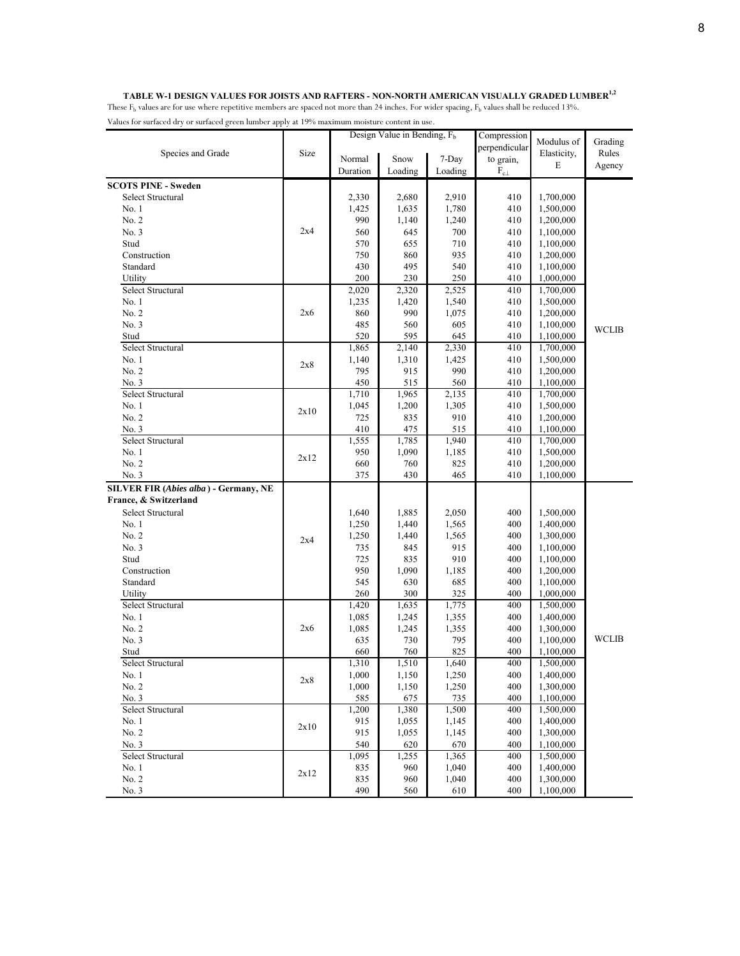#### TABLE W-1 DESIGN VALUES FOR JOISTS AND RAFTERS - NON-NORTH AMERICAN VISUALLY GRADED LUMBER<sup>1,2</sup>

|                                       |      |            | Design Value in Bending, $F_b$ |            | Compression      |                        |              |
|---------------------------------------|------|------------|--------------------------------|------------|------------------|------------------------|--------------|
|                                       |      |            |                                |            | perpendicular    | Modulus of             | Grading      |
| Species and Grade                     | Size | Normal     | Snow                           | 7-Day      | to grain,        | Elasticity,            | Rules        |
|                                       |      | Duration   | Loading                        | Loading    | $\rm F_{c\perp}$ | Е                      | Agency       |
| <b>SCOTS PINE - Sweden</b>            |      |            |                                |            |                  |                        |              |
| Select Structural                     |      | 2,330      | 2,680                          | 2,910      | 410              | 1,700,000              |              |
| No. 1                                 |      | 1,425      | 1,635                          | 1,780      | 410              | 1,500,000              |              |
| No. 2                                 |      | 990        | 1,140                          | 1,240      | 410              | 1,200,000              |              |
| No. 3                                 | 2x4  | 560        | 645                            | 700        | 410              | 1,100,000              |              |
| Stud                                  |      | 570        | 655                            | 710        | 410              | 1,100,000              |              |
| Construction                          |      | 750        | 860                            | 935        | 410              | 1,200,000              |              |
| Standard                              |      | 430        | 495                            | 540        | 410              |                        |              |
| Utility                               |      | 200        | 230                            | 250        | 410              | 1,100,000<br>1,000,000 |              |
| Select Structural                     |      | 2,020      | 2,320                          | 2,525      | 410              |                        |              |
| No. 1                                 |      | 1,235      | 1,420                          | 1,540      | 410              | 1,700,000              |              |
| No. 2                                 | 2x6  |            | 990                            |            | 410              | 1,500,000              |              |
|                                       |      | 860        |                                | 1,075      |                  | 1,200,000              |              |
| No. 3                                 |      | 485<br>520 | 560                            | 605<br>645 | 410              | 1,100,000              | <b>WCLIB</b> |
| Stud<br>Select Structural             |      |            | 595                            |            | 410              | 1,100,000              |              |
|                                       |      | 1,865      | 2,140                          | 2,330      | 410              | 1,700,000              |              |
| No. 1                                 | 2x8  | 1,140      | 1,310                          | 1,425      | 410              | 1,500,000              |              |
| No. 2                                 |      | 795        | 915                            | 990        | 410              | 1,200,000              |              |
| No. 3                                 |      | 450        | 515                            | 560        | 410              | 1,100,000              |              |
| Select Structural                     |      | 1,710      | 1,965                          | 2,135      | 410              | 1,700,000              |              |
| No. 1                                 | 2x10 | 1,045      | 1,200                          | 1,305      | 410              | 1,500,000              |              |
| No. 2                                 |      | 725        | 835                            | 910        | 410              | 1,200,000              |              |
| No. 3                                 |      | 410        | 475                            | 515        | 410              | 1,100,000              |              |
| Select Structural                     |      | 1,555      | 1,785                          | 1,940      | 410              | 1,700,000              |              |
| No. 1                                 | 2x12 | 950        | 1,090                          | 1,185      | 410              | 1,500,000              |              |
| No. 2                                 |      | 660        | 760                            | 825        | 410              | 1,200,000              |              |
| No. 3                                 |      | 375        | 430                            | 465        | 410              | 1,100,000              |              |
| SILVER FIR (Abies alba) - Germany, NE |      |            |                                |            |                  |                        |              |
| France, & Switzerland                 |      |            |                                |            |                  |                        |              |
| Select Structural                     |      | 1,640      | 1,885                          | 2,050      | 400              | 1,500,000              |              |
| No. 1                                 |      | 1,250      | 1,440                          | 1,565      | 400              | 1,400,000              |              |
| No. 2                                 | 2x4  | 1,250      | 1,440                          | 1,565      | 400              | 1,300,000              |              |
| No. 3                                 |      | 735        | 845                            | 915        | 400              | 1,100,000              |              |
| Stud                                  |      | 725        | 835                            | 910        | 400              | 1,100,000              |              |
| Construction                          |      | 950        | 1,090                          | 1,185      | 400              | 1,200,000              |              |
| Standard                              |      | 545        | 630                            | 685        | 400              | 1,100,000              |              |
| Utility                               |      | 260        | 300                            | 325        | 400              | 1,000,000              |              |
| Select Structural                     |      | 1,420      | 1,635                          | 1,775      | 400              | 1,500,000              |              |
| No. 1                                 |      | 1,085      | 1,245                          | 1,355      | 400              | 1,400,000              |              |
| No. 2                                 | 2x6  | 1,085      | 1,245                          | 1,355      | 400              | 1,300,000              |              |
| No. 3                                 |      | 635        | 730                            | 795        | 400              | 1,100,000              | <b>WCLIB</b> |
| Stud                                  |      | 660        | 760                            | 825        | 400              | 1,100,000              |              |
| Select Structural                     |      | 1,310      | 1,510                          | 1,640      | 400              | 1,500,000              |              |
| No. 1                                 | 2x8  | 1,000      | 1,150                          | 1,250      | 400              | 1,400,000              |              |
| No. 2                                 |      | 1,000      | 1,150                          | 1,250      | 400              | 1,300,000              |              |
| No. 3                                 |      | 585        | 675                            | 735        | 400              | 1,100,000              |              |
| Select Structural                     |      | 1,200      | 1,380                          | 1,500      | 400              | 1,500,000              |              |
| No. 1                                 | 2x10 | 915        | 1,055                          | 1,145      | 400              | 1,400,000              |              |
| No. 2                                 |      | 915        | 1,055                          | 1,145      | 400              | 1,300,000              |              |
| No. 3                                 |      | 540        | 620                            | 670        | 400              | 1,100,000              |              |
| Select Structural                     |      | 1,095      | 1,255                          | 1,365      | 400              | 1,500,000              |              |
| No. 1                                 | 2x12 | 835        | 960                            | 1,040      | 400              | 1,400,000              |              |
| No. 2                                 |      | 835        | 960                            | 1,040      | 400              | 1,300,000              |              |
| No. 3                                 |      | 490        | 560                            | 610        | 400              | 1,100,000              |              |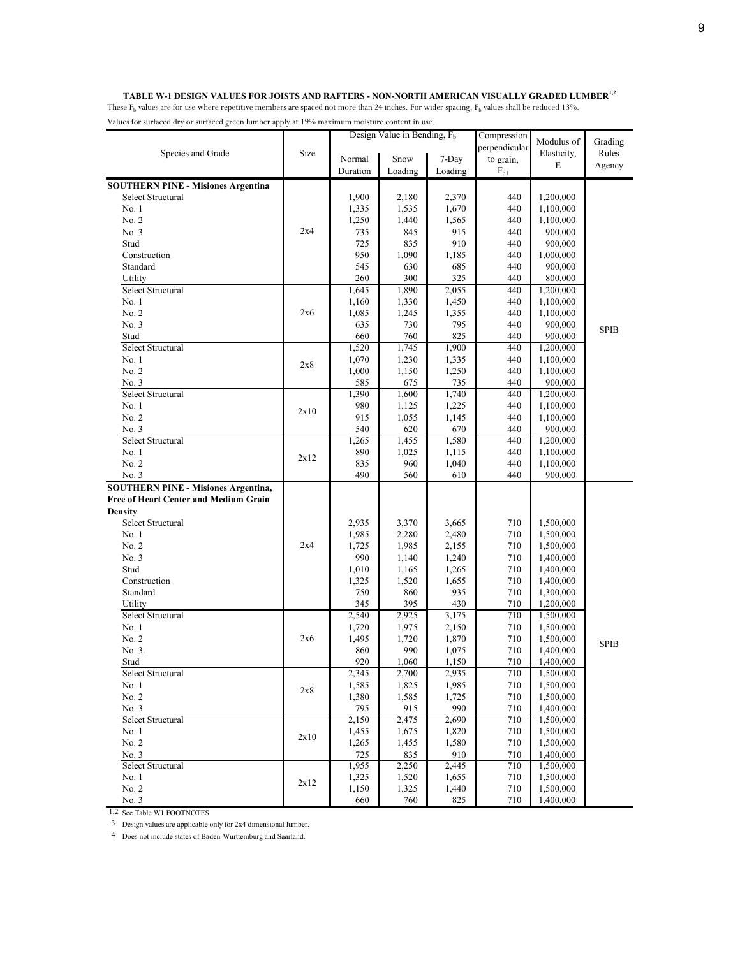#### **TABLE W-1 DESIGN VALUES FOR JOISTS AND RAFTERS - NON-NORTH AMERICAN VISUALLY GRADED LUMBER1,2**

These  $F_b$  values are for use where repetitive members are spaced not more than 24 inches. For wider spacing,  $F_b$  values shall be reduced 13%. Values for surfaced dry or surfaced green lumber apply at 19% maximum moisture content in use.

|                                              |      |          | Design Value in Bending, F <sub>b</sub> |         | Compression      |             |             |  |
|----------------------------------------------|------|----------|-----------------------------------------|---------|------------------|-------------|-------------|--|
|                                              |      |          |                                         |         | perpendicular    | Modulus of  | Grading     |  |
| Species and Grade                            | Size | Normal   | Snow                                    | 7-Day   | to grain,        | Elasticity, | Rules       |  |
|                                              |      | Duration | Loading                                 | Loading | $\rm F_{c\perp}$ | E           | Agency      |  |
| <b>SOUTHERN PINE - Misiones Argentina</b>    |      |          |                                         |         |                  |             |             |  |
| <b>Select Structural</b>                     |      | 1,900    | 2,180                                   | 2,370   | 440              | 1,200,000   |             |  |
| No. 1                                        |      | 1,335    | 1,535                                   | 1,670   | 440              | 1,100,000   |             |  |
| No. 2                                        |      | 1,250    | 1,440                                   | 1,565   | 440              | 1,100,000   |             |  |
| No. 3                                        | 2x4  | 735      | 845                                     | 915     | 440              | 900,000     |             |  |
| Stud                                         |      | 725      | 835                                     | 910     | 440              | 900,000     |             |  |
| Construction                                 |      | 950      | 1,090                                   | 1,185   | 440              | 1,000,000   |             |  |
| Standard                                     |      | 545      | 630                                     | 685     | 440              | 900,000     |             |  |
| Utility                                      |      | 260      | 300                                     | 325     | 440              | 800,000     |             |  |
| Select Structural                            |      | 1,645    | 1,890                                   | 2,055   | 440              | 1,200,000   |             |  |
| No. 1                                        |      | 1,160    | 1,330                                   | 1,450   | 440              | 1,100,000   |             |  |
| No. 2                                        | 2x6  | 1,085    | 1,245                                   | 1,355   | 440              | 1,100,000   |             |  |
| No. 3                                        |      | 635      | 730                                     | 795     | 440              | 900,000     |             |  |
| Stud                                         |      | 660      | 760                                     | 825     | 440              | 900,000     | <b>SPIB</b> |  |
| Select Structural                            |      | 1,520    | 1,745                                   | 1,900   | 440              | 1,200,000   |             |  |
| No. 1                                        |      | 1,070    | 1,230                                   | 1,335   | 440              | 1,100,000   |             |  |
| No. 2                                        | 2x8  | 1,000    | 1,150                                   | 1,250   | 440              | 1,100,000   |             |  |
| No. 3                                        |      | 585      | 675                                     | 735     | 440              | 900,000     |             |  |
| Select Structural                            |      | 1,390    | 1,600                                   | 1,740   | 440              | 1,200,000   |             |  |
| No. 1                                        |      | 980      | 1,125                                   | 1,225   | 440              | 1,100,000   |             |  |
| No. 2                                        | 2x10 | 915      | 1,055                                   | 1,145   | 440              | 1,100,000   |             |  |
| No. 3                                        |      | 540      | 620                                     | 670     | 440              | 900,000     |             |  |
| Select Structural                            |      | 1,265    | 1,455                                   | 1,580   | 440              | 1,200,000   |             |  |
| No. 1                                        |      | 890      | 1,025                                   | 1,115   | 440              | 1,100,000   |             |  |
| No. 2                                        | 2x12 | 835      | 960                                     | 1,040   | 440              | 1,100,000   |             |  |
| No. 3                                        |      | 490      | 560                                     | 610     | 440              | 900,000     |             |  |
| <b>SOUTHERN PINE - Misiones Argentina,</b>   |      |          |                                         |         |                  |             |             |  |
| <b>Free of Heart Center and Medium Grain</b> |      |          |                                         |         |                  |             |             |  |
| <b>Density</b>                               |      |          |                                         |         |                  |             |             |  |
| Select Structural                            |      | 2,935    | 3,370                                   | 3,665   | 710              | 1,500,000   |             |  |
| No. 1                                        |      | 1,985    | 2,280                                   | 2,480   | 710              | 1,500,000   |             |  |
| No. 2                                        | 2x4  | 1,725    | 1,985                                   | 2,155   | 710              | 1,500,000   |             |  |
| No. 3                                        |      | 990      | 1,140                                   | 1,240   | 710              | 1,400,000   |             |  |
| Stud                                         |      | 1,010    | 1,165                                   | 1,265   | 710              | 1,400,000   |             |  |
| Construction                                 |      | 1,325    | 1,520                                   | 1,655   | 710              | 1,400,000   |             |  |
| Standard                                     |      | 750      | 860                                     | 935     | 710              | 1,300,000   |             |  |
| Utility                                      |      | 345      | 395                                     | 430     | 710              | 1,200,000   |             |  |
| Select Structural                            |      | 2,540    | 2,925                                   | 3,175   | 710              | 1,500,000   |             |  |
| No. 1                                        |      | 1,720    | 1,975                                   | 2,150   | 710              | 1,500,000   |             |  |
| No. 2                                        | 2x6  | 1,495    | 1,720                                   | 1,870   | 710              | 1,500,000   | <b>SPIB</b> |  |
| No. 3.                                       |      | 860      | 990                                     | 1,075   | 710              | 1,400,000   |             |  |
| Stud                                         |      | 920      | 1,060                                   | 1,150   | 710              | 1,400,000   |             |  |
| Select Structural                            |      | 2,345    | 2,700                                   | 2,935   | 710              | 1,500,000   |             |  |
| No. 1                                        |      | 1,585    | 1,825                                   | 1,985   | 710              | 1,500,000   |             |  |
| No. 2                                        | 2x8  | 1,380    | 1,585                                   | 1,725   | 710              | 1,500,000   |             |  |
| No. 3                                        |      | 795      | 915                                     | 990     | 710              | 1,400,000   |             |  |
| Select Structural                            |      | 2,150    | 2,475                                   | 2,690   | 710              | 1,500,000   |             |  |
| No. 1                                        |      | 1,455    | 1,675                                   | 1,820   | 710              | 1,500,000   |             |  |
| No. 2                                        | 2x10 | 1,265    | 1,455                                   | 1,580   | 710              | 1,500,000   |             |  |
| No. 3                                        |      | 725      | 835                                     | 910     | 710              | 1,400,000   |             |  |
| Select Structural                            |      | 1,955    | 2,250                                   | 2,445   | 710              | 1,500,000   |             |  |
| No. 1                                        | 2x12 | 1,325    | 1,520                                   | 1,655   | 710              | 1,500,000   |             |  |
| No. 2                                        |      | 1,150    | 1,325                                   | 1,440   | 710              | 1,500,000   |             |  |
| No. 3                                        |      | 660      | 760                                     | 825     | 710              | 1,400,000   |             |  |

1,2 See Table W1 FOOTNOTES

<sup>3</sup> Design values are applicable only for 2x4 dimensional lumber.

4 Does not include states of Baden-Wurttemburg and Saarland.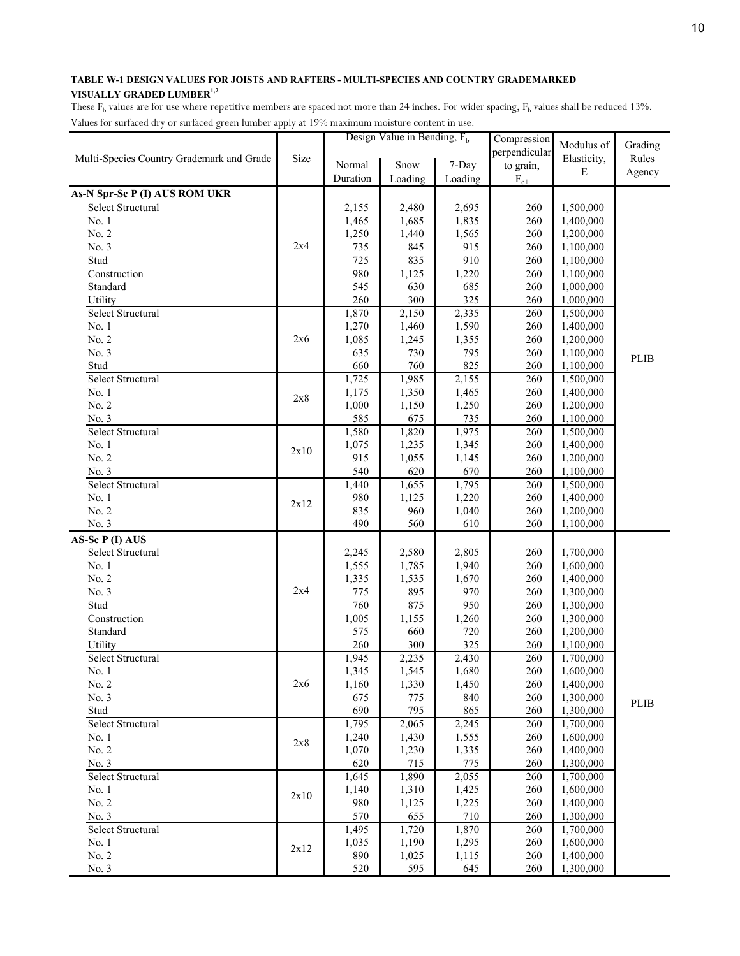| perpendicular<br>Size<br>Elasticity,<br>Rules<br>Multi-Species Country Grademark and Grade<br>Normal<br>Snow<br>7-Day<br>to grain,<br>$\mathbf E$<br>Agency<br>Duration<br>Loading<br>Loading<br>$\rm F_{c\perp}$<br>As-N Spr-Sc P (I) AUS ROM UKR<br>Select Structural<br>1,500,000<br>2,155<br>2,480<br>2,695<br>260<br>No. 1<br>260<br>1,400,000<br>1,465<br>1,685<br>1,835<br>No. 2<br>1,250<br>1,565<br>260<br>1,200,000<br>1,440<br>2x4<br>No. 3<br>735<br>915<br>260<br>845<br>1,100,000<br>Stud<br>725<br>835<br>910<br>260<br>1,100,000<br>Construction<br>980<br>260<br>1,125<br>1,220<br>1,100,000<br>Standard<br>545<br>630<br>685<br>260<br>1,000,000<br>300<br>Utility<br>260<br>325<br>260<br>1,000,000<br>Select Structural<br>1,870<br>2,150<br>2,335<br>260<br>1,500,000<br>No. 1<br>1,270<br>1,590<br>260<br>1,460<br>1,400,000<br>No. 2<br>2x6<br>260<br>1,085<br>1,245<br>1,355<br>1,200,000<br>No. 3<br>635<br>730<br>795<br>260<br>1,100,000<br><b>PLIB</b><br>825<br>260<br>Stud<br>660<br>760<br>1,100,000<br>Select Structural<br>1,725<br>1,985<br>2,155<br>260<br>1,500,000<br>1,175<br>260<br>No. 1<br>1,350<br>1,465<br>1,400,000<br>2x8<br>No. 2<br>1,000<br>260<br>1,150<br>1,250<br>1,200,000<br>585<br>675<br>735<br>260<br>No. 3<br>1,100,000<br>Select Structural<br>1,580<br>1,975<br>260<br>1,820<br>1,500,000<br>1,075<br>No. 1<br>1,235<br>1,345<br>260<br>1,400,000<br>2x10<br>No. 2<br>915<br>260<br>1,055<br>1,145<br>1,200,000<br>540<br>620<br>670<br>260<br>No. 3<br>1,100,000<br>Select Structural<br>1,440<br>1,795<br>260<br>1,655<br>1,500,000<br>No. 1<br>980<br>1,220<br>260<br>1,400,000<br>1,125<br>2x12<br>No. 2<br>835<br>960<br>1,040<br>260<br>1,200,000<br>No. 3<br>490<br>610<br>260<br>560<br>1,100,000<br>AS-Sc P (I) AUS<br>Select Structural<br>2,245<br>2,580<br>2,805<br>260<br>1,700,000<br>No. 1<br>260<br>1,555<br>1,785<br>1,940<br>1,600,000<br>No. 2<br>1,335<br>1,670<br>260<br>1,535<br>1,400,000<br>2x4<br>No. 3<br>775<br>895<br>970<br>260<br>1,300,000<br>Stud<br>760<br>875<br>950<br>260<br>1,300,000<br>Construction<br>1,005<br>1,155<br>1,260<br>260<br>1,300,000<br>Standard<br>575<br>660<br>260<br>720<br>1,200,000<br>260<br>300<br>325<br>260<br>Utility<br>1,100,000<br>Select Structural<br>2,430<br>1,945<br>2,235<br>260<br>1,700,000<br>1,345<br>1,545<br>1,680<br>260<br>1,600,000<br>No. 1<br>2x6<br>1,400,000<br>1,160<br>1,330<br>1,450<br>No. 2<br>260<br>No. 3<br>675<br>775<br>840<br>260<br>1,300,000<br><b>PLIB</b><br>690<br>865<br>795<br>260<br>Stud<br>1,300,000<br>Select Structural<br>1,795<br>260<br>2,065<br>2,245<br>1,700,000<br>260<br>No. 1<br>1,240<br>1,430<br>1,600,000<br>1,555<br>2x8<br>No. 2<br>1,400,000<br>1,070<br>1,230<br>1,335<br>260<br>620<br>No. 3<br>715<br>775<br>260<br>1,300,000<br>Select Structural<br>1,645<br>1,890<br>2,055<br>260<br>1,700,000<br>No. 1<br>1,140<br>1,310<br>260<br>1,600,000<br>1,425<br>2x10<br>No. 2<br>980<br>260<br>1,400,000<br>1,125<br>1,225<br>710<br>1,300,000<br>No. 3<br>570<br>655<br>260<br>Select Structural<br>1,495<br>1,720<br>1,870<br>260<br>1,700,000<br>1,035<br>1,190<br>260<br>1,600,000<br>No. 1<br>1,295<br>2x12<br>No. 2<br>890<br>260<br>1,400,000<br>1,025<br>1,115 |       |     | Design Value in Bending, $F_h$ |     | Compression | Modulus of | Grading |
|---------------------------------------------------------------------------------------------------------------------------------------------------------------------------------------------------------------------------------------------------------------------------------------------------------------------------------------------------------------------------------------------------------------------------------------------------------------------------------------------------------------------------------------------------------------------------------------------------------------------------------------------------------------------------------------------------------------------------------------------------------------------------------------------------------------------------------------------------------------------------------------------------------------------------------------------------------------------------------------------------------------------------------------------------------------------------------------------------------------------------------------------------------------------------------------------------------------------------------------------------------------------------------------------------------------------------------------------------------------------------------------------------------------------------------------------------------------------------------------------------------------------------------------------------------------------------------------------------------------------------------------------------------------------------------------------------------------------------------------------------------------------------------------------------------------------------------------------------------------------------------------------------------------------------------------------------------------------------------------------------------------------------------------------------------------------------------------------------------------------------------------------------------------------------------------------------------------------------------------------------------------------------------------------------------------------------------------------------------------------------------------------------------------------------------------------------------------------------------------------------------------------------------------------------------------------------------------------------------------------------------------------------------------------------------------------------------------------------------------------------------------------------------------------------------------------------------------------------------------------------------------------------------------------------------------------------------------------------------------------------------------------------------------------------------------------------------------------------------------------------------------------------------------------------------------------------------------------------------------------------------------|-------|-----|--------------------------------|-----|-------------|------------|---------|
|                                                                                                                                                                                                                                                                                                                                                                                                                                                                                                                                                                                                                                                                                                                                                                                                                                                                                                                                                                                                                                                                                                                                                                                                                                                                                                                                                                                                                                                                                                                                                                                                                                                                                                                                                                                                                                                                                                                                                                                                                                                                                                                                                                                                                                                                                                                                                                                                                                                                                                                                                                                                                                                                                                                                                                                                                                                                                                                                                                                                                                                                                                                                                                                                                                                               |       |     |                                |     |             |            |         |
|                                                                                                                                                                                                                                                                                                                                                                                                                                                                                                                                                                                                                                                                                                                                                                                                                                                                                                                                                                                                                                                                                                                                                                                                                                                                                                                                                                                                                                                                                                                                                                                                                                                                                                                                                                                                                                                                                                                                                                                                                                                                                                                                                                                                                                                                                                                                                                                                                                                                                                                                                                                                                                                                                                                                                                                                                                                                                                                                                                                                                                                                                                                                                                                                                                                               |       |     |                                |     |             |            |         |
|                                                                                                                                                                                                                                                                                                                                                                                                                                                                                                                                                                                                                                                                                                                                                                                                                                                                                                                                                                                                                                                                                                                                                                                                                                                                                                                                                                                                                                                                                                                                                                                                                                                                                                                                                                                                                                                                                                                                                                                                                                                                                                                                                                                                                                                                                                                                                                                                                                                                                                                                                                                                                                                                                                                                                                                                                                                                                                                                                                                                                                                                                                                                                                                                                                                               |       |     |                                |     |             |            |         |
|                                                                                                                                                                                                                                                                                                                                                                                                                                                                                                                                                                                                                                                                                                                                                                                                                                                                                                                                                                                                                                                                                                                                                                                                                                                                                                                                                                                                                                                                                                                                                                                                                                                                                                                                                                                                                                                                                                                                                                                                                                                                                                                                                                                                                                                                                                                                                                                                                                                                                                                                                                                                                                                                                                                                                                                                                                                                                                                                                                                                                                                                                                                                                                                                                                                               |       |     |                                |     |             |            |         |
|                                                                                                                                                                                                                                                                                                                                                                                                                                                                                                                                                                                                                                                                                                                                                                                                                                                                                                                                                                                                                                                                                                                                                                                                                                                                                                                                                                                                                                                                                                                                                                                                                                                                                                                                                                                                                                                                                                                                                                                                                                                                                                                                                                                                                                                                                                                                                                                                                                                                                                                                                                                                                                                                                                                                                                                                                                                                                                                                                                                                                                                                                                                                                                                                                                                               |       |     |                                |     |             |            |         |
|                                                                                                                                                                                                                                                                                                                                                                                                                                                                                                                                                                                                                                                                                                                                                                                                                                                                                                                                                                                                                                                                                                                                                                                                                                                                                                                                                                                                                                                                                                                                                                                                                                                                                                                                                                                                                                                                                                                                                                                                                                                                                                                                                                                                                                                                                                                                                                                                                                                                                                                                                                                                                                                                                                                                                                                                                                                                                                                                                                                                                                                                                                                                                                                                                                                               |       |     |                                |     |             |            |         |
|                                                                                                                                                                                                                                                                                                                                                                                                                                                                                                                                                                                                                                                                                                                                                                                                                                                                                                                                                                                                                                                                                                                                                                                                                                                                                                                                                                                                                                                                                                                                                                                                                                                                                                                                                                                                                                                                                                                                                                                                                                                                                                                                                                                                                                                                                                                                                                                                                                                                                                                                                                                                                                                                                                                                                                                                                                                                                                                                                                                                                                                                                                                                                                                                                                                               |       |     |                                |     |             |            |         |
|                                                                                                                                                                                                                                                                                                                                                                                                                                                                                                                                                                                                                                                                                                                                                                                                                                                                                                                                                                                                                                                                                                                                                                                                                                                                                                                                                                                                                                                                                                                                                                                                                                                                                                                                                                                                                                                                                                                                                                                                                                                                                                                                                                                                                                                                                                                                                                                                                                                                                                                                                                                                                                                                                                                                                                                                                                                                                                                                                                                                                                                                                                                                                                                                                                                               |       |     |                                |     |             |            |         |
|                                                                                                                                                                                                                                                                                                                                                                                                                                                                                                                                                                                                                                                                                                                                                                                                                                                                                                                                                                                                                                                                                                                                                                                                                                                                                                                                                                                                                                                                                                                                                                                                                                                                                                                                                                                                                                                                                                                                                                                                                                                                                                                                                                                                                                                                                                                                                                                                                                                                                                                                                                                                                                                                                                                                                                                                                                                                                                                                                                                                                                                                                                                                                                                                                                                               |       |     |                                |     |             |            |         |
|                                                                                                                                                                                                                                                                                                                                                                                                                                                                                                                                                                                                                                                                                                                                                                                                                                                                                                                                                                                                                                                                                                                                                                                                                                                                                                                                                                                                                                                                                                                                                                                                                                                                                                                                                                                                                                                                                                                                                                                                                                                                                                                                                                                                                                                                                                                                                                                                                                                                                                                                                                                                                                                                                                                                                                                                                                                                                                                                                                                                                                                                                                                                                                                                                                                               |       |     |                                |     |             |            |         |
|                                                                                                                                                                                                                                                                                                                                                                                                                                                                                                                                                                                                                                                                                                                                                                                                                                                                                                                                                                                                                                                                                                                                                                                                                                                                                                                                                                                                                                                                                                                                                                                                                                                                                                                                                                                                                                                                                                                                                                                                                                                                                                                                                                                                                                                                                                                                                                                                                                                                                                                                                                                                                                                                                                                                                                                                                                                                                                                                                                                                                                                                                                                                                                                                                                                               |       |     |                                |     |             |            |         |
|                                                                                                                                                                                                                                                                                                                                                                                                                                                                                                                                                                                                                                                                                                                                                                                                                                                                                                                                                                                                                                                                                                                                                                                                                                                                                                                                                                                                                                                                                                                                                                                                                                                                                                                                                                                                                                                                                                                                                                                                                                                                                                                                                                                                                                                                                                                                                                                                                                                                                                                                                                                                                                                                                                                                                                                                                                                                                                                                                                                                                                                                                                                                                                                                                                                               |       |     |                                |     |             |            |         |
|                                                                                                                                                                                                                                                                                                                                                                                                                                                                                                                                                                                                                                                                                                                                                                                                                                                                                                                                                                                                                                                                                                                                                                                                                                                                                                                                                                                                                                                                                                                                                                                                                                                                                                                                                                                                                                                                                                                                                                                                                                                                                                                                                                                                                                                                                                                                                                                                                                                                                                                                                                                                                                                                                                                                                                                                                                                                                                                                                                                                                                                                                                                                                                                                                                                               |       |     |                                |     |             |            |         |
|                                                                                                                                                                                                                                                                                                                                                                                                                                                                                                                                                                                                                                                                                                                                                                                                                                                                                                                                                                                                                                                                                                                                                                                                                                                                                                                                                                                                                                                                                                                                                                                                                                                                                                                                                                                                                                                                                                                                                                                                                                                                                                                                                                                                                                                                                                                                                                                                                                                                                                                                                                                                                                                                                                                                                                                                                                                                                                                                                                                                                                                                                                                                                                                                                                                               |       |     |                                |     |             |            |         |
|                                                                                                                                                                                                                                                                                                                                                                                                                                                                                                                                                                                                                                                                                                                                                                                                                                                                                                                                                                                                                                                                                                                                                                                                                                                                                                                                                                                                                                                                                                                                                                                                                                                                                                                                                                                                                                                                                                                                                                                                                                                                                                                                                                                                                                                                                                                                                                                                                                                                                                                                                                                                                                                                                                                                                                                                                                                                                                                                                                                                                                                                                                                                                                                                                                                               |       |     |                                |     |             |            |         |
|                                                                                                                                                                                                                                                                                                                                                                                                                                                                                                                                                                                                                                                                                                                                                                                                                                                                                                                                                                                                                                                                                                                                                                                                                                                                                                                                                                                                                                                                                                                                                                                                                                                                                                                                                                                                                                                                                                                                                                                                                                                                                                                                                                                                                                                                                                                                                                                                                                                                                                                                                                                                                                                                                                                                                                                                                                                                                                                                                                                                                                                                                                                                                                                                                                                               |       |     |                                |     |             |            |         |
|                                                                                                                                                                                                                                                                                                                                                                                                                                                                                                                                                                                                                                                                                                                                                                                                                                                                                                                                                                                                                                                                                                                                                                                                                                                                                                                                                                                                                                                                                                                                                                                                                                                                                                                                                                                                                                                                                                                                                                                                                                                                                                                                                                                                                                                                                                                                                                                                                                                                                                                                                                                                                                                                                                                                                                                                                                                                                                                                                                                                                                                                                                                                                                                                                                                               |       |     |                                |     |             |            |         |
|                                                                                                                                                                                                                                                                                                                                                                                                                                                                                                                                                                                                                                                                                                                                                                                                                                                                                                                                                                                                                                                                                                                                                                                                                                                                                                                                                                                                                                                                                                                                                                                                                                                                                                                                                                                                                                                                                                                                                                                                                                                                                                                                                                                                                                                                                                                                                                                                                                                                                                                                                                                                                                                                                                                                                                                                                                                                                                                                                                                                                                                                                                                                                                                                                                                               |       |     |                                |     |             |            |         |
|                                                                                                                                                                                                                                                                                                                                                                                                                                                                                                                                                                                                                                                                                                                                                                                                                                                                                                                                                                                                                                                                                                                                                                                                                                                                                                                                                                                                                                                                                                                                                                                                                                                                                                                                                                                                                                                                                                                                                                                                                                                                                                                                                                                                                                                                                                                                                                                                                                                                                                                                                                                                                                                                                                                                                                                                                                                                                                                                                                                                                                                                                                                                                                                                                                                               |       |     |                                |     |             |            |         |
|                                                                                                                                                                                                                                                                                                                                                                                                                                                                                                                                                                                                                                                                                                                                                                                                                                                                                                                                                                                                                                                                                                                                                                                                                                                                                                                                                                                                                                                                                                                                                                                                                                                                                                                                                                                                                                                                                                                                                                                                                                                                                                                                                                                                                                                                                                                                                                                                                                                                                                                                                                                                                                                                                                                                                                                                                                                                                                                                                                                                                                                                                                                                                                                                                                                               |       |     |                                |     |             |            |         |
|                                                                                                                                                                                                                                                                                                                                                                                                                                                                                                                                                                                                                                                                                                                                                                                                                                                                                                                                                                                                                                                                                                                                                                                                                                                                                                                                                                                                                                                                                                                                                                                                                                                                                                                                                                                                                                                                                                                                                                                                                                                                                                                                                                                                                                                                                                                                                                                                                                                                                                                                                                                                                                                                                                                                                                                                                                                                                                                                                                                                                                                                                                                                                                                                                                                               |       |     |                                |     |             |            |         |
|                                                                                                                                                                                                                                                                                                                                                                                                                                                                                                                                                                                                                                                                                                                                                                                                                                                                                                                                                                                                                                                                                                                                                                                                                                                                                                                                                                                                                                                                                                                                                                                                                                                                                                                                                                                                                                                                                                                                                                                                                                                                                                                                                                                                                                                                                                                                                                                                                                                                                                                                                                                                                                                                                                                                                                                                                                                                                                                                                                                                                                                                                                                                                                                                                                                               |       |     |                                |     |             |            |         |
|                                                                                                                                                                                                                                                                                                                                                                                                                                                                                                                                                                                                                                                                                                                                                                                                                                                                                                                                                                                                                                                                                                                                                                                                                                                                                                                                                                                                                                                                                                                                                                                                                                                                                                                                                                                                                                                                                                                                                                                                                                                                                                                                                                                                                                                                                                                                                                                                                                                                                                                                                                                                                                                                                                                                                                                                                                                                                                                                                                                                                                                                                                                                                                                                                                                               |       |     |                                |     |             |            |         |
|                                                                                                                                                                                                                                                                                                                                                                                                                                                                                                                                                                                                                                                                                                                                                                                                                                                                                                                                                                                                                                                                                                                                                                                                                                                                                                                                                                                                                                                                                                                                                                                                                                                                                                                                                                                                                                                                                                                                                                                                                                                                                                                                                                                                                                                                                                                                                                                                                                                                                                                                                                                                                                                                                                                                                                                                                                                                                                                                                                                                                                                                                                                                                                                                                                                               |       |     |                                |     |             |            |         |
|                                                                                                                                                                                                                                                                                                                                                                                                                                                                                                                                                                                                                                                                                                                                                                                                                                                                                                                                                                                                                                                                                                                                                                                                                                                                                                                                                                                                                                                                                                                                                                                                                                                                                                                                                                                                                                                                                                                                                                                                                                                                                                                                                                                                                                                                                                                                                                                                                                                                                                                                                                                                                                                                                                                                                                                                                                                                                                                                                                                                                                                                                                                                                                                                                                                               |       |     |                                |     |             |            |         |
|                                                                                                                                                                                                                                                                                                                                                                                                                                                                                                                                                                                                                                                                                                                                                                                                                                                                                                                                                                                                                                                                                                                                                                                                                                                                                                                                                                                                                                                                                                                                                                                                                                                                                                                                                                                                                                                                                                                                                                                                                                                                                                                                                                                                                                                                                                                                                                                                                                                                                                                                                                                                                                                                                                                                                                                                                                                                                                                                                                                                                                                                                                                                                                                                                                                               |       |     |                                |     |             |            |         |
|                                                                                                                                                                                                                                                                                                                                                                                                                                                                                                                                                                                                                                                                                                                                                                                                                                                                                                                                                                                                                                                                                                                                                                                                                                                                                                                                                                                                                                                                                                                                                                                                                                                                                                                                                                                                                                                                                                                                                                                                                                                                                                                                                                                                                                                                                                                                                                                                                                                                                                                                                                                                                                                                                                                                                                                                                                                                                                                                                                                                                                                                                                                                                                                                                                                               |       |     |                                |     |             |            |         |
|                                                                                                                                                                                                                                                                                                                                                                                                                                                                                                                                                                                                                                                                                                                                                                                                                                                                                                                                                                                                                                                                                                                                                                                                                                                                                                                                                                                                                                                                                                                                                                                                                                                                                                                                                                                                                                                                                                                                                                                                                                                                                                                                                                                                                                                                                                                                                                                                                                                                                                                                                                                                                                                                                                                                                                                                                                                                                                                                                                                                                                                                                                                                                                                                                                                               |       |     |                                |     |             |            |         |
|                                                                                                                                                                                                                                                                                                                                                                                                                                                                                                                                                                                                                                                                                                                                                                                                                                                                                                                                                                                                                                                                                                                                                                                                                                                                                                                                                                                                                                                                                                                                                                                                                                                                                                                                                                                                                                                                                                                                                                                                                                                                                                                                                                                                                                                                                                                                                                                                                                                                                                                                                                                                                                                                                                                                                                                                                                                                                                                                                                                                                                                                                                                                                                                                                                                               |       |     |                                |     |             |            |         |
|                                                                                                                                                                                                                                                                                                                                                                                                                                                                                                                                                                                                                                                                                                                                                                                                                                                                                                                                                                                                                                                                                                                                                                                                                                                                                                                                                                                                                                                                                                                                                                                                                                                                                                                                                                                                                                                                                                                                                                                                                                                                                                                                                                                                                                                                                                                                                                                                                                                                                                                                                                                                                                                                                                                                                                                                                                                                                                                                                                                                                                                                                                                                                                                                                                                               |       |     |                                |     |             |            |         |
|                                                                                                                                                                                                                                                                                                                                                                                                                                                                                                                                                                                                                                                                                                                                                                                                                                                                                                                                                                                                                                                                                                                                                                                                                                                                                                                                                                                                                                                                                                                                                                                                                                                                                                                                                                                                                                                                                                                                                                                                                                                                                                                                                                                                                                                                                                                                                                                                                                                                                                                                                                                                                                                                                                                                                                                                                                                                                                                                                                                                                                                                                                                                                                                                                                                               |       |     |                                |     |             |            |         |
|                                                                                                                                                                                                                                                                                                                                                                                                                                                                                                                                                                                                                                                                                                                                                                                                                                                                                                                                                                                                                                                                                                                                                                                                                                                                                                                                                                                                                                                                                                                                                                                                                                                                                                                                                                                                                                                                                                                                                                                                                                                                                                                                                                                                                                                                                                                                                                                                                                                                                                                                                                                                                                                                                                                                                                                                                                                                                                                                                                                                                                                                                                                                                                                                                                                               |       |     |                                |     |             |            |         |
|                                                                                                                                                                                                                                                                                                                                                                                                                                                                                                                                                                                                                                                                                                                                                                                                                                                                                                                                                                                                                                                                                                                                                                                                                                                                                                                                                                                                                                                                                                                                                                                                                                                                                                                                                                                                                                                                                                                                                                                                                                                                                                                                                                                                                                                                                                                                                                                                                                                                                                                                                                                                                                                                                                                                                                                                                                                                                                                                                                                                                                                                                                                                                                                                                                                               |       |     |                                |     |             |            |         |
|                                                                                                                                                                                                                                                                                                                                                                                                                                                                                                                                                                                                                                                                                                                                                                                                                                                                                                                                                                                                                                                                                                                                                                                                                                                                                                                                                                                                                                                                                                                                                                                                                                                                                                                                                                                                                                                                                                                                                                                                                                                                                                                                                                                                                                                                                                                                                                                                                                                                                                                                                                                                                                                                                                                                                                                                                                                                                                                                                                                                                                                                                                                                                                                                                                                               |       |     |                                |     |             |            |         |
|                                                                                                                                                                                                                                                                                                                                                                                                                                                                                                                                                                                                                                                                                                                                                                                                                                                                                                                                                                                                                                                                                                                                                                                                                                                                                                                                                                                                                                                                                                                                                                                                                                                                                                                                                                                                                                                                                                                                                                                                                                                                                                                                                                                                                                                                                                                                                                                                                                                                                                                                                                                                                                                                                                                                                                                                                                                                                                                                                                                                                                                                                                                                                                                                                                                               |       |     |                                |     |             |            |         |
|                                                                                                                                                                                                                                                                                                                                                                                                                                                                                                                                                                                                                                                                                                                                                                                                                                                                                                                                                                                                                                                                                                                                                                                                                                                                                                                                                                                                                                                                                                                                                                                                                                                                                                                                                                                                                                                                                                                                                                                                                                                                                                                                                                                                                                                                                                                                                                                                                                                                                                                                                                                                                                                                                                                                                                                                                                                                                                                                                                                                                                                                                                                                                                                                                                                               |       |     |                                |     |             |            |         |
|                                                                                                                                                                                                                                                                                                                                                                                                                                                                                                                                                                                                                                                                                                                                                                                                                                                                                                                                                                                                                                                                                                                                                                                                                                                                                                                                                                                                                                                                                                                                                                                                                                                                                                                                                                                                                                                                                                                                                                                                                                                                                                                                                                                                                                                                                                                                                                                                                                                                                                                                                                                                                                                                                                                                                                                                                                                                                                                                                                                                                                                                                                                                                                                                                                                               |       |     |                                |     |             |            |         |
|                                                                                                                                                                                                                                                                                                                                                                                                                                                                                                                                                                                                                                                                                                                                                                                                                                                                                                                                                                                                                                                                                                                                                                                                                                                                                                                                                                                                                                                                                                                                                                                                                                                                                                                                                                                                                                                                                                                                                                                                                                                                                                                                                                                                                                                                                                                                                                                                                                                                                                                                                                                                                                                                                                                                                                                                                                                                                                                                                                                                                                                                                                                                                                                                                                                               |       |     |                                |     |             |            |         |
|                                                                                                                                                                                                                                                                                                                                                                                                                                                                                                                                                                                                                                                                                                                                                                                                                                                                                                                                                                                                                                                                                                                                                                                                                                                                                                                                                                                                                                                                                                                                                                                                                                                                                                                                                                                                                                                                                                                                                                                                                                                                                                                                                                                                                                                                                                                                                                                                                                                                                                                                                                                                                                                                                                                                                                                                                                                                                                                                                                                                                                                                                                                                                                                                                                                               |       |     |                                |     |             |            |         |
|                                                                                                                                                                                                                                                                                                                                                                                                                                                                                                                                                                                                                                                                                                                                                                                                                                                                                                                                                                                                                                                                                                                                                                                                                                                                                                                                                                                                                                                                                                                                                                                                                                                                                                                                                                                                                                                                                                                                                                                                                                                                                                                                                                                                                                                                                                                                                                                                                                                                                                                                                                                                                                                                                                                                                                                                                                                                                                                                                                                                                                                                                                                                                                                                                                                               |       |     |                                |     |             |            |         |
|                                                                                                                                                                                                                                                                                                                                                                                                                                                                                                                                                                                                                                                                                                                                                                                                                                                                                                                                                                                                                                                                                                                                                                                                                                                                                                                                                                                                                                                                                                                                                                                                                                                                                                                                                                                                                                                                                                                                                                                                                                                                                                                                                                                                                                                                                                                                                                                                                                                                                                                                                                                                                                                                                                                                                                                                                                                                                                                                                                                                                                                                                                                                                                                                                                                               |       |     |                                |     |             |            |         |
|                                                                                                                                                                                                                                                                                                                                                                                                                                                                                                                                                                                                                                                                                                                                                                                                                                                                                                                                                                                                                                                                                                                                                                                                                                                                                                                                                                                                                                                                                                                                                                                                                                                                                                                                                                                                                                                                                                                                                                                                                                                                                                                                                                                                                                                                                                                                                                                                                                                                                                                                                                                                                                                                                                                                                                                                                                                                                                                                                                                                                                                                                                                                                                                                                                                               |       |     |                                |     |             |            |         |
|                                                                                                                                                                                                                                                                                                                                                                                                                                                                                                                                                                                                                                                                                                                                                                                                                                                                                                                                                                                                                                                                                                                                                                                                                                                                                                                                                                                                                                                                                                                                                                                                                                                                                                                                                                                                                                                                                                                                                                                                                                                                                                                                                                                                                                                                                                                                                                                                                                                                                                                                                                                                                                                                                                                                                                                                                                                                                                                                                                                                                                                                                                                                                                                                                                                               |       |     |                                |     |             |            |         |
|                                                                                                                                                                                                                                                                                                                                                                                                                                                                                                                                                                                                                                                                                                                                                                                                                                                                                                                                                                                                                                                                                                                                                                                                                                                                                                                                                                                                                                                                                                                                                                                                                                                                                                                                                                                                                                                                                                                                                                                                                                                                                                                                                                                                                                                                                                                                                                                                                                                                                                                                                                                                                                                                                                                                                                                                                                                                                                                                                                                                                                                                                                                                                                                                                                                               |       |     |                                |     |             |            |         |
|                                                                                                                                                                                                                                                                                                                                                                                                                                                                                                                                                                                                                                                                                                                                                                                                                                                                                                                                                                                                                                                                                                                                                                                                                                                                                                                                                                                                                                                                                                                                                                                                                                                                                                                                                                                                                                                                                                                                                                                                                                                                                                                                                                                                                                                                                                                                                                                                                                                                                                                                                                                                                                                                                                                                                                                                                                                                                                                                                                                                                                                                                                                                                                                                                                                               |       |     |                                |     |             |            |         |
|                                                                                                                                                                                                                                                                                                                                                                                                                                                                                                                                                                                                                                                                                                                                                                                                                                                                                                                                                                                                                                                                                                                                                                                                                                                                                                                                                                                                                                                                                                                                                                                                                                                                                                                                                                                                                                                                                                                                                                                                                                                                                                                                                                                                                                                                                                                                                                                                                                                                                                                                                                                                                                                                                                                                                                                                                                                                                                                                                                                                                                                                                                                                                                                                                                                               |       |     |                                |     |             |            |         |
|                                                                                                                                                                                                                                                                                                                                                                                                                                                                                                                                                                                                                                                                                                                                                                                                                                                                                                                                                                                                                                                                                                                                                                                                                                                                                                                                                                                                                                                                                                                                                                                                                                                                                                                                                                                                                                                                                                                                                                                                                                                                                                                                                                                                                                                                                                                                                                                                                                                                                                                                                                                                                                                                                                                                                                                                                                                                                                                                                                                                                                                                                                                                                                                                                                                               |       |     |                                |     |             |            |         |
|                                                                                                                                                                                                                                                                                                                                                                                                                                                                                                                                                                                                                                                                                                                                                                                                                                                                                                                                                                                                                                                                                                                                                                                                                                                                                                                                                                                                                                                                                                                                                                                                                                                                                                                                                                                                                                                                                                                                                                                                                                                                                                                                                                                                                                                                                                                                                                                                                                                                                                                                                                                                                                                                                                                                                                                                                                                                                                                                                                                                                                                                                                                                                                                                                                                               |       |     |                                |     |             |            |         |
|                                                                                                                                                                                                                                                                                                                                                                                                                                                                                                                                                                                                                                                                                                                                                                                                                                                                                                                                                                                                                                                                                                                                                                                                                                                                                                                                                                                                                                                                                                                                                                                                                                                                                                                                                                                                                                                                                                                                                                                                                                                                                                                                                                                                                                                                                                                                                                                                                                                                                                                                                                                                                                                                                                                                                                                                                                                                                                                                                                                                                                                                                                                                                                                                                                                               |       |     |                                |     |             |            |         |
|                                                                                                                                                                                                                                                                                                                                                                                                                                                                                                                                                                                                                                                                                                                                                                                                                                                                                                                                                                                                                                                                                                                                                                                                                                                                                                                                                                                                                                                                                                                                                                                                                                                                                                                                                                                                                                                                                                                                                                                                                                                                                                                                                                                                                                                                                                                                                                                                                                                                                                                                                                                                                                                                                                                                                                                                                                                                                                                                                                                                                                                                                                                                                                                                                                                               |       |     |                                |     |             |            |         |
|                                                                                                                                                                                                                                                                                                                                                                                                                                                                                                                                                                                                                                                                                                                                                                                                                                                                                                                                                                                                                                                                                                                                                                                                                                                                                                                                                                                                                                                                                                                                                                                                                                                                                                                                                                                                                                                                                                                                                                                                                                                                                                                                                                                                                                                                                                                                                                                                                                                                                                                                                                                                                                                                                                                                                                                                                                                                                                                                                                                                                                                                                                                                                                                                                                                               |       |     |                                |     |             |            |         |
|                                                                                                                                                                                                                                                                                                                                                                                                                                                                                                                                                                                                                                                                                                                                                                                                                                                                                                                                                                                                                                                                                                                                                                                                                                                                                                                                                                                                                                                                                                                                                                                                                                                                                                                                                                                                                                                                                                                                                                                                                                                                                                                                                                                                                                                                                                                                                                                                                                                                                                                                                                                                                                                                                                                                                                                                                                                                                                                                                                                                                                                                                                                                                                                                                                                               |       |     |                                |     |             |            |         |
|                                                                                                                                                                                                                                                                                                                                                                                                                                                                                                                                                                                                                                                                                                                                                                                                                                                                                                                                                                                                                                                                                                                                                                                                                                                                                                                                                                                                                                                                                                                                                                                                                                                                                                                                                                                                                                                                                                                                                                                                                                                                                                                                                                                                                                                                                                                                                                                                                                                                                                                                                                                                                                                                                                                                                                                                                                                                                                                                                                                                                                                                                                                                                                                                                                                               |       |     |                                |     |             |            |         |
|                                                                                                                                                                                                                                                                                                                                                                                                                                                                                                                                                                                                                                                                                                                                                                                                                                                                                                                                                                                                                                                                                                                                                                                                                                                                                                                                                                                                                                                                                                                                                                                                                                                                                                                                                                                                                                                                                                                                                                                                                                                                                                                                                                                                                                                                                                                                                                                                                                                                                                                                                                                                                                                                                                                                                                                                                                                                                                                                                                                                                                                                                                                                                                                                                                                               |       |     |                                |     |             |            |         |
|                                                                                                                                                                                                                                                                                                                                                                                                                                                                                                                                                                                                                                                                                                                                                                                                                                                                                                                                                                                                                                                                                                                                                                                                                                                                                                                                                                                                                                                                                                                                                                                                                                                                                                                                                                                                                                                                                                                                                                                                                                                                                                                                                                                                                                                                                                                                                                                                                                                                                                                                                                                                                                                                                                                                                                                                                                                                                                                                                                                                                                                                                                                                                                                                                                                               | No. 3 | 520 | 595                            | 645 | 260         | 1,300,000  |         |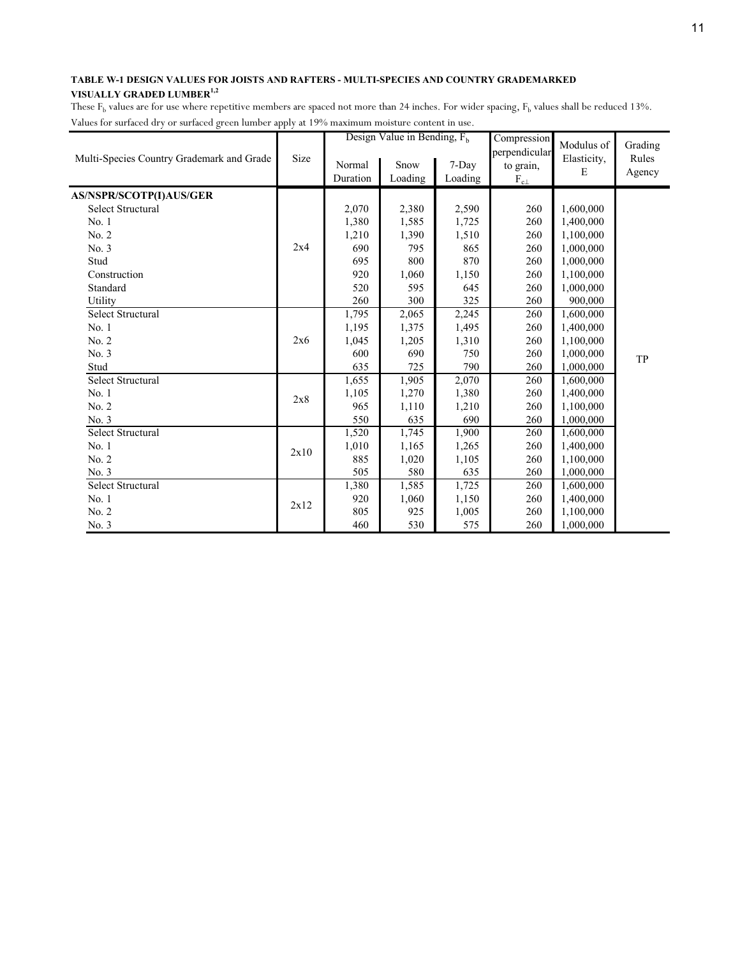|                                           |      |                    | Design Value in Bending, $F_h$ |                  | Compression                                    | Modulus of       | Grading         |
|-------------------------------------------|------|--------------------|--------------------------------|------------------|------------------------------------------------|------------------|-----------------|
| Multi-Species Country Grademark and Grade | Size | Normal<br>Duration | Snow<br>Loading                | 7-Day<br>Loading | perpendicular<br>to grain,<br>$\rm F_{c\perp}$ | Elasticity,<br>E | Rules<br>Agency |
| AS/NSPR/SCOTP(I)AUS/GER                   |      |                    |                                |                  |                                                |                  |                 |
| Select Structural                         |      | 2,070              | 2,380                          | 2,590            | 260                                            | 1,600,000        |                 |
| No.1                                      |      | 1,380              | 1,585                          | 1,725            | 260                                            | 1,400,000        |                 |
| No. 2                                     |      | 1,210              | 1,390                          | 1,510            | 260                                            | 1,100,000        |                 |
| No. 3                                     | 2x4  | 690                | 795                            | 865              | 260                                            | 1,000,000        |                 |
| Stud                                      |      | 695                | 800                            | 870              | 260                                            | 1,000,000        |                 |
| Construction                              |      | 920                | 1,060                          | 1,150            | 260                                            | 1,100,000        |                 |
| Standard                                  |      | 520                | 595                            | 645              | 260                                            | 1,000,000        |                 |
| Utility                                   |      | 260                | 300                            | 325              | 260                                            | 900,000          |                 |
| Select Structural                         |      | 1,795              | 2,065                          | 2,245            | 260                                            | 1,600,000        |                 |
| No. 1                                     |      | 1,195              | 1,375                          | 1,495            | 260                                            | 1,400,000        |                 |
| No. 2                                     | 2x6  | 1,045              | 1,205                          | 1,310            | 260                                            | 1,100,000        |                 |
| No. 3                                     |      | 600                | 690                            | 750              | 260                                            | 1,000,000        | TP              |
| Stud                                      |      | 635                | 725                            | 790              | 260                                            | 1,000,000        |                 |
| Select Structural                         |      | 1,655              | 1,905                          | 2,070            | 260                                            | 1,600,000        |                 |
| No. 1                                     | 2x8  | 1,105              | 1,270                          | 1,380            | 260                                            | 1,400,000        |                 |
| No. 2                                     |      | 965                | 1,110                          | 1,210            | 260                                            | 1,100,000        |                 |
| No. 3                                     |      | 550                | 635                            | 690              | 260                                            | 1,000,000        |                 |
| <b>Select Structural</b>                  |      | 1,520              | 1,745                          | 1,900            | 260                                            | 1,600,000        |                 |
| No. 1                                     | 2x10 | 1,010              | 1,165                          | 1,265            | 260                                            | 1,400,000        |                 |
| No. 2                                     |      | 885                | 1,020                          | 1,105            | 260                                            | 1,100,000        |                 |
| No. 3                                     |      | 505                | 580                            | 635              | 260                                            | 1,000,000        |                 |
| <b>Select Structural</b>                  |      | 1,380              | 1,585                          | 1,725            | 260                                            | 1,600,000        |                 |
| No. 1                                     | 2x12 | 920                | 1,060                          | 1,150            | 260                                            | 1,400,000        |                 |
| No. 2                                     |      | 805                | 925                            | 1,005            | 260                                            | 1,100,000        |                 |
| No. 3                                     |      | 460                | 530                            | 575              | 260                                            | 1,000,000        |                 |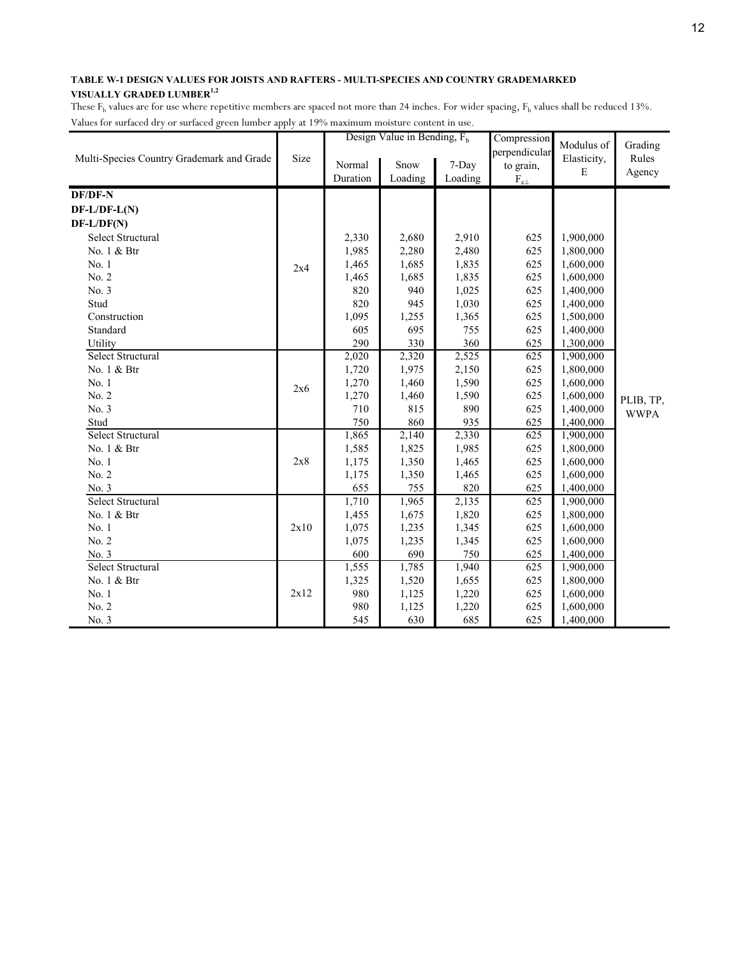|                                           |      |          | Design Value in Bending, $F_h$ |         | Compression      | Modulus of  | Grading     |
|-------------------------------------------|------|----------|--------------------------------|---------|------------------|-------------|-------------|
| Multi-Species Country Grademark and Grade | Size |          |                                |         | perpendicular    | Elasticity, | Rules       |
|                                           |      | Normal   | Snow                           | 7-Day   | to grain,        | E           | Agency      |
|                                           |      | Duration | Loading                        | Loading | $\rm F_{c\perp}$ |             |             |
| <b>DF/DF-N</b>                            |      |          |                                |         |                  |             |             |
| $DF-L/DF-L(N)$                            |      |          |                                |         |                  |             |             |
| $DF-L/DF(N)$                              |      |          |                                |         |                  |             |             |
| <b>Select Structural</b>                  |      | 2,330    | 2,680                          | 2,910   | 625              | 1,900,000   |             |
| No. 1 & Btr                               |      | 1,985    | 2,280                          | 2,480   | 625              | 1,800,000   |             |
| No.1                                      | 2x4  | 1,465    | 1,685                          | 1,835   | 625              | 1,600,000   |             |
| No. 2                                     |      | 1,465    | 1,685                          | 1,835   | 625              | 1,600,000   |             |
| No. 3                                     |      | 820      | 940                            | 1,025   | 625              | 1,400,000   |             |
| Stud                                      |      | 820      | 945                            | 1,030   | 625              | 1,400,000   |             |
| Construction                              |      | 1,095    | 1,255                          | 1,365   | 625              | 1,500,000   |             |
| Standard                                  |      | 605      | 695                            | 755     | 625              | 1,400,000   |             |
| Utility                                   |      | 290      | 330                            | 360     | 625              | 1,300,000   |             |
| Select Structural                         |      | 2,020    | 2,320                          | 2,525   | 625              | 1,900,000   |             |
| No. 1 & Btr                               |      | 1,720    | 1,975                          | 2,150   | 625              | 1,800,000   |             |
| No. 1                                     | 2x6  | 1,270    | 1,460                          | 1,590   | 625              | 1,600,000   |             |
| No. 2                                     |      | 1,270    | 1,460                          | 1,590   | 625              | 1,600,000   | PLIB, TP,   |
| No. 3                                     |      | 710      | 815                            | 890     | 625              | 1,400,000   | <b>WWPA</b> |
| Stud                                      |      | 750      | 860                            | 935     | 625              | 1,400,000   |             |
| Select Structural                         |      | 1,865    | 2,140                          | 2,330   | 625              | 1,900,000   |             |
| No. 1 & Btr                               |      | 1,585    | 1,825                          | 1,985   | 625              | 1,800,000   |             |
| No. 1                                     | 2x8  | 1,175    | 1,350                          | 1,465   | 625              | 1,600,000   |             |
| No. 2                                     |      | 1,175    | 1,350                          | 1,465   | 625              | 1,600,000   |             |
| No. 3                                     |      | 655      | 755                            | 820     | 625              | 1,400,000   |             |
| Select Structural                         |      | 1,710    | 1,965                          | 2,135   | 625              | 1,900,000   |             |
| No. 1 & Btr                               |      | 1,455    | 1,675                          | 1,820   | 625              | 1,800,000   |             |
| No. 1                                     | 2x10 | 1,075    | 1,235                          | 1,345   | 625              | 1,600,000   |             |
| No. 2                                     |      | 1,075    | 1,235                          | 1,345   | 625              | 1,600,000   |             |
| No. 3                                     |      | 600      | 690                            | 750     | 625              | 1,400,000   |             |
| Select Structural                         |      | 1,555    | 1,785                          | 1,940   | 625              | 1,900,000   |             |
| No. 1 & Btr                               |      | 1,325    | 1,520                          | 1,655   | 625              | 1,800,000   |             |
| No. 1                                     | 2x12 | 980      | 1,125                          | 1,220   | 625              | 1,600,000   |             |
| No. 2                                     |      | 980      | 1,125                          | 1,220   | 625              | 1,600,000   |             |
| No. 3                                     |      | 545      | 630                            | 685     | 625              | 1,400,000   |             |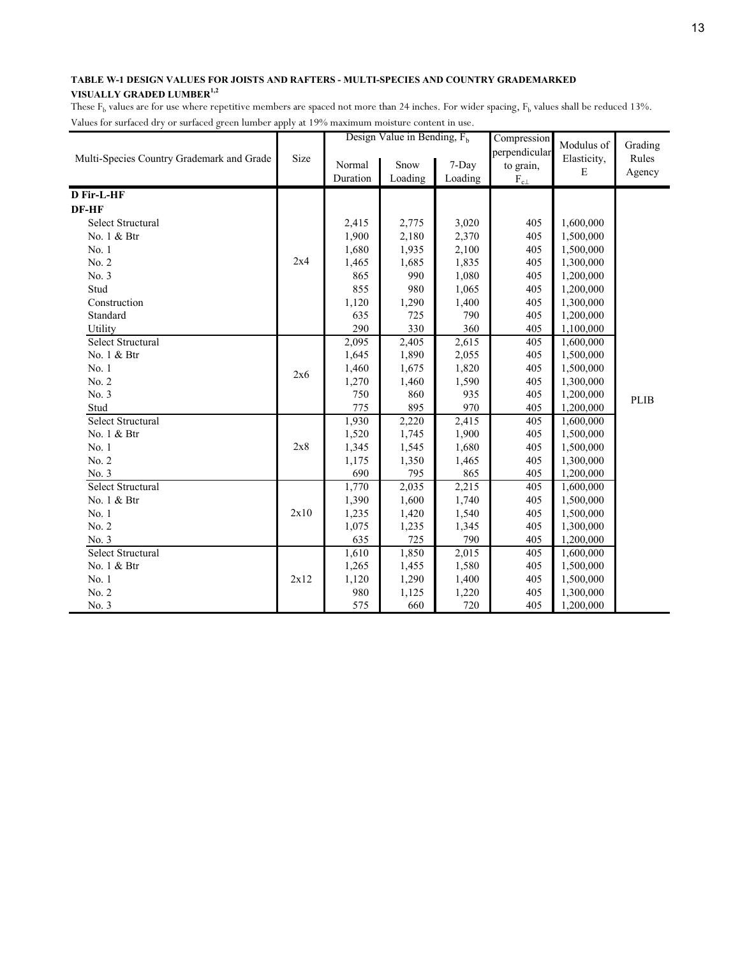|                                           |      | Design Value in Bending, $F_h$ |         |                    | Compression<br>perpendicular | Modulus of  | Grading |
|-------------------------------------------|------|--------------------------------|---------|--------------------|------------------------------|-------------|---------|
| Multi-Species Country Grademark and Grade | Size | Normal                         | Snow    | 7-Day              | to grain,                    | Elasticity, | Rules   |
|                                           |      | Duration                       | Loading | Loading            | $\rm F_{c\perp}$             | E           | Agency  |
| D Fir-L-HF                                |      |                                |         |                    |                              |             |         |
|                                           |      |                                |         |                    |                              |             |         |
| DF-HF                                     |      |                                |         |                    |                              |             |         |
| Select Structural                         |      | 2,415                          | 2,775   | 3,020              | 405                          | 1,600,000   |         |
| No. 1 & Btr                               |      | 1,900                          | 2,180   | 2,370              | 405                          | 1,500,000   |         |
| No. 1                                     |      | 1,680                          | 1,935   | 2,100              | 405                          | 1,500,000   |         |
| No. 2                                     | 2x4  | 1,465                          | 1,685   | 1,835              | 405                          | 1,300,000   |         |
| No. 3                                     |      | 865                            | 990     | 1,080              | 405                          | 1,200,000   |         |
| Stud                                      |      | 855                            | 980     | 1,065              | 405                          | 1,200,000   |         |
| Construction                              |      | 1,120                          | 1,290   | 1,400              | 405                          | 1,300,000   |         |
| Standard                                  |      | 635                            | 725     | 790                | 405                          | 1,200,000   |         |
| Utility                                   |      | 290                            | 330     | 360                | 405                          | 1,100,000   |         |
| Select Structural                         |      | 2,095                          | 2,405   | 2,615              | 405                          | 1,600,000   |         |
| No. 1 & Btr                               |      | 1,645                          | 1,890   | 2,055              | 405                          | 1,500,000   |         |
| No. 1                                     | 2x6  | 1,460                          | 1,675   | 1,820              | 405                          | 1,500,000   |         |
| No. 2                                     |      | 1,270                          | 1,460   | 1,590              | 405                          | 1,300,000   |         |
| No. 3                                     |      | 750                            | 860     | 935                | 405                          | 1,200,000   | PLIB    |
| Stud                                      |      | 775                            | 895     | 970                | 405                          | 1,200,000   |         |
| <b>Select Structural</b>                  |      | 1,930                          | 2,220   | 2,415              | 405                          | 1,600,000   |         |
| No. 1 & Btr                               |      | 1,520                          | 1,745   | 1,900              | 405                          | 1,500,000   |         |
| No. 1                                     | 2x8  | 1,345                          | 1,545   | 1,680              | 405                          | 1,500,000   |         |
| No. 2                                     |      | 1,175                          | 1,350   | 1,465              | 405                          | 1,300,000   |         |
| No. 3                                     |      | 690                            | 795     | 865                | 405                          | 1,200,000   |         |
| <b>Select Structural</b>                  |      | 1,770                          | 2,035   | 2,215              | 405                          | 1,600,000   |         |
| No. 1 & Btr                               |      | 1,390                          | 1,600   | 1,740              | 405                          | 1,500,000   |         |
| No. 1                                     | 2x10 | 1,235                          | 1,420   | 1,540              | 405                          | 1,500,000   |         |
| No. 2                                     |      | 1,075                          | 1,235   | 1,345              | 405                          | 1,300,000   |         |
| No. 3                                     |      | 635                            | 725     | 790                | 405                          | 1,200,000   |         |
| <b>Select Structural</b>                  |      | 1,610                          | 1,850   | $\overline{2,015}$ | 405                          | 1,600,000   |         |
| No. 1 & Btr                               |      | 1,265                          | 1,455   | 1,580              | 405                          | 1,500,000   |         |
| No. 1                                     | 2x12 | 1,120                          | 1,290   | 1,400              | 405                          | 1,500,000   |         |
| No. 2                                     |      | 980                            | 1,125   | 1,220              | 405                          | 1,300,000   |         |
| No. 3                                     |      | 575                            | 660     | 720                | 405                          | 1,200,000   |         |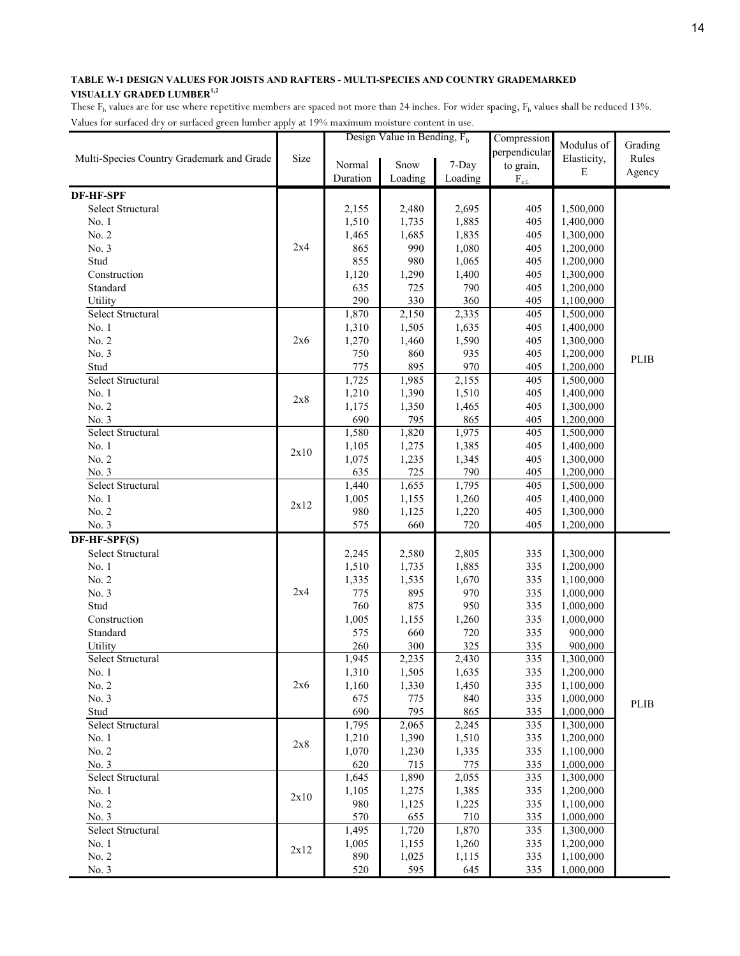|                                           |      |                | Design Value in Bending, $F_h$ |                | Compression      | Modulus of             | Grading     |
|-------------------------------------------|------|----------------|--------------------------------|----------------|------------------|------------------------|-------------|
| Multi-Species Country Grademark and Grade | Size |                |                                |                | perpendicular    | Elasticity,            | Rules       |
|                                           |      | Normal         | Snow                           | 7-Day          | to grain,        | E                      | Agency      |
|                                           |      | Duration       | Loading                        | Loading        | $\rm F_{c\perp}$ |                        |             |
| <b>DF-HF-SPF</b>                          |      |                |                                |                |                  |                        |             |
| Select Structural                         |      | 2,155          | 2,480                          | 2,695          | 405              | 1,500,000              |             |
| No. 1                                     |      | 1,510          | 1,735                          | 1,885          | 405              | 1,400,000              |             |
| No. 2                                     |      | 1,465          | 1,685                          | 1,835          | 405              | 1,300,000              |             |
| No. 3                                     | 2x4  | 865            | 990                            | 1,080          | 405              | 1,200,000              |             |
| Stud                                      |      | 855            | 980                            | 1,065          | 405              | 1,200,000              |             |
| Construction                              |      | 1,120          | 1,290                          | 1,400          | 405              | 1,300,000              |             |
| Standard                                  |      | 635            | 725                            | 790            | 405              | 1,200,000              |             |
| Utility                                   |      | 290            | 330                            | 360            | 405              | 1,100,000              |             |
| Select Structural                         |      | 1,870          | 2,150                          | 2,335          | 405              | 1,500,000              |             |
| No. 1                                     |      | 1,310          | 1,505                          | 1,635          | 405              | 1,400,000              |             |
| No. 2                                     | 2x6  | 1,270          | 1,460                          | 1,590          | 405              | 1,300,000              |             |
| No. 3                                     |      | 750            | 860                            | 935            | 405              | 1,200,000              | <b>PLIB</b> |
| Stud                                      |      | 775            | 895                            | 970            | 405              | 1,200,000              |             |
| Select Structural                         |      | 1,725          | 1,985                          | 2,155          | 405              | 1,500,000              |             |
| No. 1                                     | 2x8  | 1,210          | 1,390                          | 1,510          | 405              | 1,400,000              |             |
| No. 2                                     |      | 1,175          | 1,350                          | 1,465          | 405              | 1,300,000              |             |
| No. 3                                     |      | 690            | 795                            | 865            | 405              | 1,200,000              |             |
| Select Structural                         |      | 1,580          | 1,820                          | 1,975          | 405              | 1,500,000              |             |
| No. 1                                     | 2x10 | 1,105          | 1,275                          | 1,385          | 405              | 1,400,000              |             |
| No. 2                                     |      | 1,075          | 1,235                          | 1,345          | 405              | 1,300,000              |             |
| No. 3<br>Select Structural                |      | 635            | 725                            | 790            | 405<br>405       | 1,200,000              |             |
| No. 1                                     |      | 1,440<br>1,005 | 1,655<br>1,155                 | 1,795<br>1,260 | 405              | 1,500,000<br>1,400,000 |             |
| No. 2                                     | 2x12 | 980            | 1,125                          | 1,220          | 405              | 1,300,000              |             |
| No. 3                                     |      | 575            | 660                            | 720            | 405              | 1,200,000              |             |
| DF-HF-SPF(S)                              |      |                |                                |                |                  |                        |             |
| Select Structural                         |      | 2,245          | 2,580                          | 2,805          | 335              | 1,300,000              |             |
| No. 1                                     |      | 1,510          | 1,735                          | 1,885          | 335              | 1,200,000              |             |
| No. 2                                     |      | 1,335          | 1,535                          | 1,670          | 335              | 1,100,000              |             |
| No. 3                                     | 2x4  | 775            | 895                            | 970            | 335              | 1,000,000              |             |
| Stud                                      |      | 760            | 875                            | 950            | 335              | 1,000,000              |             |
| Construction                              |      | 1,005          | 1,155                          | 1,260          | 335              | 1,000,000              |             |
| Standard                                  |      | 575            | 660                            | 720            | 335              | 900,000                |             |
| Utility                                   |      | 260            | 300                            | 325            | 335              | 900,000                |             |
| Select Structural                         |      | 1,945          | 2,235                          | 2,430          | 335              | 1,300,000              |             |
| No. 1                                     |      | 1,310          | 1,505                          | 1,635          | 335              | 1,200,000              |             |
| No. 2                                     | 2x6  | 1,160          | 1,330                          | 1,450          | 335              | 1,100,000              |             |
| No. 3                                     |      | 675            | 775                            | 840            | 335              | 1,000,000              | PLIB        |
| Stud                                      |      | 690            | 795                            | 865            | 335              | 1,000,000              |             |
| Select Structural                         |      | 1,795          | 2,065                          | 2,245          | 335              | 1,300,000              |             |
| No. 1                                     | 2x8  | 1,210          | 1,390                          | 1,510          | 335              | 1,200,000              |             |
| No. 2                                     |      | 1,070          | 1,230                          | 1,335          | 335              | 1,100,000              |             |
| No. 3                                     |      | 620            | 715                            | 775            | 335              | 1,000,000              |             |
| <b>Select Structural</b>                  |      | 1,645          | 1,890                          | 2,055          | 335              | 1,300,000              |             |
| No. 1                                     | 2x10 | 1,105          | 1,275                          | 1,385          | 335              | 1,200,000              |             |
| No. 2                                     |      | 980            | 1,125                          | 1,225          | 335              | 1,100,000              |             |
| No. 3                                     |      | 570            | 655                            | 710            | 335              | 1,000,000              |             |
| Select Structural                         |      | 1,495          | 1,720                          | 1,870          | 335              | 1,300,000              |             |
| No. 1                                     | 2x12 | 1,005          | 1,155                          | 1,260          | 335              | 1,200,000              |             |
| No. 2                                     |      | 890            | 1,025                          | 1,115          | 335              | 1,100,000              |             |
| No. 3                                     |      | 520            | 595                            | 645            | 335              | 1,000,000              |             |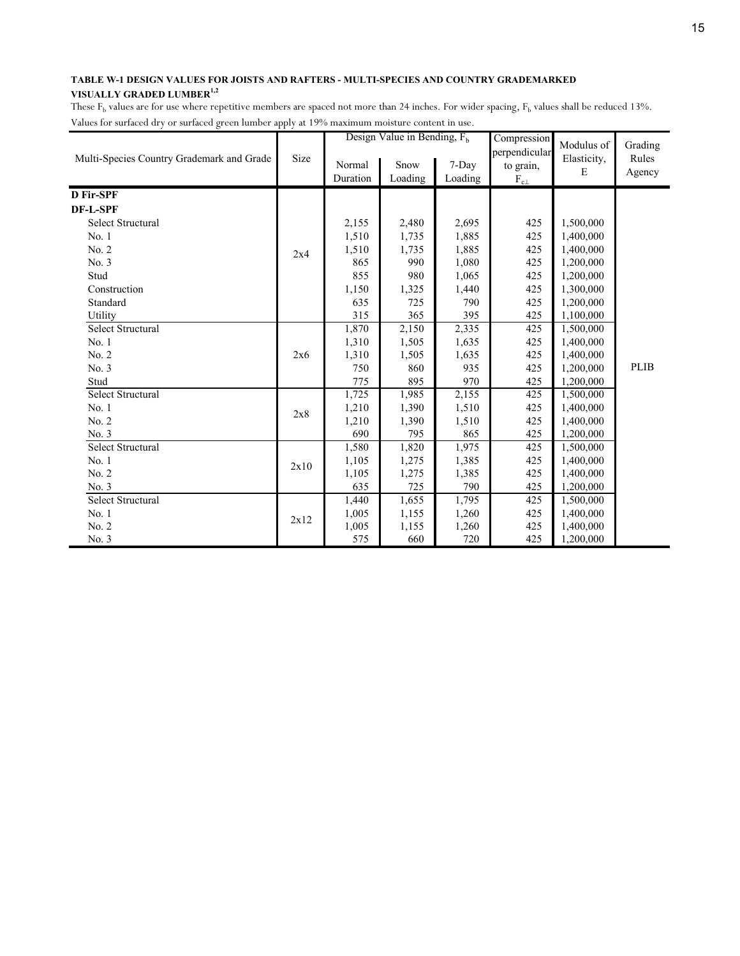|                                           |      |          | Design Value in Bending, $F_h$ |         | Compression                | Modulus of  | Grading |
|-------------------------------------------|------|----------|--------------------------------|---------|----------------------------|-------------|---------|
| Multi-Species Country Grademark and Grade | Size | Normal   | Snow                           | 7-Day   | perpendicular<br>to grain, | Elasticity, | Rules   |
|                                           |      | Duration | Loading                        | Loading | $F_{c\perp}$               | E           | Agency  |
| D Fir-SPF                                 |      |          |                                |         |                            |             |         |
|                                           |      |          |                                |         |                            |             |         |
| DF-L-SPF                                  |      |          |                                |         |                            |             |         |
| Select Structural                         |      | 2,155    | 2,480                          | 2,695   | 425                        | 1,500,000   |         |
| No.1                                      |      | 1,510    | 1,735                          | 1,885   | 425                        | 1,400,000   |         |
| No. 2                                     | 2x4  | 1,510    | 1,735                          | 1,885   | 425                        | 1,400,000   |         |
| No. 3                                     |      | 865      | 990                            | 1,080   | 425                        | 1,200,000   |         |
| Stud                                      |      | 855      | 980                            | 1,065   | 425                        | 1,200,000   |         |
| Construction                              |      | 1,150    | 1,325                          | 1,440   | 425                        | 1,300,000   |         |
| Standard                                  |      | 635      | 725                            | 790     | 425                        | 1,200,000   |         |
| Utility                                   |      | 315      | 365                            | 395     | 425                        | 1,100,000   |         |
| Select Structural                         |      | 1,870    | 2,150                          | 2,335   | 425                        | 1,500,000   |         |
| No. 1                                     |      | 1,310    | 1,505                          | 1,635   | 425                        | 1,400,000   |         |
| No. 2                                     | 2x6  | 1,310    | 1,505                          | 1,635   | 425                        | 1,400,000   |         |
| No. 3                                     |      | 750      | 860                            | 935     | 425                        | 1,200,000   | PLIB    |
| Stud                                      |      | 775      | 895                            | 970     | 425                        | 1,200,000   |         |
| Select Structural                         |      | 1,725    | 1,985                          | 2,155   | 425                        | 1,500,000   |         |
| No. 1                                     | 2x8  | 1,210    | 1,390                          | 1,510   | 425                        | 1,400,000   |         |
| No. 2                                     |      | 1,210    | 1,390                          | 1,510   | 425                        | 1,400,000   |         |
| No. 3                                     |      | 690      | 795                            | 865     | 425                        | 1,200,000   |         |
| Select Structural                         |      | 1,580    | 1,820                          | 1,975   | 425                        | 1,500,000   |         |
| No. 1                                     | 2x10 | 1,105    | 1,275                          | 1,385   | 425                        | 1,400,000   |         |
| No. 2                                     |      | 1,105    | 1,275                          | 1,385   | 425                        | 1,400,000   |         |
| No. 3                                     |      | 635      | 725                            | 790     | 425                        | 1,200,000   |         |
| Select Structural                         |      | 1,440    | 1,655                          | 1,795   | 425                        | 1,500,000   |         |
| No. 1                                     |      | 1,005    | 1,155                          | 1,260   | 425                        | 1,400,000   |         |
| No. 2                                     | 2x12 | 1,005    | 1,155                          | 1,260   | 425                        | 1,400,000   |         |
| No. 3                                     |      | 575      | 660                            | 720     | 425                        | 1,200,000   |         |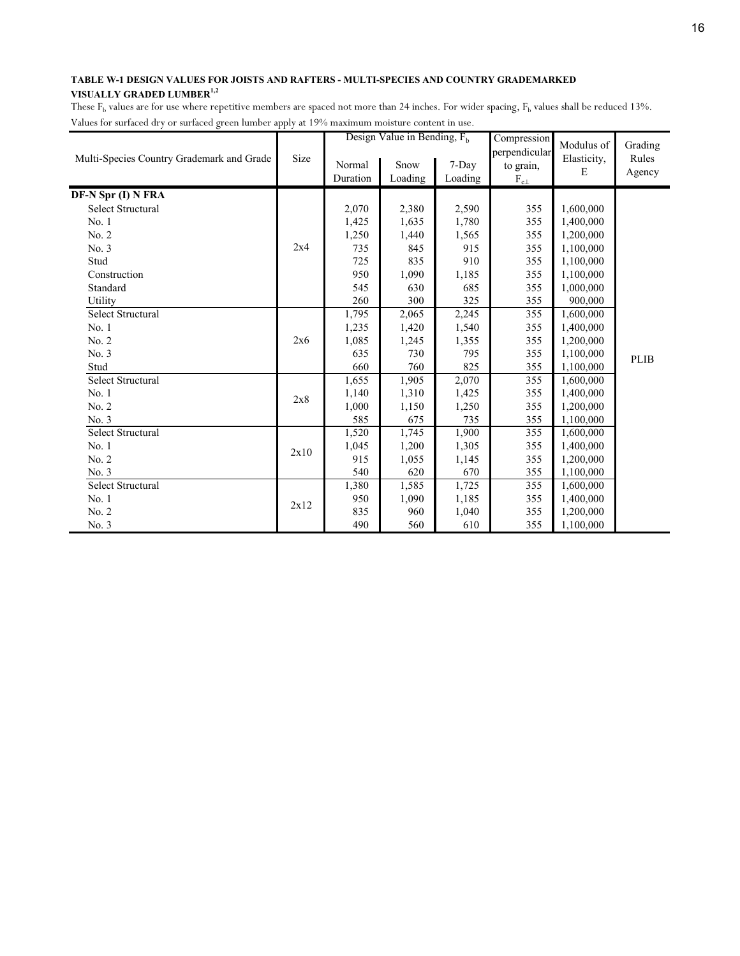|                                           |      |                    | Design Value in Bending, $F_h$ |                  | Compression                                | Modulus of       | Grading         |
|-------------------------------------------|------|--------------------|--------------------------------|------------------|--------------------------------------------|------------------|-----------------|
| Multi-Species Country Grademark and Grade | Size | Normal<br>Duration | Snow<br>Loading                | 7-Day<br>Loading | perpendicular<br>to grain,<br>$F_{c\perp}$ | Elasticity,<br>E | Rules<br>Agency |
| DF-N Spr (I) N FRA                        |      |                    |                                |                  |                                            |                  |                 |
| Select Structural                         |      | 2,070              | 2,380                          | 2,590            | 355                                        | 1,600,000        |                 |
| No.1                                      |      | 1,425              | 1,635                          | 1,780            | 355                                        | 1,400,000        |                 |
| No. 2                                     |      | 1,250              | 1,440                          | 1,565            | 355                                        | 1,200,000        |                 |
| No. 3                                     | 2x4  | 735                | 845                            | 915              | 355                                        | 1,100,000        |                 |
| Stud                                      |      | 725                | 835                            | 910              | 355                                        | 1,100,000        |                 |
| Construction                              |      | 950                | 1,090                          | 1,185            | 355                                        | 1,100,000        |                 |
| Standard                                  |      | 545                | 630                            | 685              | 355                                        | 1,000,000        |                 |
| Utility                                   |      | 260                | 300                            | 325              | 355                                        | 900,000          |                 |
| Select Structural                         |      | 1,795              | 2,065                          | 2,245            | 355                                        | 1,600,000        |                 |
| No. 1                                     |      | 1,235              | 1,420                          | 1,540            | 355                                        | 1,400,000        |                 |
| No. 2                                     | 2x6  | 1,085              | 1,245                          | 1,355            | 355                                        | 1,200,000        |                 |
| No. 3                                     |      | 635                | 730                            | 795              | 355                                        | 1,100,000        | PLIB            |
| Stud                                      |      | 660                | 760                            | 825              | 355                                        | 1,100,000        |                 |
| <b>Select Structural</b>                  |      | 1,655              | 1,905                          | 2,070            | 355                                        | 1,600,000        |                 |
| No.1                                      | 2x8  | 1,140              | 1,310                          | 1,425            | 355                                        | 1,400,000        |                 |
| No. 2                                     |      | 1,000              | 1,150                          | 1,250            | 355                                        | 1,200,000        |                 |
| No. 3                                     |      | 585                | 675                            | 735              | 355                                        | 1,100,000        |                 |
| Select Structural                         |      | 1,520              | 1,745                          | 1,900            | 355                                        | 1,600,000        |                 |
| No. 1                                     | 2x10 | 1,045              | 1,200                          | 1,305            | 355                                        | 1,400,000        |                 |
| No. 2                                     |      | 915                | 1,055                          | 1,145            | 355                                        | 1,200,000        |                 |
| No. 3                                     |      | 540                | 620                            | 670              | 355                                        | 1,100,000        |                 |
| Select Structural                         |      | 1,380              | 1,585                          | 1,725            | 355                                        | 1,600,000        |                 |
| No. 1                                     | 2x12 | 950                | 1,090                          | 1,185            | 355                                        | 1,400,000        |                 |
| No. 2                                     |      | 835                | 960                            | 1,040            | 355                                        | 1,200,000        |                 |
| No. 3                                     |      | 490                | 560                            | 610              | 355                                        | 1,100,000        |                 |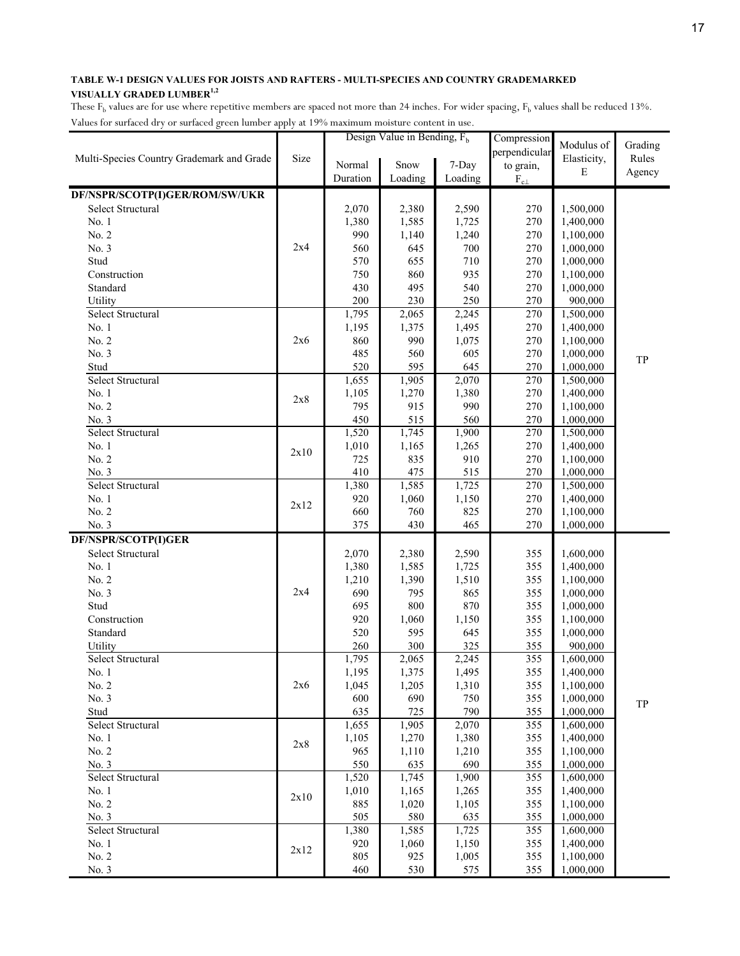| hacs for surfaced ary or surfaced green famoer upply at 1976 maximum moisture content in |      |            | Design Value in Bending, $F_h$ |              | Compression   |                        |         |
|------------------------------------------------------------------------------------------|------|------------|--------------------------------|--------------|---------------|------------------------|---------|
|                                                                                          |      |            |                                |              | perpendicular | Modulus of             | Grading |
| Multi-Species Country Grademark and Grade                                                | Size | Normal     | Snow                           | 7-Day        | to grain,     | Elasticity,            | Rules   |
|                                                                                          |      | Duration   | Loading                        | Loading      |               | E                      | Agency  |
|                                                                                          |      |            |                                |              | $F_{c\perp}$  |                        |         |
| DF/NSPR/SCOTP(I)GER/ROM/SW/UKR                                                           |      |            |                                |              |               |                        |         |
| Select Structural                                                                        |      | 2,070      | 2,380                          | 2,590        | 270           | 1,500,000              |         |
| No. 1                                                                                    |      | 1,380      | 1,585                          | 1,725        | 270           | 1,400,000              |         |
| No. 2                                                                                    |      | 990        | 1,140                          | 1,240        | 270           | 1,100,000              |         |
| No. 3                                                                                    | 2x4  | 560        | 645                            | 700          | 270           | 1,000,000              |         |
| Stud                                                                                     |      | 570        | 655                            | 710          | 270           | 1,000,000              |         |
| Construction                                                                             |      | 750        | 860                            | 935          | 270           | 1,100,000              |         |
| Standard                                                                                 |      | 430        | 495                            | 540          | 270           | 1,000,000              |         |
| Utility                                                                                  |      | 200        | 230                            | 250          | 270           | 900,000                |         |
| Select Structural                                                                        |      | 1,795      | 2,065                          | 2,245        | 270           | 1,500,000              |         |
| No. 1                                                                                    |      | 1,195      | 1,375                          | 1,495        | 270           | 1,400,000              |         |
| No. 2                                                                                    | 2x6  | 860        | 990                            | 1,075        | 270           | 1,100,000              |         |
| No. 3                                                                                    |      | 485        | 560                            | 605          | 270           | 1,000,000              | TP      |
| Stud                                                                                     |      | 520        | 595                            | 645          | 270           | 1,000,000              |         |
| <b>Select Structural</b>                                                                 |      | 1,655      | 1,905                          | 2,070        | 270           | 1,500,000              |         |
| No. 1                                                                                    | 2x8  | 1,105      | 1,270                          | 1,380        | 270           | 1,400,000              |         |
| No. 2                                                                                    |      | 795        | 915                            | 990          | 270           | 1,100,000              |         |
| No. 3                                                                                    |      | 450        | 515                            | 560          | 270           | 1,000,000              |         |
| <b>Select Structural</b>                                                                 |      | 1,520      | 1,745                          | 1,900        | 270           | 1,500,000              |         |
| No. 1                                                                                    | 2x10 | 1,010      | 1,165                          | 1,265        | 270           | 1,400,000              |         |
| No. 2                                                                                    |      | 725        | 835                            | 910          | 270           | 1,100,000              |         |
| No. 3                                                                                    |      | 410        | 475                            | 515          | 270           | 1,000,000              |         |
| Select Structural                                                                        |      | 1,380      | 1,585                          | 1,725        | 270           | 1,500,000              |         |
| No. 1                                                                                    | 2x12 | 920        | 1,060                          | 1,150        | 270           | 1,400,000              |         |
| No. 2                                                                                    |      | 660        | 760                            | 825          | 270           | 1,100,000              |         |
| No. 3                                                                                    |      | 375        | 430                            | 465          | 270           | 1,000,000              |         |
| DF/NSPR/SCOTP(I)GER                                                                      |      |            |                                |              |               |                        |         |
| Select Structural                                                                        |      | 2,070      | 2,380                          | 2,590        | 355           | 1,600,000              |         |
| No. 1                                                                                    |      | 1,380      | 1,585                          | 1,725        | 355           | 1,400,000              |         |
| No. 2                                                                                    |      | 1,210      | 1,390                          | 1,510        | 355           | 1,100,000              |         |
| No. 3                                                                                    | 2x4  | 690        | 795                            | 865          | 355           | 1,000,000              |         |
| Stud                                                                                     |      | 695        | 800                            | 870          | 355           | 1,000,000              |         |
| Construction                                                                             |      | 920        | 1,060                          | 1,150        | 355           | 1,100,000              |         |
| Standard                                                                                 |      | 520        | 595                            | 645          | 355           | 1,000,000              |         |
| Utility                                                                                  |      | 260        | 300                            | 325          | 355           | 900,000                |         |
| Select Structural                                                                        |      | 1,795      | 2,065                          | 2,245        | 355           | 1,600,000              |         |
| No. 1                                                                                    |      | 1,195      | 1,375                          | 1,495        | 355           | 1,400,000              |         |
| No. 2                                                                                    | 2x6  | 1,045      | 1,205                          | 1,310        | 355           | 1,100,000              |         |
| No. 3                                                                                    |      | 600        | 690                            | 750          | 355           | 1,000,000              | TP      |
| Stud                                                                                     |      | 635        | 725                            | 790          | 355           | 1,000,000              |         |
| Select Structural                                                                        |      | 1,655      | 1,905                          | 2,070        | 355           | 1,600,000              |         |
| No. 1                                                                                    | 2x8  | 1,105      | 1,270                          | 1,380        | 355           | 1,400,000              |         |
| No. 2                                                                                    |      | 965        | 1,110                          | 1,210        | 355           | 1,100,000              |         |
| No. 3                                                                                    |      | 550        | 635                            | 690          | 355           | 1,000,000              |         |
| Select Structural                                                                        |      | 1,520      | 1,745                          | 1,900        | 355           | 1,600,000              |         |
| No. 1                                                                                    | 2x10 | 1,010      | 1,165                          | 1,265        | 355           | 1,400,000              |         |
| No. 2                                                                                    |      | 885        | 1,020                          | 1,105        | 355           | 1,100,000              |         |
| No. 3                                                                                    |      | 505        | 580                            | 635          | 355           | 1,000,000              |         |
| Select Structural                                                                        |      | 1,380      | 1,585                          | 1,725        | 355           | 1,600,000              |         |
| No. 1                                                                                    | 2x12 | 920        | 1,060                          | 1,150        | 355           | 1,400,000              |         |
| No. 2                                                                                    |      | 805<br>460 | 925                            | 1,005<br>575 | 355           | 1,100,000<br>1,000,000 |         |
| No. 3                                                                                    |      |            | 530                            |              | 355           |                        |         |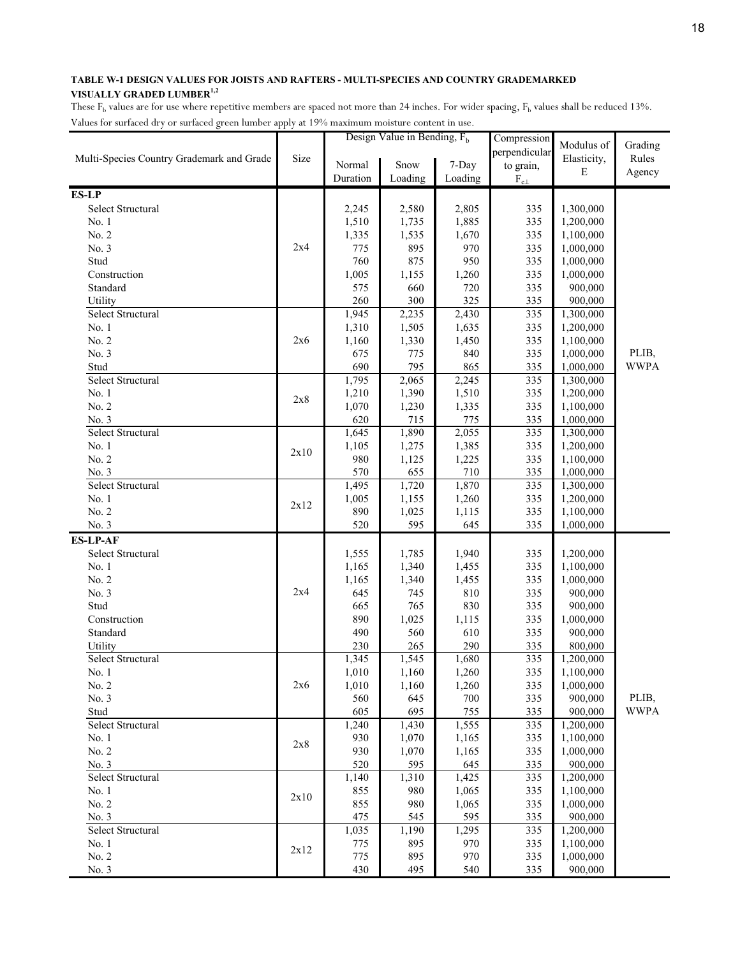|                                           |      |                | Design Value in Bending, $F_h$ |                | Compression      | Modulus of             | Grading     |
|-------------------------------------------|------|----------------|--------------------------------|----------------|------------------|------------------------|-------------|
| Multi-Species Country Grademark and Grade | Size |                |                                |                | perpendicular    | Elasticity,            | Rules       |
|                                           |      | Normal         | Snow                           | 7-Day          | to grain,        | $\mathbf E$            | Agency      |
|                                           |      | Duration       | Loading                        | Loading        | $\rm F_{c\perp}$ |                        |             |
| <b>ES-LP</b>                              |      |                |                                |                |                  |                        |             |
| Select Structural                         |      | 2,245          | 2,580                          | 2,805          | 335              | 1,300,000              |             |
| No. 1                                     |      | 1,510          | 1,735                          | 1,885          | 335              | 1,200,000              |             |
| No. 2                                     |      | 1,335          | 1,535                          | 1,670          | 335              | 1,100,000              |             |
| No. 3                                     | 2x4  | 775            | 895                            | 970            | 335              | 1,000,000              |             |
| Stud                                      |      | 760            | 875                            | 950            | 335              | 1,000,000              |             |
| Construction                              |      | 1,005          | 1,155                          | 1,260          | 335              | 1,000,000              |             |
| Standard                                  |      | 575            | 660                            | 720            | 335              | 900,000                |             |
| Utility                                   |      | 260            | 300                            | 325            | 335              | 900,000                |             |
| Select Structural                         |      | 1,945          | 2,235                          | 2,430          | 335              | 1,300,000              |             |
| No. 1                                     |      | 1,310          | 1,505                          | 1,635          | 335              | 1,200,000              |             |
| No. 2                                     | 2x6  | 1,160          | 1,330                          | 1,450          | 335              | 1,100,000              |             |
| No. 3                                     |      | 675            | 775                            | 840            | 335              | 1,000,000              | PLIB,       |
| Stud                                      |      | 690            | 795                            | 865            | 335              | 1,000,000              | <b>WWPA</b> |
| Select Structural                         |      | 1,795          | 2,065                          | 2,245          | 335              | 1,300,000              |             |
| No. 1                                     | 2x8  | 1,210          | 1,390                          | 1,510          | 335              | 1,200,000              |             |
| No. 2                                     |      | 1,070          | 1,230                          | 1,335          | 335              | 1,100,000              |             |
| No. 3                                     |      | 620            | 715                            | 775            | 335              | 1,000,000              |             |
| Select Structural                         |      | 1,645          | 1,890                          | 2,055          | 335              | 1,300,000              |             |
| No. 1                                     | 2x10 | 1,105          | 1,275                          | 1,385          | 335              | 1,200,000              |             |
| No. 2                                     |      | 980            | 1,125                          | 1,225          | 335              | 1,100,000              |             |
| No. 3                                     |      | 570            | 655                            | 710            | 335              | 1,000,000              |             |
| Select Structural                         |      | 1,495          | 1,720                          | 1,870          | 335              | 1,300,000              |             |
| No. 1                                     | 2x12 | 1,005          | 1,155                          | 1,260          | 335              | 1,200,000              |             |
| No. 2<br>No. 3                            |      | 890<br>520     | 1,025<br>595                   | 1,115<br>645   | 335<br>335       | 1,100,000<br>1,000,000 |             |
| <b>ES-LP-AF</b>                           |      |                |                                |                |                  |                        |             |
| Select Structural                         |      |                |                                |                |                  |                        |             |
| No. 1                                     |      | 1,555<br>1,165 | 1,785<br>1,340                 | 1,940<br>1,455 | 335<br>335       | 1,200,000<br>1,100,000 |             |
| No. 2                                     |      | 1,165          | 1,340                          | 1,455          | 335              | 1,000,000              |             |
| No. 3                                     | 2x4  | 645            | 745                            | 810            | 335              | 900,000                |             |
| Stud                                      |      | 665            | 765                            | 830            | 335              | 900,000                |             |
| Construction                              |      | 890            | 1,025                          | 1,115          | 335              | 1,000,000              |             |
| Standard                                  |      | 490            | 560                            | 610            | 335              | 900,000                |             |
| Utility                                   |      | 230            | 265                            | 290            | 335              | 800,000                |             |
| Select Structural                         |      | 1,345          | 1,545                          | 1,680          | 335              | 1,200,000              |             |
| No. 1                                     |      | 1,010          | 1,160                          | 1,260          | 335              | 1,100,000              |             |
| No. 2                                     | 2x6  | 1,010          | 1,160                          | 1,260          | 335              | 1,000,000              |             |
| No. 3                                     |      | 560            | 645                            | 700            | 335              | 900,000                | PLIB,       |
| Stud                                      |      | 605            | 695                            | 755            | 335              | 900,000                | <b>WWPA</b> |
| Select Structural                         |      | 1,240          | 1,430                          | 1,555          | 335              | 1,200,000              |             |
| No. 1                                     |      | 930            | 1,070                          | 1,165          | 335              | 1,100,000              |             |
| No. 2                                     | 2x8  | 930            | 1,070                          | 1,165          | 335              | 1,000,000              |             |
| No. 3                                     |      | 520            | 595                            | 645            | 335              | 900,000                |             |
| Select Structural                         |      | 1,140          | 1,310                          | 1,425          | 335              | 1,200,000              |             |
| No. 1                                     |      | 855            | 980                            | 1,065          | 335              | 1,100,000              |             |
| No. 2                                     | 2x10 | 855            | 980                            | 1,065          | 335              | 1,000,000              |             |
| No. 3                                     |      | 475            | 545                            | 595            | 335              | 900,000                |             |
| Select Structural                         |      | 1,035          | 1,190                          | 1,295          | 335              | 1,200,000              |             |
| No. 1                                     |      | 775            | 895                            | 970            | 335              | 1,100,000              |             |
| No. 2                                     | 2x12 | 775            | 895                            | 970            | 335              | 1,000,000              |             |
| No. 3                                     |      | 430            | 495                            | 540            | 335              | 900,000                |             |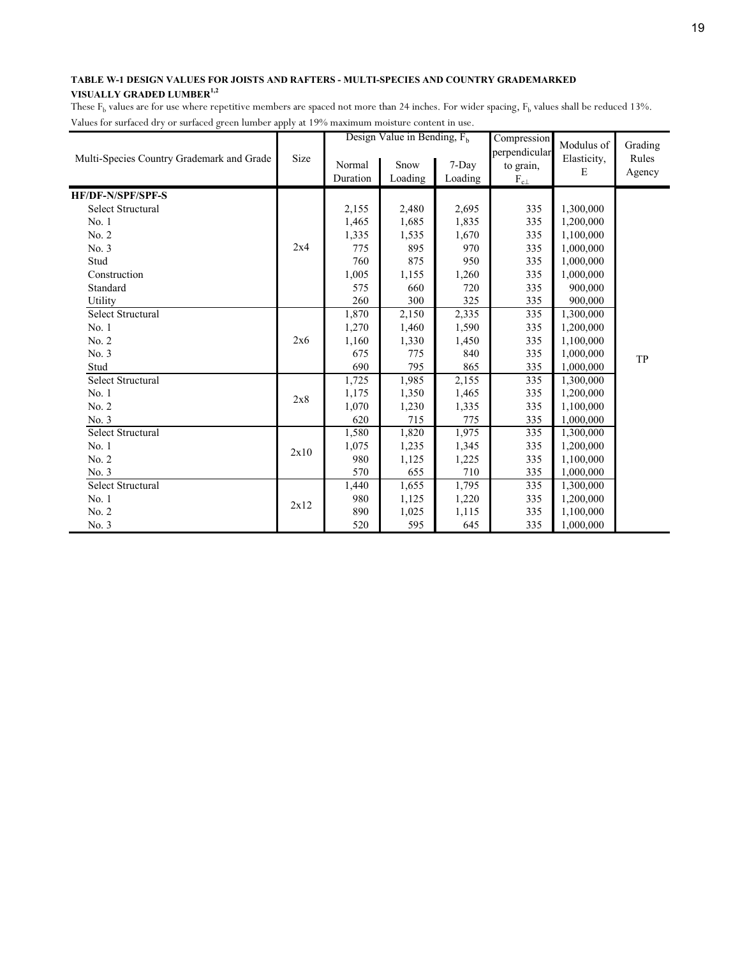|                                           |      |          | Design Value in Bending, $F_h$ |         | Compression                | Modulus of  | Grading |
|-------------------------------------------|------|----------|--------------------------------|---------|----------------------------|-------------|---------|
| Multi-Species Country Grademark and Grade | Size | Normal   | Snow                           | 7-Day   | perpendicular<br>to grain, | Elasticity, | Rules   |
|                                           |      | Duration | Loading                        | Loading | $\rm F_{c\perp}$           | Е           | Agency  |
| <b>HF/DF-N/SPF/SPF-S</b>                  |      |          |                                |         |                            |             |         |
| <b>Select Structural</b>                  |      | 2,155    | 2,480                          | 2,695   | 335                        | 1,300,000   |         |
| No.1                                      |      | 1,465    | 1,685                          | 1,835   | 335                        | 1,200,000   |         |
| No. 2                                     |      | 1,335    | 1,535                          | 1,670   | 335                        | 1,100,000   |         |
| No. 3                                     | 2x4  | 775      | 895                            | 970     | 335                        | 1,000,000   |         |
| Stud                                      |      | 760      | 875                            | 950     | 335                        | 1,000,000   |         |
| Construction                              |      | 1,005    | 1,155                          | 1,260   | 335                        | 1,000,000   |         |
| Standard                                  |      | 575      | 660                            | 720     | 335                        | 900,000     |         |
| Utility                                   |      | 260      | 300                            | 325     | 335                        | 900,000     |         |
| Select Structural                         |      | 1,870    | $\overline{2,}150$             | 2,335   | 335                        | 1,300,000   |         |
| No. 1                                     |      | 1,270    | 1,460                          | 1,590   | 335                        | 1,200,000   |         |
| No. 2                                     | 2x6  | 1,160    | 1,330                          | 1,450   | 335                        | 1,100,000   |         |
| No. 3                                     |      | 675      | 775                            | 840     | 335                        | 1,000,000   | TP      |
| Stud                                      |      | 690      | 795                            | 865     | 335                        | 1,000,000   |         |
| Select Structural                         |      | 1,725    | 1,985                          | 2,155   | 335                        | 1,300,000   |         |
| No.1                                      | 2x8  | 1,175    | 1,350                          | 1,465   | 335                        | 1,200,000   |         |
| No. 2                                     |      | 1,070    | 1,230                          | 1,335   | 335                        | 1,100,000   |         |
| No. 3                                     |      | 620      | 715                            | 775     | 335                        | 1,000,000   |         |
| <b>Select Structural</b>                  |      | 1,580    | 1,820                          | 1,975   | 335                        | 1,300,000   |         |
| No. 1                                     | 2x10 | 1,075    | 1,235                          | 1,345   | 335                        | 1,200,000   |         |
| No. 2                                     |      | 980      | 1,125                          | 1,225   | 335                        | 1,100,000   |         |
| No. 3                                     |      | 570      | 655                            | 710     | 335                        | 1,000,000   |         |
| Select Structural                         |      | 1,440    | 1,655                          | 1,795   | 335                        | 1,300,000   |         |
| No. 1                                     | 2x12 | 980      | 1,125                          | 1,220   | 335                        | 1,200,000   |         |
| No. 2                                     |      | 890      | 1,025                          | 1,115   | 335                        | 1,100,000   |         |
| No. 3                                     |      | 520      | 595                            | 645     | 335                        | 1,000,000   |         |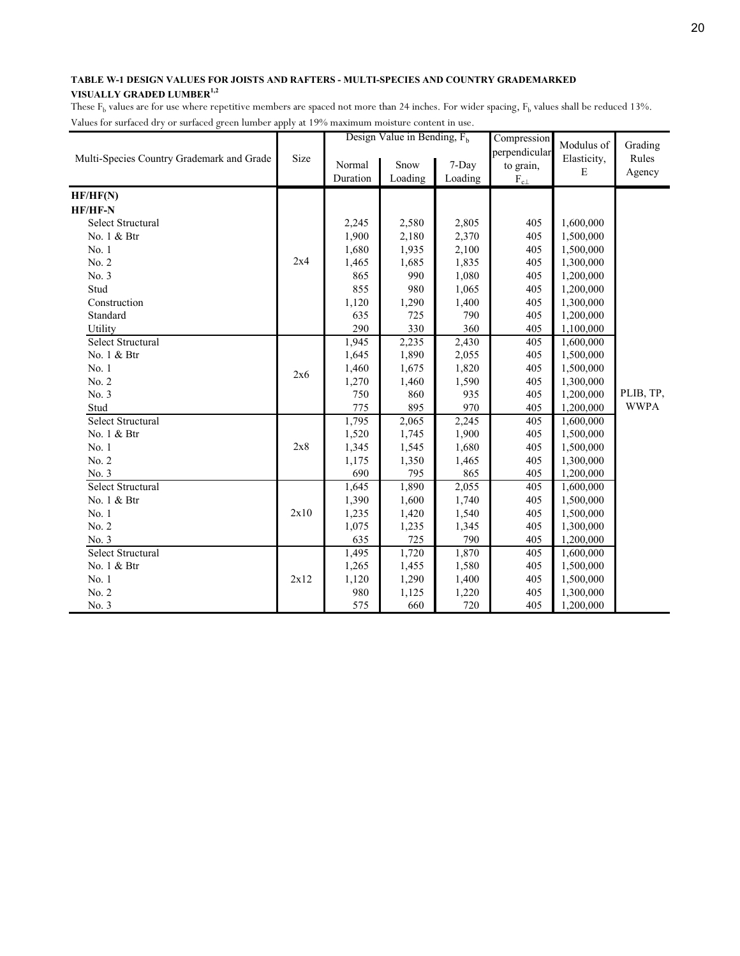|                                           |      |          | Design Value in Bending, $F_h$ |         | Compression      | Modulus of  | Grading     |
|-------------------------------------------|------|----------|--------------------------------|---------|------------------|-------------|-------------|
| Multi-Species Country Grademark and Grade | Size |          |                                |         | perpendicular    | Elasticity, | Rules       |
|                                           |      | Normal   | Snow                           | 7-Day   | to grain,        | E           | Agency      |
|                                           |      | Duration | Loading                        | Loading | $\rm F_{c\perp}$ |             |             |
| HF/HF(N)                                  |      |          |                                |         |                  |             |             |
| HF/HF-N                                   |      |          |                                |         |                  |             |             |
| Select Structural                         |      | 2,245    | 2,580                          | 2,805   | 405              | 1,600,000   |             |
| No. 1 & Btr                               |      | 1,900    | 2,180                          | 2,370   | 405              | 1,500,000   |             |
| No. 1                                     |      | 1,680    | 1,935                          | 2,100   | 405              | 1,500,000   |             |
| No. 2                                     | 2x4  | 1,465    | 1,685                          | 1,835   | 405              | 1,300,000   |             |
| No. 3                                     |      | 865      | 990                            | 1,080   | 405              | 1,200,000   |             |
| Stud                                      |      | 855      | 980                            | 1,065   | 405              | 1,200,000   |             |
| Construction                              |      | 1,120    | 1,290                          | 1,400   | 405              | 1,300,000   |             |
| Standard                                  |      | 635      | 725                            | 790     | 405              | 1,200,000   |             |
| Utility                                   |      | 290      | 330                            | 360     | 405              | 1,100,000   |             |
| Select Structural                         |      | 1,945    | 2,235                          | 2,430   | 405              | 1,600,000   |             |
| No. 1 & Btr                               |      | 1,645    | 1,890                          | 2,055   | 405              | 1,500,000   |             |
| No. 1                                     | 2x6  | 1,460    | 1,675                          | 1,820   | 405              | 1,500,000   |             |
| No. 2                                     |      | 1,270    | 1,460                          | 1,590   | 405              | 1,300,000   |             |
| No. 3                                     |      | 750      | 860                            | 935     | 405              | 1,200,000   | PLIB, TP,   |
| Stud                                      |      | 775      | 895                            | 970     | 405              | 1,200,000   | <b>WWPA</b> |
| <b>Select Structural</b>                  |      | 1,795    | 2,065                          | 2,245   | 405              | 1,600,000   |             |
| No. 1 & Btr                               |      | 1,520    | 1,745                          | 1,900   | 405              | 1,500,000   |             |
| No. 1                                     | 2x8  | 1,345    | 1,545                          | 1,680   | 405              | 1,500,000   |             |
| No. 2                                     |      | 1,175    | 1,350                          | 1,465   | 405              | 1,300,000   |             |
| No. 3                                     |      | 690      | 795                            | 865     | 405              | 1,200,000   |             |
| <b>Select Structural</b>                  |      | 1,645    | 1,890                          | 2,055   | 405              | 1,600,000   |             |
| No. 1 & Btr                               |      | 1,390    | 1,600                          | 1,740   | 405              | 1,500,000   |             |
| No. 1                                     | 2x10 | 1,235    | 1,420                          | 1,540   | 405              | 1,500,000   |             |
| No. 2                                     |      | 1,075    | 1,235                          | 1,345   | 405              | 1,300,000   |             |
| No. 3                                     |      | 635      | 725                            | 790     | 405              | 1,200,000   |             |
| Select Structural                         |      | 1,495    | 1,720                          | 1,870   | 405              | 1,600,000   |             |
| No. 1 & Btr                               |      | 1,265    | 1,455                          | 1,580   | 405              | 1,500,000   |             |
| No. 1                                     | 2x12 | 1,120    | 1,290                          | 1,400   | 405              | 1,500,000   |             |
| No. 2                                     |      | 980      | 1,125                          | 1,220   | 405              | 1,300,000   |             |
| No. 3                                     |      | 575      | 660                            | 720     | 405              | 1,200,000   |             |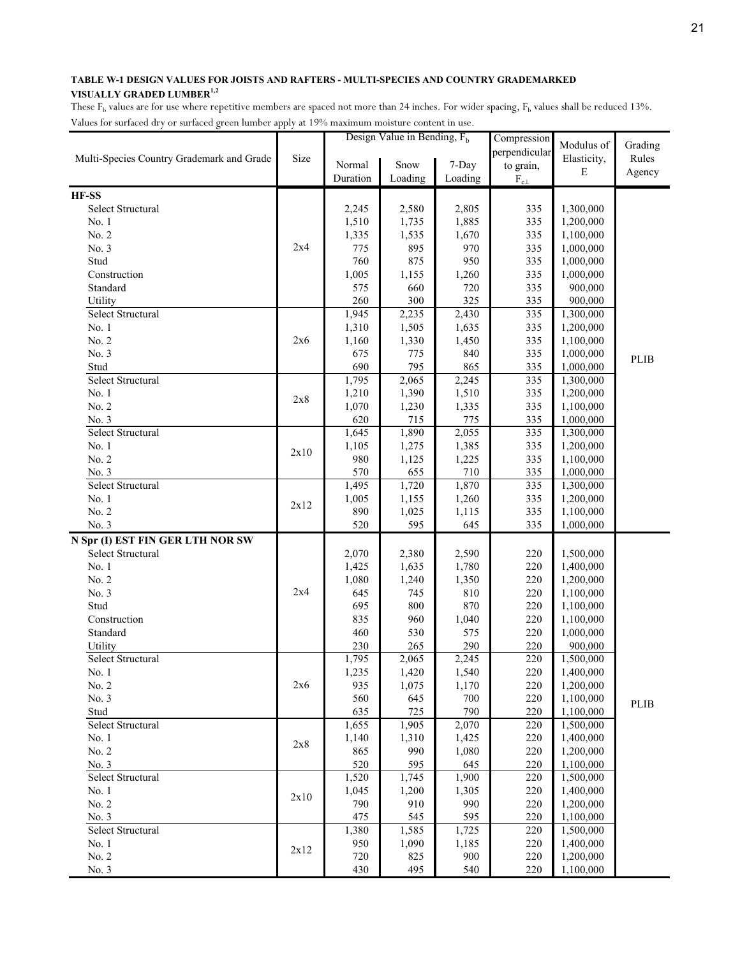| perpendicular<br>Size<br>Multi-Species Country Grademark and Grade<br>Elasticity,<br>Rules<br>Snow<br>7-Day<br>Normal<br>to grain,<br>E<br>Agency<br>Duration<br>Loading<br>Loading<br>$\rm F_{c\perp}$<br>Select Structural<br>2,580<br>2,805<br>335<br>1,300,000<br>2,245<br>1,510<br>1,885<br>335<br>1,200,000<br>No. 1<br>1,735<br>No. 2<br>1,335<br>1,670<br>335<br>1,100,000<br>1,535<br>2x4<br>No. 3<br>775<br>895<br>970<br>335<br>1,000,000<br>Stud<br>760<br>875<br>950<br>335<br>1,000,000<br>1,005<br>335<br>Construction<br>1,155<br>1,260<br>1,000,000<br>575<br>Standard<br>660<br>720<br>335<br>900,000<br>260<br>300<br>325<br>Utility<br>335<br>900,000<br>Select Structural<br>1,945<br>2,430<br>335<br>2,235<br>1,300,000<br>No. 1<br>1,310<br>335<br>1,505<br>1,635<br>1,200,000<br>No. 2<br>335<br>2x6<br>1,160<br>1,330<br>1,450<br>1,100,000<br>No. 3<br>675<br>840<br>335<br>1,000,000<br>775<br><b>PLIB</b><br>Stud<br>690<br>795<br>865<br>335<br>1,000,000<br><b>Select Structural</b><br>1,795<br>335<br>2,065<br>2,245<br>1,300,000<br>1,210<br>1,390<br>1,510<br>335<br>No. 1<br>1,200,000<br>2x8<br>No. 2<br>1,070<br>335<br>1,230<br>1,335<br>1,100,000<br>620<br>775<br>335<br>No. 3<br>715<br>1,000,000<br>Select Structural<br>1,645<br>1,890<br>2,055<br>335<br>1,300,000<br>1,385<br>No. 1<br>1,105<br>1,275<br>335<br>1,200,000<br>2x10<br>No. 2<br>980<br>335<br>1,125<br>1,225<br>1,100,000<br>710<br>570<br>655<br>335<br>No. 3<br>1,000,000<br><b>Select Structural</b><br>1,495<br>1,870<br>335<br>1,720<br>1,300,000<br>No. 1<br>1,005<br>335<br>1,200,000<br>1,155<br>1,260<br>2x12<br>890<br>No. 2<br>335<br>1,100,000<br>1,025<br>1,115<br>520<br>595<br>No. 3<br>645<br>335<br>1,000,000<br>N Spr (I) EST FIN GER LTH NOR SW<br>Select Structural<br>2,070<br>2,380<br>2,590<br>220<br>1,500,000<br>No. 1<br>1,780<br>220<br>1,425<br>1,635<br>1,400,000<br>No. 2<br>1,080<br>1,350<br>220<br>1,240<br>1,200,000<br>2x4<br>No. 3<br>645<br>810<br>220<br>745<br>1,100,000<br>Stud<br>695<br>800<br>870<br>220<br>1,100,000<br>Construction<br>835<br>220<br>960<br>1,040<br>1,100,000<br>Standard<br>460<br>530<br>220<br>575<br>1,000,000<br>230<br>265<br>290<br>220<br>Utility<br>900,000<br>Select Structural<br>1,795<br>2,245<br>2,065<br>220<br>1,500,000<br>$220\,$<br>1,235<br>1,420<br>1,540<br>1,400,000<br>No. 1<br>2x6<br>935<br>1,075<br>1,170<br>220<br>1,200,000<br>No. 2<br>No. 3<br>1,100,000<br>560<br>645<br>700<br>220<br>PLIB<br>790<br>635<br>725<br>220<br>Stud<br>1,100,000<br>Select Structural<br>1,655<br>220<br>1,905<br>2,070<br>1,500,000<br>220<br>No. 1<br>1,140<br>1,310<br>1,425<br>1,400,000<br>2x8<br>No. 2<br>990<br>220<br>865<br>1,080<br>1,200,000<br>520<br>220<br>No. 3<br>595<br>645<br>1,100,000 |       |  | Design Value in Bending, $F_h$ | Compression | Modulus of | Grading |
|------------------------------------------------------------------------------------------------------------------------------------------------------------------------------------------------------------------------------------------------------------------------------------------------------------------------------------------------------------------------------------------------------------------------------------------------------------------------------------------------------------------------------------------------------------------------------------------------------------------------------------------------------------------------------------------------------------------------------------------------------------------------------------------------------------------------------------------------------------------------------------------------------------------------------------------------------------------------------------------------------------------------------------------------------------------------------------------------------------------------------------------------------------------------------------------------------------------------------------------------------------------------------------------------------------------------------------------------------------------------------------------------------------------------------------------------------------------------------------------------------------------------------------------------------------------------------------------------------------------------------------------------------------------------------------------------------------------------------------------------------------------------------------------------------------------------------------------------------------------------------------------------------------------------------------------------------------------------------------------------------------------------------------------------------------------------------------------------------------------------------------------------------------------------------------------------------------------------------------------------------------------------------------------------------------------------------------------------------------------------------------------------------------------------------------------------------------------------------------------------------------------------------------------------------------------------------------------------------------------------------------------------------------------------------------------------------------------------------------------------------------------------------------------------|-------|--|--------------------------------|-------------|------------|---------|
|                                                                                                                                                                                                                                                                                                                                                                                                                                                                                                                                                                                                                                                                                                                                                                                                                                                                                                                                                                                                                                                                                                                                                                                                                                                                                                                                                                                                                                                                                                                                                                                                                                                                                                                                                                                                                                                                                                                                                                                                                                                                                                                                                                                                                                                                                                                                                                                                                                                                                                                                                                                                                                                                                                                                                                                                |       |  |                                |             |            |         |
|                                                                                                                                                                                                                                                                                                                                                                                                                                                                                                                                                                                                                                                                                                                                                                                                                                                                                                                                                                                                                                                                                                                                                                                                                                                                                                                                                                                                                                                                                                                                                                                                                                                                                                                                                                                                                                                                                                                                                                                                                                                                                                                                                                                                                                                                                                                                                                                                                                                                                                                                                                                                                                                                                                                                                                                                |       |  |                                |             |            |         |
|                                                                                                                                                                                                                                                                                                                                                                                                                                                                                                                                                                                                                                                                                                                                                                                                                                                                                                                                                                                                                                                                                                                                                                                                                                                                                                                                                                                                                                                                                                                                                                                                                                                                                                                                                                                                                                                                                                                                                                                                                                                                                                                                                                                                                                                                                                                                                                                                                                                                                                                                                                                                                                                                                                                                                                                                |       |  |                                |             |            |         |
|                                                                                                                                                                                                                                                                                                                                                                                                                                                                                                                                                                                                                                                                                                                                                                                                                                                                                                                                                                                                                                                                                                                                                                                                                                                                                                                                                                                                                                                                                                                                                                                                                                                                                                                                                                                                                                                                                                                                                                                                                                                                                                                                                                                                                                                                                                                                                                                                                                                                                                                                                                                                                                                                                                                                                                                                | HF-SS |  |                                |             |            |         |
|                                                                                                                                                                                                                                                                                                                                                                                                                                                                                                                                                                                                                                                                                                                                                                                                                                                                                                                                                                                                                                                                                                                                                                                                                                                                                                                                                                                                                                                                                                                                                                                                                                                                                                                                                                                                                                                                                                                                                                                                                                                                                                                                                                                                                                                                                                                                                                                                                                                                                                                                                                                                                                                                                                                                                                                                |       |  |                                |             |            |         |
|                                                                                                                                                                                                                                                                                                                                                                                                                                                                                                                                                                                                                                                                                                                                                                                                                                                                                                                                                                                                                                                                                                                                                                                                                                                                                                                                                                                                                                                                                                                                                                                                                                                                                                                                                                                                                                                                                                                                                                                                                                                                                                                                                                                                                                                                                                                                                                                                                                                                                                                                                                                                                                                                                                                                                                                                |       |  |                                |             |            |         |
|                                                                                                                                                                                                                                                                                                                                                                                                                                                                                                                                                                                                                                                                                                                                                                                                                                                                                                                                                                                                                                                                                                                                                                                                                                                                                                                                                                                                                                                                                                                                                                                                                                                                                                                                                                                                                                                                                                                                                                                                                                                                                                                                                                                                                                                                                                                                                                                                                                                                                                                                                                                                                                                                                                                                                                                                |       |  |                                |             |            |         |
|                                                                                                                                                                                                                                                                                                                                                                                                                                                                                                                                                                                                                                                                                                                                                                                                                                                                                                                                                                                                                                                                                                                                                                                                                                                                                                                                                                                                                                                                                                                                                                                                                                                                                                                                                                                                                                                                                                                                                                                                                                                                                                                                                                                                                                                                                                                                                                                                                                                                                                                                                                                                                                                                                                                                                                                                |       |  |                                |             |            |         |
|                                                                                                                                                                                                                                                                                                                                                                                                                                                                                                                                                                                                                                                                                                                                                                                                                                                                                                                                                                                                                                                                                                                                                                                                                                                                                                                                                                                                                                                                                                                                                                                                                                                                                                                                                                                                                                                                                                                                                                                                                                                                                                                                                                                                                                                                                                                                                                                                                                                                                                                                                                                                                                                                                                                                                                                                |       |  |                                |             |            |         |
|                                                                                                                                                                                                                                                                                                                                                                                                                                                                                                                                                                                                                                                                                                                                                                                                                                                                                                                                                                                                                                                                                                                                                                                                                                                                                                                                                                                                                                                                                                                                                                                                                                                                                                                                                                                                                                                                                                                                                                                                                                                                                                                                                                                                                                                                                                                                                                                                                                                                                                                                                                                                                                                                                                                                                                                                |       |  |                                |             |            |         |
|                                                                                                                                                                                                                                                                                                                                                                                                                                                                                                                                                                                                                                                                                                                                                                                                                                                                                                                                                                                                                                                                                                                                                                                                                                                                                                                                                                                                                                                                                                                                                                                                                                                                                                                                                                                                                                                                                                                                                                                                                                                                                                                                                                                                                                                                                                                                                                                                                                                                                                                                                                                                                                                                                                                                                                                                |       |  |                                |             |            |         |
|                                                                                                                                                                                                                                                                                                                                                                                                                                                                                                                                                                                                                                                                                                                                                                                                                                                                                                                                                                                                                                                                                                                                                                                                                                                                                                                                                                                                                                                                                                                                                                                                                                                                                                                                                                                                                                                                                                                                                                                                                                                                                                                                                                                                                                                                                                                                                                                                                                                                                                                                                                                                                                                                                                                                                                                                |       |  |                                |             |            |         |
|                                                                                                                                                                                                                                                                                                                                                                                                                                                                                                                                                                                                                                                                                                                                                                                                                                                                                                                                                                                                                                                                                                                                                                                                                                                                                                                                                                                                                                                                                                                                                                                                                                                                                                                                                                                                                                                                                                                                                                                                                                                                                                                                                                                                                                                                                                                                                                                                                                                                                                                                                                                                                                                                                                                                                                                                |       |  |                                |             |            |         |
|                                                                                                                                                                                                                                                                                                                                                                                                                                                                                                                                                                                                                                                                                                                                                                                                                                                                                                                                                                                                                                                                                                                                                                                                                                                                                                                                                                                                                                                                                                                                                                                                                                                                                                                                                                                                                                                                                                                                                                                                                                                                                                                                                                                                                                                                                                                                                                                                                                                                                                                                                                                                                                                                                                                                                                                                |       |  |                                |             |            |         |
|                                                                                                                                                                                                                                                                                                                                                                                                                                                                                                                                                                                                                                                                                                                                                                                                                                                                                                                                                                                                                                                                                                                                                                                                                                                                                                                                                                                                                                                                                                                                                                                                                                                                                                                                                                                                                                                                                                                                                                                                                                                                                                                                                                                                                                                                                                                                                                                                                                                                                                                                                                                                                                                                                                                                                                                                |       |  |                                |             |            |         |
|                                                                                                                                                                                                                                                                                                                                                                                                                                                                                                                                                                                                                                                                                                                                                                                                                                                                                                                                                                                                                                                                                                                                                                                                                                                                                                                                                                                                                                                                                                                                                                                                                                                                                                                                                                                                                                                                                                                                                                                                                                                                                                                                                                                                                                                                                                                                                                                                                                                                                                                                                                                                                                                                                                                                                                                                |       |  |                                |             |            |         |
|                                                                                                                                                                                                                                                                                                                                                                                                                                                                                                                                                                                                                                                                                                                                                                                                                                                                                                                                                                                                                                                                                                                                                                                                                                                                                                                                                                                                                                                                                                                                                                                                                                                                                                                                                                                                                                                                                                                                                                                                                                                                                                                                                                                                                                                                                                                                                                                                                                                                                                                                                                                                                                                                                                                                                                                                |       |  |                                |             |            |         |
|                                                                                                                                                                                                                                                                                                                                                                                                                                                                                                                                                                                                                                                                                                                                                                                                                                                                                                                                                                                                                                                                                                                                                                                                                                                                                                                                                                                                                                                                                                                                                                                                                                                                                                                                                                                                                                                                                                                                                                                                                                                                                                                                                                                                                                                                                                                                                                                                                                                                                                                                                                                                                                                                                                                                                                                                |       |  |                                |             |            |         |
|                                                                                                                                                                                                                                                                                                                                                                                                                                                                                                                                                                                                                                                                                                                                                                                                                                                                                                                                                                                                                                                                                                                                                                                                                                                                                                                                                                                                                                                                                                                                                                                                                                                                                                                                                                                                                                                                                                                                                                                                                                                                                                                                                                                                                                                                                                                                                                                                                                                                                                                                                                                                                                                                                                                                                                                                |       |  |                                |             |            |         |
|                                                                                                                                                                                                                                                                                                                                                                                                                                                                                                                                                                                                                                                                                                                                                                                                                                                                                                                                                                                                                                                                                                                                                                                                                                                                                                                                                                                                                                                                                                                                                                                                                                                                                                                                                                                                                                                                                                                                                                                                                                                                                                                                                                                                                                                                                                                                                                                                                                                                                                                                                                                                                                                                                                                                                                                                |       |  |                                |             |            |         |
|                                                                                                                                                                                                                                                                                                                                                                                                                                                                                                                                                                                                                                                                                                                                                                                                                                                                                                                                                                                                                                                                                                                                                                                                                                                                                                                                                                                                                                                                                                                                                                                                                                                                                                                                                                                                                                                                                                                                                                                                                                                                                                                                                                                                                                                                                                                                                                                                                                                                                                                                                                                                                                                                                                                                                                                                |       |  |                                |             |            |         |
|                                                                                                                                                                                                                                                                                                                                                                                                                                                                                                                                                                                                                                                                                                                                                                                                                                                                                                                                                                                                                                                                                                                                                                                                                                                                                                                                                                                                                                                                                                                                                                                                                                                                                                                                                                                                                                                                                                                                                                                                                                                                                                                                                                                                                                                                                                                                                                                                                                                                                                                                                                                                                                                                                                                                                                                                |       |  |                                |             |            |         |
|                                                                                                                                                                                                                                                                                                                                                                                                                                                                                                                                                                                                                                                                                                                                                                                                                                                                                                                                                                                                                                                                                                                                                                                                                                                                                                                                                                                                                                                                                                                                                                                                                                                                                                                                                                                                                                                                                                                                                                                                                                                                                                                                                                                                                                                                                                                                                                                                                                                                                                                                                                                                                                                                                                                                                                                                |       |  |                                |             |            |         |
|                                                                                                                                                                                                                                                                                                                                                                                                                                                                                                                                                                                                                                                                                                                                                                                                                                                                                                                                                                                                                                                                                                                                                                                                                                                                                                                                                                                                                                                                                                                                                                                                                                                                                                                                                                                                                                                                                                                                                                                                                                                                                                                                                                                                                                                                                                                                                                                                                                                                                                                                                                                                                                                                                                                                                                                                |       |  |                                |             |            |         |
|                                                                                                                                                                                                                                                                                                                                                                                                                                                                                                                                                                                                                                                                                                                                                                                                                                                                                                                                                                                                                                                                                                                                                                                                                                                                                                                                                                                                                                                                                                                                                                                                                                                                                                                                                                                                                                                                                                                                                                                                                                                                                                                                                                                                                                                                                                                                                                                                                                                                                                                                                                                                                                                                                                                                                                                                |       |  |                                |             |            |         |
|                                                                                                                                                                                                                                                                                                                                                                                                                                                                                                                                                                                                                                                                                                                                                                                                                                                                                                                                                                                                                                                                                                                                                                                                                                                                                                                                                                                                                                                                                                                                                                                                                                                                                                                                                                                                                                                                                                                                                                                                                                                                                                                                                                                                                                                                                                                                                                                                                                                                                                                                                                                                                                                                                                                                                                                                |       |  |                                |             |            |         |
|                                                                                                                                                                                                                                                                                                                                                                                                                                                                                                                                                                                                                                                                                                                                                                                                                                                                                                                                                                                                                                                                                                                                                                                                                                                                                                                                                                                                                                                                                                                                                                                                                                                                                                                                                                                                                                                                                                                                                                                                                                                                                                                                                                                                                                                                                                                                                                                                                                                                                                                                                                                                                                                                                                                                                                                                |       |  |                                |             |            |         |
|                                                                                                                                                                                                                                                                                                                                                                                                                                                                                                                                                                                                                                                                                                                                                                                                                                                                                                                                                                                                                                                                                                                                                                                                                                                                                                                                                                                                                                                                                                                                                                                                                                                                                                                                                                                                                                                                                                                                                                                                                                                                                                                                                                                                                                                                                                                                                                                                                                                                                                                                                                                                                                                                                                                                                                                                |       |  |                                |             |            |         |
|                                                                                                                                                                                                                                                                                                                                                                                                                                                                                                                                                                                                                                                                                                                                                                                                                                                                                                                                                                                                                                                                                                                                                                                                                                                                                                                                                                                                                                                                                                                                                                                                                                                                                                                                                                                                                                                                                                                                                                                                                                                                                                                                                                                                                                                                                                                                                                                                                                                                                                                                                                                                                                                                                                                                                                                                |       |  |                                |             |            |         |
|                                                                                                                                                                                                                                                                                                                                                                                                                                                                                                                                                                                                                                                                                                                                                                                                                                                                                                                                                                                                                                                                                                                                                                                                                                                                                                                                                                                                                                                                                                                                                                                                                                                                                                                                                                                                                                                                                                                                                                                                                                                                                                                                                                                                                                                                                                                                                                                                                                                                                                                                                                                                                                                                                                                                                                                                |       |  |                                |             |            |         |
|                                                                                                                                                                                                                                                                                                                                                                                                                                                                                                                                                                                                                                                                                                                                                                                                                                                                                                                                                                                                                                                                                                                                                                                                                                                                                                                                                                                                                                                                                                                                                                                                                                                                                                                                                                                                                                                                                                                                                                                                                                                                                                                                                                                                                                                                                                                                                                                                                                                                                                                                                                                                                                                                                                                                                                                                |       |  |                                |             |            |         |
|                                                                                                                                                                                                                                                                                                                                                                                                                                                                                                                                                                                                                                                                                                                                                                                                                                                                                                                                                                                                                                                                                                                                                                                                                                                                                                                                                                                                                                                                                                                                                                                                                                                                                                                                                                                                                                                                                                                                                                                                                                                                                                                                                                                                                                                                                                                                                                                                                                                                                                                                                                                                                                                                                                                                                                                                |       |  |                                |             |            |         |
|                                                                                                                                                                                                                                                                                                                                                                                                                                                                                                                                                                                                                                                                                                                                                                                                                                                                                                                                                                                                                                                                                                                                                                                                                                                                                                                                                                                                                                                                                                                                                                                                                                                                                                                                                                                                                                                                                                                                                                                                                                                                                                                                                                                                                                                                                                                                                                                                                                                                                                                                                                                                                                                                                                                                                                                                |       |  |                                |             |            |         |
|                                                                                                                                                                                                                                                                                                                                                                                                                                                                                                                                                                                                                                                                                                                                                                                                                                                                                                                                                                                                                                                                                                                                                                                                                                                                                                                                                                                                                                                                                                                                                                                                                                                                                                                                                                                                                                                                                                                                                                                                                                                                                                                                                                                                                                                                                                                                                                                                                                                                                                                                                                                                                                                                                                                                                                                                |       |  |                                |             |            |         |
|                                                                                                                                                                                                                                                                                                                                                                                                                                                                                                                                                                                                                                                                                                                                                                                                                                                                                                                                                                                                                                                                                                                                                                                                                                                                                                                                                                                                                                                                                                                                                                                                                                                                                                                                                                                                                                                                                                                                                                                                                                                                                                                                                                                                                                                                                                                                                                                                                                                                                                                                                                                                                                                                                                                                                                                                |       |  |                                |             |            |         |
|                                                                                                                                                                                                                                                                                                                                                                                                                                                                                                                                                                                                                                                                                                                                                                                                                                                                                                                                                                                                                                                                                                                                                                                                                                                                                                                                                                                                                                                                                                                                                                                                                                                                                                                                                                                                                                                                                                                                                                                                                                                                                                                                                                                                                                                                                                                                                                                                                                                                                                                                                                                                                                                                                                                                                                                                |       |  |                                |             |            |         |
|                                                                                                                                                                                                                                                                                                                                                                                                                                                                                                                                                                                                                                                                                                                                                                                                                                                                                                                                                                                                                                                                                                                                                                                                                                                                                                                                                                                                                                                                                                                                                                                                                                                                                                                                                                                                                                                                                                                                                                                                                                                                                                                                                                                                                                                                                                                                                                                                                                                                                                                                                                                                                                                                                                                                                                                                |       |  |                                |             |            |         |
|                                                                                                                                                                                                                                                                                                                                                                                                                                                                                                                                                                                                                                                                                                                                                                                                                                                                                                                                                                                                                                                                                                                                                                                                                                                                                                                                                                                                                                                                                                                                                                                                                                                                                                                                                                                                                                                                                                                                                                                                                                                                                                                                                                                                                                                                                                                                                                                                                                                                                                                                                                                                                                                                                                                                                                                                |       |  |                                |             |            |         |
|                                                                                                                                                                                                                                                                                                                                                                                                                                                                                                                                                                                                                                                                                                                                                                                                                                                                                                                                                                                                                                                                                                                                                                                                                                                                                                                                                                                                                                                                                                                                                                                                                                                                                                                                                                                                                                                                                                                                                                                                                                                                                                                                                                                                                                                                                                                                                                                                                                                                                                                                                                                                                                                                                                                                                                                                |       |  |                                |             |            |         |
|                                                                                                                                                                                                                                                                                                                                                                                                                                                                                                                                                                                                                                                                                                                                                                                                                                                                                                                                                                                                                                                                                                                                                                                                                                                                                                                                                                                                                                                                                                                                                                                                                                                                                                                                                                                                                                                                                                                                                                                                                                                                                                                                                                                                                                                                                                                                                                                                                                                                                                                                                                                                                                                                                                                                                                                                |       |  |                                |             |            |         |
|                                                                                                                                                                                                                                                                                                                                                                                                                                                                                                                                                                                                                                                                                                                                                                                                                                                                                                                                                                                                                                                                                                                                                                                                                                                                                                                                                                                                                                                                                                                                                                                                                                                                                                                                                                                                                                                                                                                                                                                                                                                                                                                                                                                                                                                                                                                                                                                                                                                                                                                                                                                                                                                                                                                                                                                                |       |  |                                |             |            |         |
|                                                                                                                                                                                                                                                                                                                                                                                                                                                                                                                                                                                                                                                                                                                                                                                                                                                                                                                                                                                                                                                                                                                                                                                                                                                                                                                                                                                                                                                                                                                                                                                                                                                                                                                                                                                                                                                                                                                                                                                                                                                                                                                                                                                                                                                                                                                                                                                                                                                                                                                                                                                                                                                                                                                                                                                                |       |  |                                |             |            |         |
|                                                                                                                                                                                                                                                                                                                                                                                                                                                                                                                                                                                                                                                                                                                                                                                                                                                                                                                                                                                                                                                                                                                                                                                                                                                                                                                                                                                                                                                                                                                                                                                                                                                                                                                                                                                                                                                                                                                                                                                                                                                                                                                                                                                                                                                                                                                                                                                                                                                                                                                                                                                                                                                                                                                                                                                                |       |  |                                |             |            |         |
|                                                                                                                                                                                                                                                                                                                                                                                                                                                                                                                                                                                                                                                                                                                                                                                                                                                                                                                                                                                                                                                                                                                                                                                                                                                                                                                                                                                                                                                                                                                                                                                                                                                                                                                                                                                                                                                                                                                                                                                                                                                                                                                                                                                                                                                                                                                                                                                                                                                                                                                                                                                                                                                                                                                                                                                                |       |  |                                |             |            |         |
|                                                                                                                                                                                                                                                                                                                                                                                                                                                                                                                                                                                                                                                                                                                                                                                                                                                                                                                                                                                                                                                                                                                                                                                                                                                                                                                                                                                                                                                                                                                                                                                                                                                                                                                                                                                                                                                                                                                                                                                                                                                                                                                                                                                                                                                                                                                                                                                                                                                                                                                                                                                                                                                                                                                                                                                                |       |  |                                |             |            |         |
|                                                                                                                                                                                                                                                                                                                                                                                                                                                                                                                                                                                                                                                                                                                                                                                                                                                                                                                                                                                                                                                                                                                                                                                                                                                                                                                                                                                                                                                                                                                                                                                                                                                                                                                                                                                                                                                                                                                                                                                                                                                                                                                                                                                                                                                                                                                                                                                                                                                                                                                                                                                                                                                                                                                                                                                                |       |  |                                |             |            |         |
|                                                                                                                                                                                                                                                                                                                                                                                                                                                                                                                                                                                                                                                                                                                                                                                                                                                                                                                                                                                                                                                                                                                                                                                                                                                                                                                                                                                                                                                                                                                                                                                                                                                                                                                                                                                                                                                                                                                                                                                                                                                                                                                                                                                                                                                                                                                                                                                                                                                                                                                                                                                                                                                                                                                                                                                                |       |  |                                |             |            |         |
| Select Structural<br>1,520<br>1,745<br>1,900<br>220<br>1,500,000                                                                                                                                                                                                                                                                                                                                                                                                                                                                                                                                                                                                                                                                                                                                                                                                                                                                                                                                                                                                                                                                                                                                                                                                                                                                                                                                                                                                                                                                                                                                                                                                                                                                                                                                                                                                                                                                                                                                                                                                                                                                                                                                                                                                                                                                                                                                                                                                                                                                                                                                                                                                                                                                                                                               |       |  |                                |             |            |         |
| No. 1<br>1,045<br>1,200<br>220<br>1,400,000<br>1,305                                                                                                                                                                                                                                                                                                                                                                                                                                                                                                                                                                                                                                                                                                                                                                                                                                                                                                                                                                                                                                                                                                                                                                                                                                                                                                                                                                                                                                                                                                                                                                                                                                                                                                                                                                                                                                                                                                                                                                                                                                                                                                                                                                                                                                                                                                                                                                                                                                                                                                                                                                                                                                                                                                                                           |       |  |                                |             |            |         |
| 2x10<br>No. 2<br>790<br>910<br>220<br>990<br>1,200,000                                                                                                                                                                                                                                                                                                                                                                                                                                                                                                                                                                                                                                                                                                                                                                                                                                                                                                                                                                                                                                                                                                                                                                                                                                                                                                                                                                                                                                                                                                                                                                                                                                                                                                                                                                                                                                                                                                                                                                                                                                                                                                                                                                                                                                                                                                                                                                                                                                                                                                                                                                                                                                                                                                                                         |       |  |                                |             |            |         |
| 475<br>595<br>220<br>1,100,000<br>No. 3<br>545                                                                                                                                                                                                                                                                                                                                                                                                                                                                                                                                                                                                                                                                                                                                                                                                                                                                                                                                                                                                                                                                                                                                                                                                                                                                                                                                                                                                                                                                                                                                                                                                                                                                                                                                                                                                                                                                                                                                                                                                                                                                                                                                                                                                                                                                                                                                                                                                                                                                                                                                                                                                                                                                                                                                                 |       |  |                                |             |            |         |
| Select Structural<br>1,380<br>1,585<br>1,725<br>220<br>1,500,000                                                                                                                                                                                                                                                                                                                                                                                                                                                                                                                                                                                                                                                                                                                                                                                                                                                                                                                                                                                                                                                                                                                                                                                                                                                                                                                                                                                                                                                                                                                                                                                                                                                                                                                                                                                                                                                                                                                                                                                                                                                                                                                                                                                                                                                                                                                                                                                                                                                                                                                                                                                                                                                                                                                               |       |  |                                |             |            |         |
| No. 1<br>950<br>1,090<br>1,185<br>220<br>1,400,000                                                                                                                                                                                                                                                                                                                                                                                                                                                                                                                                                                                                                                                                                                                                                                                                                                                                                                                                                                                                                                                                                                                                                                                                                                                                                                                                                                                                                                                                                                                                                                                                                                                                                                                                                                                                                                                                                                                                                                                                                                                                                                                                                                                                                                                                                                                                                                                                                                                                                                                                                                                                                                                                                                                                             |       |  |                                |             |            |         |
| 2x12<br>No. 2<br>720<br>825<br>900<br>220<br>1,200,000                                                                                                                                                                                                                                                                                                                                                                                                                                                                                                                                                                                                                                                                                                                                                                                                                                                                                                                                                                                                                                                                                                                                                                                                                                                                                                                                                                                                                                                                                                                                                                                                                                                                                                                                                                                                                                                                                                                                                                                                                                                                                                                                                                                                                                                                                                                                                                                                                                                                                                                                                                                                                                                                                                                                         |       |  |                                |             |            |         |
| No. 3<br>430<br>495<br>220<br>540<br>1,100,000                                                                                                                                                                                                                                                                                                                                                                                                                                                                                                                                                                                                                                                                                                                                                                                                                                                                                                                                                                                                                                                                                                                                                                                                                                                                                                                                                                                                                                                                                                                                                                                                                                                                                                                                                                                                                                                                                                                                                                                                                                                                                                                                                                                                                                                                                                                                                                                                                                                                                                                                                                                                                                                                                                                                                 |       |  |                                |             |            |         |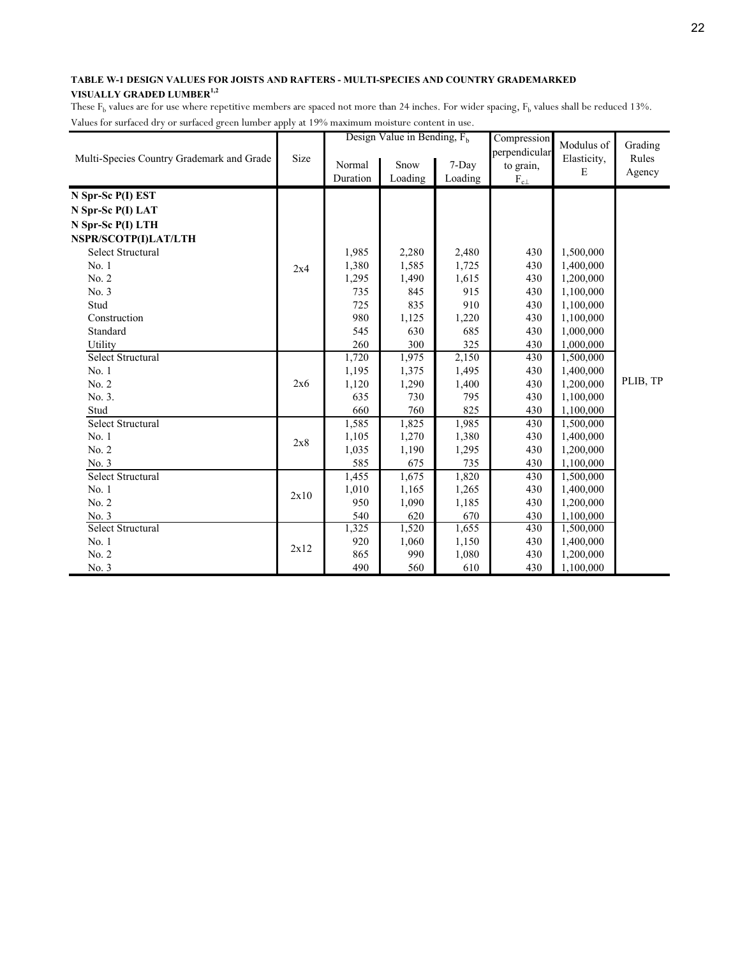|                                           |      |          | Design Value in Bending, $F_h$ |         | Compression      | Modulus of  | Grading  |
|-------------------------------------------|------|----------|--------------------------------|---------|------------------|-------------|----------|
| Multi-Species Country Grademark and Grade | Size | Normal   | Snow                           | 7-Day   | perpendicular    | Elasticity, | Rules    |
|                                           |      | Duration | Loading                        | Loading | to grain,        | E           | Agency   |
|                                           |      |          |                                |         | $\rm F_{c\perp}$ |             |          |
| N Spr-Sc P(I) EST                         |      |          |                                |         |                  |             |          |
| N Spr-Sc P(I) LAT                         |      |          |                                |         |                  |             |          |
| N Spr-Sc P(I) LTH                         |      |          |                                |         |                  |             |          |
| NSPR/SCOTP(I)LAT/LTH                      |      |          |                                |         |                  |             |          |
| <b>Select Structural</b>                  |      | 1,985    | 2,280                          | 2,480   | 430              | 1,500,000   |          |
| No.1                                      | 2x4  | 1,380    | 1,585                          | 1,725   | 430              | 1,400,000   |          |
| No. 2                                     |      | 1,295    | 1,490                          | 1,615   | 430              | 1,200,000   |          |
| No. 3                                     |      | 735      | 845                            | 915     | 430              | 1,100,000   |          |
| Stud                                      |      | 725      | 835                            | 910     | 430              | 1,100,000   |          |
| Construction                              |      | 980      | 1,125                          | 1,220   | 430              | 1,100,000   |          |
| Standard                                  |      | 545      | 630                            | 685     | 430              | 1,000,000   |          |
| Utility                                   |      | 260      | 300                            | 325     | 430              | 1,000,000   |          |
| Select Structural                         |      | 1,720    | 1,975                          | 2,150   | 430              | 1,500,000   |          |
| No. 1                                     |      | 1,195    | 1,375                          | 1,495   | 430              | 1,400,000   |          |
| No. 2                                     | 2x6  | 1,120    | 1,290                          | 1,400   | 430              | 1,200,000   | PLIB, TP |
| No. 3.                                    |      | 635      | 730                            | 795     | 430              | 1,100,000   |          |
| Stud                                      |      | 660      | 760                            | 825     | 430              | 1,100,000   |          |
| <b>Select Structural</b>                  |      | 1,585    | 1,825                          | 1,985   | 430              | 1,500,000   |          |
| No. 1                                     | 2x8  | 1,105    | 1,270                          | 1,380   | 430              | 1,400,000   |          |
| No. 2                                     |      | 1,035    | 1,190                          | 1,295   | 430              | 1,200,000   |          |
| No. 3                                     |      | 585      | 675                            | 735     | 430              | 1,100,000   |          |
| <b>Select Structural</b>                  |      | 1,455    | 1,675                          | 1,820   | 430              | 1,500,000   |          |
| No. 1                                     |      | 1,010    | 1,165                          | 1,265   | 430              | 1,400,000   |          |
| No. 2                                     | 2x10 | 950      | 1,090                          | 1,185   | 430              | 1,200,000   |          |
| No. 3                                     |      | 540      | 620                            | 670     | 430              | 1,100,000   |          |
| Select Structural                         |      | 1,325    | 1,520                          | 1,655   | 430              | 1,500,000   |          |
| No. 1                                     |      | 920      | 1,060                          | 1,150   | 430              | 1,400,000   |          |
| No. 2                                     | 2x12 | 865      | 990                            | 1,080   | 430              | 1,200,000   |          |
| No. 3                                     |      | 490      | 560                            | 610     | 430              | 1,100,000   |          |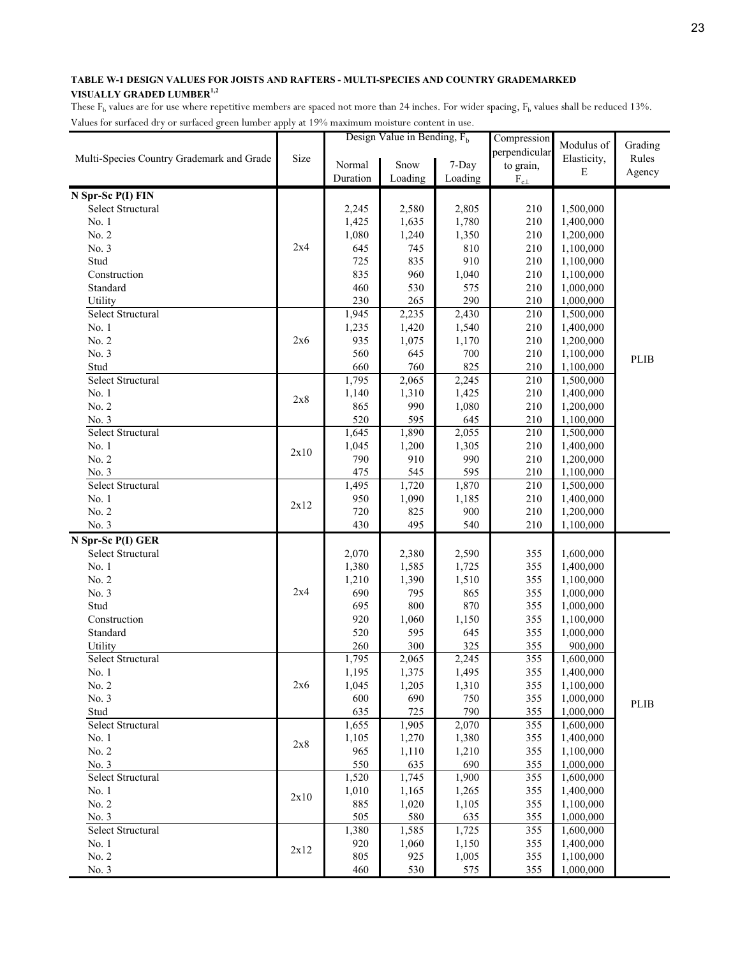| perpendicular<br>Size<br>Elasticity,<br>Rules<br>Multi-Species Country Grademark and Grade<br>Snow<br>7-Day<br>Normal<br>to grain,<br>E<br>Agency<br>Duration<br>$\rm F_{c\perp}$<br>Loading<br>Loading<br>N Spr-Sc P(I) FIN<br>Select Structural<br>1,500,000<br>2,245<br>2,580<br>2,805<br>210<br>1,425<br>1,780<br>210<br>1,400,000<br>No. 1<br>1,635<br>No. 2<br>1,080<br>1,350<br>210<br>1,240<br>1,200,000<br>2x4<br>No. 3<br>210<br>645<br>745<br>810<br>1,100,000<br>910<br>Stud<br>725<br>835<br>210<br>1,100,000<br>835<br>960<br>210<br>Construction<br>1,040<br>1,100,000<br>530<br>210<br>Standard<br>460<br>575<br>1,000,000<br>290<br>210<br>Utility<br>230<br>265<br>1,000,000<br>Select Structural<br>1,945<br>2,430<br>210<br>2,235<br>1,500,000<br>1,235<br>210<br>No. 1<br>1,420<br>1,540<br>1,400,000<br>No. 2<br>935<br>210<br>2x6<br>1,075<br>1,170<br>1,200,000<br>No. 3<br>560<br>645<br>700<br>210<br>1,100,000<br><b>PLIB</b><br>825<br>660<br>760<br>210<br>Stud<br>1,100,000<br>Select Structural<br>1,795<br>$\overline{2,}065$<br>2,245<br>210<br>1,500,000<br>1,425<br>No. 1<br>1,140<br>1,310<br>210<br>1,400,000<br>2x8<br>No. 2<br>990<br>1,080<br>210<br>865<br>1,200,000<br>520<br>595<br>645<br>210<br>No. 3<br>1,100,000<br>Select Structural<br>1,645<br>1,890<br>210<br>2,055<br>1,500,000<br>210<br>No. 1<br>1,045<br>1,200<br>1,305<br>1,400,000<br>2x10<br>No. 2<br>790<br>910<br>990<br>210<br>1,200,000<br>545<br>595<br>210<br>No. 3<br>475<br>1,100,000<br>Select Structural<br>210<br>1,495<br>1,720<br>1,870<br>1,500,000<br>No. 1<br>950<br>210<br>1,090<br>1,185<br>1,400,000<br>2x12<br>No. 2<br>720<br>900<br>210<br>825<br>1,200,000<br>No. 3<br>430<br>495<br>540<br>210<br>1,100,000<br>N Spr-Sc P(I) GER<br>Select Structural<br>2,070<br>2,380<br>2,590<br>355<br>1,600,000<br>No. 1<br>355<br>1,380<br>1,585<br>1,725<br>1,400,000<br>No. 2<br>355<br>1,210<br>1,390<br>1,510<br>1,100,000<br>2x4<br>No. 3<br>690<br>795<br>865<br>355<br>1,000,000<br>Stud<br>695<br>800<br>870<br>355<br>1,000,000<br>Construction<br>920<br>1,060<br>1,150<br>355<br>1,100,000<br>520<br>Standard<br>595<br>645<br>355<br>1,000,000<br>260<br>300<br>325<br>355<br>Utility<br>900,000<br>Select Structural<br>1,795<br>355<br>2,065<br>2,245<br>1,600,000<br>1,375<br>1,495<br>355<br>1,195<br>1,400,000<br>No. 1<br>2x6<br>1,045<br>1,205<br>1,310<br>355<br>1,100,000<br>No. 2<br>No. 3<br>600<br>690<br>750<br>355<br>1,000,000<br>PLIB<br>635<br>725<br>790<br>Stud<br>355<br>1,000,000<br>Select Structural<br>1,655<br>1,905<br>2,070<br>355<br>1,600,000<br>1,105<br>355<br>No. 1<br>1,270<br>1,380<br>1,400,000<br>2x8<br>No. 2<br>965<br>355<br>1,110<br>1,210<br>1,100,000<br>550<br>690<br>355<br>1,000,000<br>No. 3<br>635 |                          |       | Design Value in Bending, $F_h$ |       | Compression | Modulus of | Grading |
|---------------------------------------------------------------------------------------------------------------------------------------------------------------------------------------------------------------------------------------------------------------------------------------------------------------------------------------------------------------------------------------------------------------------------------------------------------------------------------------------------------------------------------------------------------------------------------------------------------------------------------------------------------------------------------------------------------------------------------------------------------------------------------------------------------------------------------------------------------------------------------------------------------------------------------------------------------------------------------------------------------------------------------------------------------------------------------------------------------------------------------------------------------------------------------------------------------------------------------------------------------------------------------------------------------------------------------------------------------------------------------------------------------------------------------------------------------------------------------------------------------------------------------------------------------------------------------------------------------------------------------------------------------------------------------------------------------------------------------------------------------------------------------------------------------------------------------------------------------------------------------------------------------------------------------------------------------------------------------------------------------------------------------------------------------------------------------------------------------------------------------------------------------------------------------------------------------------------------------------------------------------------------------------------------------------------------------------------------------------------------------------------------------------------------------------------------------------------------------------------------------------------------------------------------------------------------------------------------------------------------------------------------------------------------------------------------------------------------------------------------------------------------------------|--------------------------|-------|--------------------------------|-------|-------------|------------|---------|
|                                                                                                                                                                                                                                                                                                                                                                                                                                                                                                                                                                                                                                                                                                                                                                                                                                                                                                                                                                                                                                                                                                                                                                                                                                                                                                                                                                                                                                                                                                                                                                                                                                                                                                                                                                                                                                                                                                                                                                                                                                                                                                                                                                                                                                                                                                                                                                                                                                                                                                                                                                                                                                                                                                                                                                                       |                          |       |                                |       |             |            |         |
|                                                                                                                                                                                                                                                                                                                                                                                                                                                                                                                                                                                                                                                                                                                                                                                                                                                                                                                                                                                                                                                                                                                                                                                                                                                                                                                                                                                                                                                                                                                                                                                                                                                                                                                                                                                                                                                                                                                                                                                                                                                                                                                                                                                                                                                                                                                                                                                                                                                                                                                                                                                                                                                                                                                                                                                       |                          |       |                                |       |             |            |         |
|                                                                                                                                                                                                                                                                                                                                                                                                                                                                                                                                                                                                                                                                                                                                                                                                                                                                                                                                                                                                                                                                                                                                                                                                                                                                                                                                                                                                                                                                                                                                                                                                                                                                                                                                                                                                                                                                                                                                                                                                                                                                                                                                                                                                                                                                                                                                                                                                                                                                                                                                                                                                                                                                                                                                                                                       |                          |       |                                |       |             |            |         |
|                                                                                                                                                                                                                                                                                                                                                                                                                                                                                                                                                                                                                                                                                                                                                                                                                                                                                                                                                                                                                                                                                                                                                                                                                                                                                                                                                                                                                                                                                                                                                                                                                                                                                                                                                                                                                                                                                                                                                                                                                                                                                                                                                                                                                                                                                                                                                                                                                                                                                                                                                                                                                                                                                                                                                                                       |                          |       |                                |       |             |            |         |
|                                                                                                                                                                                                                                                                                                                                                                                                                                                                                                                                                                                                                                                                                                                                                                                                                                                                                                                                                                                                                                                                                                                                                                                                                                                                                                                                                                                                                                                                                                                                                                                                                                                                                                                                                                                                                                                                                                                                                                                                                                                                                                                                                                                                                                                                                                                                                                                                                                                                                                                                                                                                                                                                                                                                                                                       |                          |       |                                |       |             |            |         |
|                                                                                                                                                                                                                                                                                                                                                                                                                                                                                                                                                                                                                                                                                                                                                                                                                                                                                                                                                                                                                                                                                                                                                                                                                                                                                                                                                                                                                                                                                                                                                                                                                                                                                                                                                                                                                                                                                                                                                                                                                                                                                                                                                                                                                                                                                                                                                                                                                                                                                                                                                                                                                                                                                                                                                                                       |                          |       |                                |       |             |            |         |
|                                                                                                                                                                                                                                                                                                                                                                                                                                                                                                                                                                                                                                                                                                                                                                                                                                                                                                                                                                                                                                                                                                                                                                                                                                                                                                                                                                                                                                                                                                                                                                                                                                                                                                                                                                                                                                                                                                                                                                                                                                                                                                                                                                                                                                                                                                                                                                                                                                                                                                                                                                                                                                                                                                                                                                                       |                          |       |                                |       |             |            |         |
|                                                                                                                                                                                                                                                                                                                                                                                                                                                                                                                                                                                                                                                                                                                                                                                                                                                                                                                                                                                                                                                                                                                                                                                                                                                                                                                                                                                                                                                                                                                                                                                                                                                                                                                                                                                                                                                                                                                                                                                                                                                                                                                                                                                                                                                                                                                                                                                                                                                                                                                                                                                                                                                                                                                                                                                       |                          |       |                                |       |             |            |         |
|                                                                                                                                                                                                                                                                                                                                                                                                                                                                                                                                                                                                                                                                                                                                                                                                                                                                                                                                                                                                                                                                                                                                                                                                                                                                                                                                                                                                                                                                                                                                                                                                                                                                                                                                                                                                                                                                                                                                                                                                                                                                                                                                                                                                                                                                                                                                                                                                                                                                                                                                                                                                                                                                                                                                                                                       |                          |       |                                |       |             |            |         |
|                                                                                                                                                                                                                                                                                                                                                                                                                                                                                                                                                                                                                                                                                                                                                                                                                                                                                                                                                                                                                                                                                                                                                                                                                                                                                                                                                                                                                                                                                                                                                                                                                                                                                                                                                                                                                                                                                                                                                                                                                                                                                                                                                                                                                                                                                                                                                                                                                                                                                                                                                                                                                                                                                                                                                                                       |                          |       |                                |       |             |            |         |
|                                                                                                                                                                                                                                                                                                                                                                                                                                                                                                                                                                                                                                                                                                                                                                                                                                                                                                                                                                                                                                                                                                                                                                                                                                                                                                                                                                                                                                                                                                                                                                                                                                                                                                                                                                                                                                                                                                                                                                                                                                                                                                                                                                                                                                                                                                                                                                                                                                                                                                                                                                                                                                                                                                                                                                                       |                          |       |                                |       |             |            |         |
|                                                                                                                                                                                                                                                                                                                                                                                                                                                                                                                                                                                                                                                                                                                                                                                                                                                                                                                                                                                                                                                                                                                                                                                                                                                                                                                                                                                                                                                                                                                                                                                                                                                                                                                                                                                                                                                                                                                                                                                                                                                                                                                                                                                                                                                                                                                                                                                                                                                                                                                                                                                                                                                                                                                                                                                       |                          |       |                                |       |             |            |         |
|                                                                                                                                                                                                                                                                                                                                                                                                                                                                                                                                                                                                                                                                                                                                                                                                                                                                                                                                                                                                                                                                                                                                                                                                                                                                                                                                                                                                                                                                                                                                                                                                                                                                                                                                                                                                                                                                                                                                                                                                                                                                                                                                                                                                                                                                                                                                                                                                                                                                                                                                                                                                                                                                                                                                                                                       |                          |       |                                |       |             |            |         |
|                                                                                                                                                                                                                                                                                                                                                                                                                                                                                                                                                                                                                                                                                                                                                                                                                                                                                                                                                                                                                                                                                                                                                                                                                                                                                                                                                                                                                                                                                                                                                                                                                                                                                                                                                                                                                                                                                                                                                                                                                                                                                                                                                                                                                                                                                                                                                                                                                                                                                                                                                                                                                                                                                                                                                                                       |                          |       |                                |       |             |            |         |
|                                                                                                                                                                                                                                                                                                                                                                                                                                                                                                                                                                                                                                                                                                                                                                                                                                                                                                                                                                                                                                                                                                                                                                                                                                                                                                                                                                                                                                                                                                                                                                                                                                                                                                                                                                                                                                                                                                                                                                                                                                                                                                                                                                                                                                                                                                                                                                                                                                                                                                                                                                                                                                                                                                                                                                                       |                          |       |                                |       |             |            |         |
|                                                                                                                                                                                                                                                                                                                                                                                                                                                                                                                                                                                                                                                                                                                                                                                                                                                                                                                                                                                                                                                                                                                                                                                                                                                                                                                                                                                                                                                                                                                                                                                                                                                                                                                                                                                                                                                                                                                                                                                                                                                                                                                                                                                                                                                                                                                                                                                                                                                                                                                                                                                                                                                                                                                                                                                       |                          |       |                                |       |             |            |         |
|                                                                                                                                                                                                                                                                                                                                                                                                                                                                                                                                                                                                                                                                                                                                                                                                                                                                                                                                                                                                                                                                                                                                                                                                                                                                                                                                                                                                                                                                                                                                                                                                                                                                                                                                                                                                                                                                                                                                                                                                                                                                                                                                                                                                                                                                                                                                                                                                                                                                                                                                                                                                                                                                                                                                                                                       |                          |       |                                |       |             |            |         |
|                                                                                                                                                                                                                                                                                                                                                                                                                                                                                                                                                                                                                                                                                                                                                                                                                                                                                                                                                                                                                                                                                                                                                                                                                                                                                                                                                                                                                                                                                                                                                                                                                                                                                                                                                                                                                                                                                                                                                                                                                                                                                                                                                                                                                                                                                                                                                                                                                                                                                                                                                                                                                                                                                                                                                                                       |                          |       |                                |       |             |            |         |
|                                                                                                                                                                                                                                                                                                                                                                                                                                                                                                                                                                                                                                                                                                                                                                                                                                                                                                                                                                                                                                                                                                                                                                                                                                                                                                                                                                                                                                                                                                                                                                                                                                                                                                                                                                                                                                                                                                                                                                                                                                                                                                                                                                                                                                                                                                                                                                                                                                                                                                                                                                                                                                                                                                                                                                                       |                          |       |                                |       |             |            |         |
|                                                                                                                                                                                                                                                                                                                                                                                                                                                                                                                                                                                                                                                                                                                                                                                                                                                                                                                                                                                                                                                                                                                                                                                                                                                                                                                                                                                                                                                                                                                                                                                                                                                                                                                                                                                                                                                                                                                                                                                                                                                                                                                                                                                                                                                                                                                                                                                                                                                                                                                                                                                                                                                                                                                                                                                       |                          |       |                                |       |             |            |         |
|                                                                                                                                                                                                                                                                                                                                                                                                                                                                                                                                                                                                                                                                                                                                                                                                                                                                                                                                                                                                                                                                                                                                                                                                                                                                                                                                                                                                                                                                                                                                                                                                                                                                                                                                                                                                                                                                                                                                                                                                                                                                                                                                                                                                                                                                                                                                                                                                                                                                                                                                                                                                                                                                                                                                                                                       |                          |       |                                |       |             |            |         |
|                                                                                                                                                                                                                                                                                                                                                                                                                                                                                                                                                                                                                                                                                                                                                                                                                                                                                                                                                                                                                                                                                                                                                                                                                                                                                                                                                                                                                                                                                                                                                                                                                                                                                                                                                                                                                                                                                                                                                                                                                                                                                                                                                                                                                                                                                                                                                                                                                                                                                                                                                                                                                                                                                                                                                                                       |                          |       |                                |       |             |            |         |
|                                                                                                                                                                                                                                                                                                                                                                                                                                                                                                                                                                                                                                                                                                                                                                                                                                                                                                                                                                                                                                                                                                                                                                                                                                                                                                                                                                                                                                                                                                                                                                                                                                                                                                                                                                                                                                                                                                                                                                                                                                                                                                                                                                                                                                                                                                                                                                                                                                                                                                                                                                                                                                                                                                                                                                                       |                          |       |                                |       |             |            |         |
|                                                                                                                                                                                                                                                                                                                                                                                                                                                                                                                                                                                                                                                                                                                                                                                                                                                                                                                                                                                                                                                                                                                                                                                                                                                                                                                                                                                                                                                                                                                                                                                                                                                                                                                                                                                                                                                                                                                                                                                                                                                                                                                                                                                                                                                                                                                                                                                                                                                                                                                                                                                                                                                                                                                                                                                       |                          |       |                                |       |             |            |         |
|                                                                                                                                                                                                                                                                                                                                                                                                                                                                                                                                                                                                                                                                                                                                                                                                                                                                                                                                                                                                                                                                                                                                                                                                                                                                                                                                                                                                                                                                                                                                                                                                                                                                                                                                                                                                                                                                                                                                                                                                                                                                                                                                                                                                                                                                                                                                                                                                                                                                                                                                                                                                                                                                                                                                                                                       |                          |       |                                |       |             |            |         |
|                                                                                                                                                                                                                                                                                                                                                                                                                                                                                                                                                                                                                                                                                                                                                                                                                                                                                                                                                                                                                                                                                                                                                                                                                                                                                                                                                                                                                                                                                                                                                                                                                                                                                                                                                                                                                                                                                                                                                                                                                                                                                                                                                                                                                                                                                                                                                                                                                                                                                                                                                                                                                                                                                                                                                                                       |                          |       |                                |       |             |            |         |
|                                                                                                                                                                                                                                                                                                                                                                                                                                                                                                                                                                                                                                                                                                                                                                                                                                                                                                                                                                                                                                                                                                                                                                                                                                                                                                                                                                                                                                                                                                                                                                                                                                                                                                                                                                                                                                                                                                                                                                                                                                                                                                                                                                                                                                                                                                                                                                                                                                                                                                                                                                                                                                                                                                                                                                                       |                          |       |                                |       |             |            |         |
|                                                                                                                                                                                                                                                                                                                                                                                                                                                                                                                                                                                                                                                                                                                                                                                                                                                                                                                                                                                                                                                                                                                                                                                                                                                                                                                                                                                                                                                                                                                                                                                                                                                                                                                                                                                                                                                                                                                                                                                                                                                                                                                                                                                                                                                                                                                                                                                                                                                                                                                                                                                                                                                                                                                                                                                       |                          |       |                                |       |             |            |         |
|                                                                                                                                                                                                                                                                                                                                                                                                                                                                                                                                                                                                                                                                                                                                                                                                                                                                                                                                                                                                                                                                                                                                                                                                                                                                                                                                                                                                                                                                                                                                                                                                                                                                                                                                                                                                                                                                                                                                                                                                                                                                                                                                                                                                                                                                                                                                                                                                                                                                                                                                                                                                                                                                                                                                                                                       |                          |       |                                |       |             |            |         |
|                                                                                                                                                                                                                                                                                                                                                                                                                                                                                                                                                                                                                                                                                                                                                                                                                                                                                                                                                                                                                                                                                                                                                                                                                                                                                                                                                                                                                                                                                                                                                                                                                                                                                                                                                                                                                                                                                                                                                                                                                                                                                                                                                                                                                                                                                                                                                                                                                                                                                                                                                                                                                                                                                                                                                                                       |                          |       |                                |       |             |            |         |
|                                                                                                                                                                                                                                                                                                                                                                                                                                                                                                                                                                                                                                                                                                                                                                                                                                                                                                                                                                                                                                                                                                                                                                                                                                                                                                                                                                                                                                                                                                                                                                                                                                                                                                                                                                                                                                                                                                                                                                                                                                                                                                                                                                                                                                                                                                                                                                                                                                                                                                                                                                                                                                                                                                                                                                                       |                          |       |                                |       |             |            |         |
|                                                                                                                                                                                                                                                                                                                                                                                                                                                                                                                                                                                                                                                                                                                                                                                                                                                                                                                                                                                                                                                                                                                                                                                                                                                                                                                                                                                                                                                                                                                                                                                                                                                                                                                                                                                                                                                                                                                                                                                                                                                                                                                                                                                                                                                                                                                                                                                                                                                                                                                                                                                                                                                                                                                                                                                       |                          |       |                                |       |             |            |         |
|                                                                                                                                                                                                                                                                                                                                                                                                                                                                                                                                                                                                                                                                                                                                                                                                                                                                                                                                                                                                                                                                                                                                                                                                                                                                                                                                                                                                                                                                                                                                                                                                                                                                                                                                                                                                                                                                                                                                                                                                                                                                                                                                                                                                                                                                                                                                                                                                                                                                                                                                                                                                                                                                                                                                                                                       |                          |       |                                |       |             |            |         |
|                                                                                                                                                                                                                                                                                                                                                                                                                                                                                                                                                                                                                                                                                                                                                                                                                                                                                                                                                                                                                                                                                                                                                                                                                                                                                                                                                                                                                                                                                                                                                                                                                                                                                                                                                                                                                                                                                                                                                                                                                                                                                                                                                                                                                                                                                                                                                                                                                                                                                                                                                                                                                                                                                                                                                                                       |                          |       |                                |       |             |            |         |
|                                                                                                                                                                                                                                                                                                                                                                                                                                                                                                                                                                                                                                                                                                                                                                                                                                                                                                                                                                                                                                                                                                                                                                                                                                                                                                                                                                                                                                                                                                                                                                                                                                                                                                                                                                                                                                                                                                                                                                                                                                                                                                                                                                                                                                                                                                                                                                                                                                                                                                                                                                                                                                                                                                                                                                                       |                          |       |                                |       |             |            |         |
|                                                                                                                                                                                                                                                                                                                                                                                                                                                                                                                                                                                                                                                                                                                                                                                                                                                                                                                                                                                                                                                                                                                                                                                                                                                                                                                                                                                                                                                                                                                                                                                                                                                                                                                                                                                                                                                                                                                                                                                                                                                                                                                                                                                                                                                                                                                                                                                                                                                                                                                                                                                                                                                                                                                                                                                       |                          |       |                                |       |             |            |         |
|                                                                                                                                                                                                                                                                                                                                                                                                                                                                                                                                                                                                                                                                                                                                                                                                                                                                                                                                                                                                                                                                                                                                                                                                                                                                                                                                                                                                                                                                                                                                                                                                                                                                                                                                                                                                                                                                                                                                                                                                                                                                                                                                                                                                                                                                                                                                                                                                                                                                                                                                                                                                                                                                                                                                                                                       |                          |       |                                |       |             |            |         |
|                                                                                                                                                                                                                                                                                                                                                                                                                                                                                                                                                                                                                                                                                                                                                                                                                                                                                                                                                                                                                                                                                                                                                                                                                                                                                                                                                                                                                                                                                                                                                                                                                                                                                                                                                                                                                                                                                                                                                                                                                                                                                                                                                                                                                                                                                                                                                                                                                                                                                                                                                                                                                                                                                                                                                                                       |                          |       |                                |       |             |            |         |
|                                                                                                                                                                                                                                                                                                                                                                                                                                                                                                                                                                                                                                                                                                                                                                                                                                                                                                                                                                                                                                                                                                                                                                                                                                                                                                                                                                                                                                                                                                                                                                                                                                                                                                                                                                                                                                                                                                                                                                                                                                                                                                                                                                                                                                                                                                                                                                                                                                                                                                                                                                                                                                                                                                                                                                                       |                          |       |                                |       |             |            |         |
|                                                                                                                                                                                                                                                                                                                                                                                                                                                                                                                                                                                                                                                                                                                                                                                                                                                                                                                                                                                                                                                                                                                                                                                                                                                                                                                                                                                                                                                                                                                                                                                                                                                                                                                                                                                                                                                                                                                                                                                                                                                                                                                                                                                                                                                                                                                                                                                                                                                                                                                                                                                                                                                                                                                                                                                       |                          |       |                                |       |             |            |         |
|                                                                                                                                                                                                                                                                                                                                                                                                                                                                                                                                                                                                                                                                                                                                                                                                                                                                                                                                                                                                                                                                                                                                                                                                                                                                                                                                                                                                                                                                                                                                                                                                                                                                                                                                                                                                                                                                                                                                                                                                                                                                                                                                                                                                                                                                                                                                                                                                                                                                                                                                                                                                                                                                                                                                                                                       |                          |       |                                |       |             |            |         |
|                                                                                                                                                                                                                                                                                                                                                                                                                                                                                                                                                                                                                                                                                                                                                                                                                                                                                                                                                                                                                                                                                                                                                                                                                                                                                                                                                                                                                                                                                                                                                                                                                                                                                                                                                                                                                                                                                                                                                                                                                                                                                                                                                                                                                                                                                                                                                                                                                                                                                                                                                                                                                                                                                                                                                                                       |                          |       |                                |       |             |            |         |
|                                                                                                                                                                                                                                                                                                                                                                                                                                                                                                                                                                                                                                                                                                                                                                                                                                                                                                                                                                                                                                                                                                                                                                                                                                                                                                                                                                                                                                                                                                                                                                                                                                                                                                                                                                                                                                                                                                                                                                                                                                                                                                                                                                                                                                                                                                                                                                                                                                                                                                                                                                                                                                                                                                                                                                                       |                          |       |                                |       |             |            |         |
|                                                                                                                                                                                                                                                                                                                                                                                                                                                                                                                                                                                                                                                                                                                                                                                                                                                                                                                                                                                                                                                                                                                                                                                                                                                                                                                                                                                                                                                                                                                                                                                                                                                                                                                                                                                                                                                                                                                                                                                                                                                                                                                                                                                                                                                                                                                                                                                                                                                                                                                                                                                                                                                                                                                                                                                       |                          |       |                                |       |             |            |         |
|                                                                                                                                                                                                                                                                                                                                                                                                                                                                                                                                                                                                                                                                                                                                                                                                                                                                                                                                                                                                                                                                                                                                                                                                                                                                                                                                                                                                                                                                                                                                                                                                                                                                                                                                                                                                                                                                                                                                                                                                                                                                                                                                                                                                                                                                                                                                                                                                                                                                                                                                                                                                                                                                                                                                                                                       |                          |       |                                |       |             |            |         |
|                                                                                                                                                                                                                                                                                                                                                                                                                                                                                                                                                                                                                                                                                                                                                                                                                                                                                                                                                                                                                                                                                                                                                                                                                                                                                                                                                                                                                                                                                                                                                                                                                                                                                                                                                                                                                                                                                                                                                                                                                                                                                                                                                                                                                                                                                                                                                                                                                                                                                                                                                                                                                                                                                                                                                                                       |                          |       |                                |       |             |            |         |
|                                                                                                                                                                                                                                                                                                                                                                                                                                                                                                                                                                                                                                                                                                                                                                                                                                                                                                                                                                                                                                                                                                                                                                                                                                                                                                                                                                                                                                                                                                                                                                                                                                                                                                                                                                                                                                                                                                                                                                                                                                                                                                                                                                                                                                                                                                                                                                                                                                                                                                                                                                                                                                                                                                                                                                                       | <b>Select Structural</b> | 1,520 | 1,745                          | 1,900 | 355         | 1,600,000  |         |
| 1,010<br>No. 1<br>1,265<br>355<br>1,400,000                                                                                                                                                                                                                                                                                                                                                                                                                                                                                                                                                                                                                                                                                                                                                                                                                                                                                                                                                                                                                                                                                                                                                                                                                                                                                                                                                                                                                                                                                                                                                                                                                                                                                                                                                                                                                                                                                                                                                                                                                                                                                                                                                                                                                                                                                                                                                                                                                                                                                                                                                                                                                                                                                                                                           |                          |       |                                |       |             |            |         |
| 1,165<br>2x10<br>No. 2<br>885<br>355<br>1,020<br>1,105<br>1,100,000                                                                                                                                                                                                                                                                                                                                                                                                                                                                                                                                                                                                                                                                                                                                                                                                                                                                                                                                                                                                                                                                                                                                                                                                                                                                                                                                                                                                                                                                                                                                                                                                                                                                                                                                                                                                                                                                                                                                                                                                                                                                                                                                                                                                                                                                                                                                                                                                                                                                                                                                                                                                                                                                                                                   |                          |       |                                |       |             |            |         |
| No. 3<br>505<br>580<br>635<br>355<br>1,000,000                                                                                                                                                                                                                                                                                                                                                                                                                                                                                                                                                                                                                                                                                                                                                                                                                                                                                                                                                                                                                                                                                                                                                                                                                                                                                                                                                                                                                                                                                                                                                                                                                                                                                                                                                                                                                                                                                                                                                                                                                                                                                                                                                                                                                                                                                                                                                                                                                                                                                                                                                                                                                                                                                                                                        |                          |       |                                |       |             |            |         |
| 1,380<br>1,585<br>355<br>Select Structural<br>1,725<br>1,600,000                                                                                                                                                                                                                                                                                                                                                                                                                                                                                                                                                                                                                                                                                                                                                                                                                                                                                                                                                                                                                                                                                                                                                                                                                                                                                                                                                                                                                                                                                                                                                                                                                                                                                                                                                                                                                                                                                                                                                                                                                                                                                                                                                                                                                                                                                                                                                                                                                                                                                                                                                                                                                                                                                                                      |                          |       |                                |       |             |            |         |
| 920<br>No. 1<br>1,060<br>1,150<br>355<br>1,400,000                                                                                                                                                                                                                                                                                                                                                                                                                                                                                                                                                                                                                                                                                                                                                                                                                                                                                                                                                                                                                                                                                                                                                                                                                                                                                                                                                                                                                                                                                                                                                                                                                                                                                                                                                                                                                                                                                                                                                                                                                                                                                                                                                                                                                                                                                                                                                                                                                                                                                                                                                                                                                                                                                                                                    |                          |       |                                |       |             |            |         |
| 2x12<br>No. 2<br>805<br>925<br>1,005<br>355<br>1,100,000                                                                                                                                                                                                                                                                                                                                                                                                                                                                                                                                                                                                                                                                                                                                                                                                                                                                                                                                                                                                                                                                                                                                                                                                                                                                                                                                                                                                                                                                                                                                                                                                                                                                                                                                                                                                                                                                                                                                                                                                                                                                                                                                                                                                                                                                                                                                                                                                                                                                                                                                                                                                                                                                                                                              |                          |       |                                |       |             |            |         |
| No. 3<br>460<br>530<br>575<br>355<br>1,000,000                                                                                                                                                                                                                                                                                                                                                                                                                                                                                                                                                                                                                                                                                                                                                                                                                                                                                                                                                                                                                                                                                                                                                                                                                                                                                                                                                                                                                                                                                                                                                                                                                                                                                                                                                                                                                                                                                                                                                                                                                                                                                                                                                                                                                                                                                                                                                                                                                                                                                                                                                                                                                                                                                                                                        |                          |       |                                |       |             |            |         |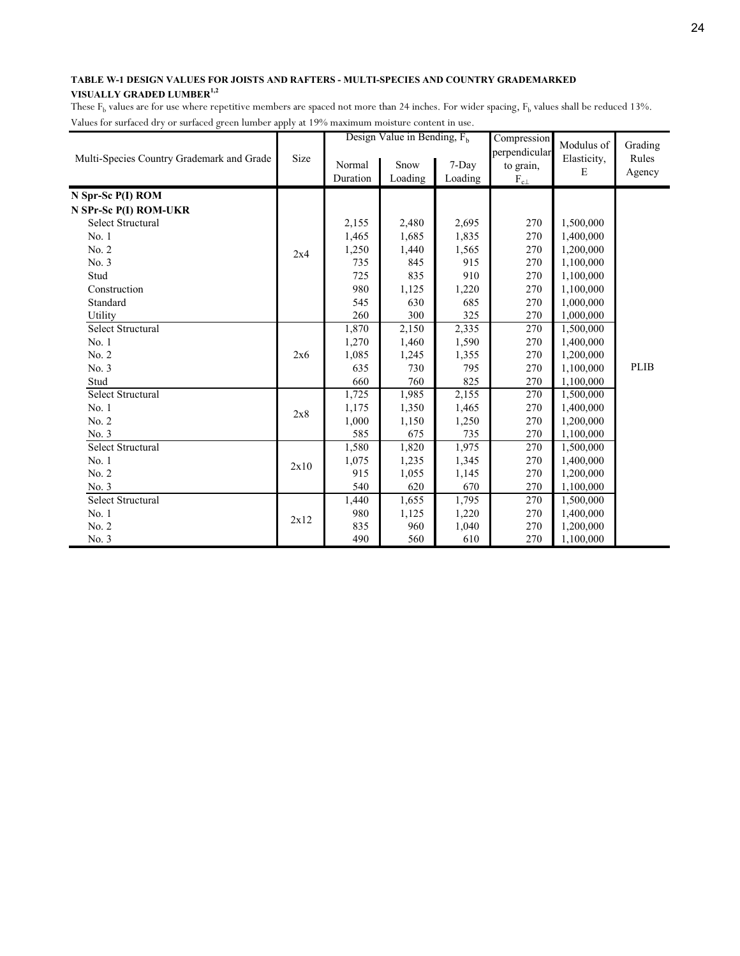|                                           |      |          | Design Value in Bending, $F_h$ |         | Compression<br>perpendicular | Modulus of  | Grading     |
|-------------------------------------------|------|----------|--------------------------------|---------|------------------------------|-------------|-------------|
| Multi-Species Country Grademark and Grade | Size | Normal   | Snow                           | 7-Day   | to grain,                    | Elasticity, | Rules       |
|                                           |      | Duration | Loading                        | Loading | $\rm F_{c\perp}$             | E           | Agency      |
| N Spr-Sc P(I) ROM                         |      |          |                                |         |                              |             |             |
| N SPr-Sc P(I) ROM-UKR                     |      |          |                                |         |                              |             |             |
| <b>Select Structural</b>                  |      | 2,155    | 2,480                          | 2,695   | 270                          | 1,500,000   |             |
| No.1                                      |      | 1,465    | 1,685                          | 1,835   | 270                          | 1,400,000   |             |
| No. 2                                     | 2x4  | 1,250    | 1,440                          | 1,565   | 270                          | 1,200,000   |             |
| No. 3                                     |      | 735      | 845                            | 915     | 270                          | 1,100,000   |             |
| Stud                                      |      | 725      | 835                            | 910     | 270                          | 1,100,000   |             |
| Construction                              |      | 980      | 1,125                          | 1,220   | 270                          | 1,100,000   |             |
| Standard                                  |      | 545      | 630                            | 685     | 270                          | 1,000,000   |             |
| Utility                                   |      | 260      | 300                            | 325     | 270                          | 1,000,000   |             |
| Select Structural                         |      | 1,870    | 2,150                          | 2,335   | 270                          | 1,500,000   |             |
| No. 1                                     |      | 1,270    | 1,460                          | 1,590   | 270                          | 1,400,000   |             |
| No. 2                                     | 2x6  | 1,085    | 1,245                          | 1,355   | 270                          | 1,200,000   |             |
| No. 3                                     |      | 635      | 730                            | 795     | 270                          | 1,100,000   | <b>PLIB</b> |
| Stud                                      |      | 660      | 760                            | 825     | 270                          | 1,100,000   |             |
| Select Structural                         |      | 1,725    | 1,985                          | 2,155   | 270                          | 1,500,000   |             |
| No. 1                                     | 2x8  | 1,175    | 1,350                          | 1,465   | 270                          | 1,400,000   |             |
| No. 2                                     |      | 1,000    | 1,150                          | 1,250   | 270                          | 1,200,000   |             |
| No. 3                                     |      | 585      | 675                            | 735     | 270                          | 1,100,000   |             |
| Select Structural                         |      | 1,580    | 1,820                          | 1,975   | 270                          | 1,500,000   |             |
| No.1                                      | 2x10 | 1,075    | 1,235                          | 1,345   | 270                          | 1,400,000   |             |
| No. 2                                     |      | 915      | 1,055                          | 1,145   | 270                          | 1,200,000   |             |
| No. 3                                     |      | 540      | 620                            | 670     | 270                          | 1,100,000   |             |
| Select Structural                         |      | 1,440    | 1,655                          | 1,795   | 270                          | 1,500,000   |             |
| No. 1                                     | 2x12 | 980      | 1,125                          | 1,220   | 270                          | 1,400,000   |             |
| No. 2                                     |      | 835      | 960                            | 1,040   | 270                          | 1,200,000   |             |
| No. 3                                     |      | 490      | 560                            | 610     | 270                          | 1,100,000   |             |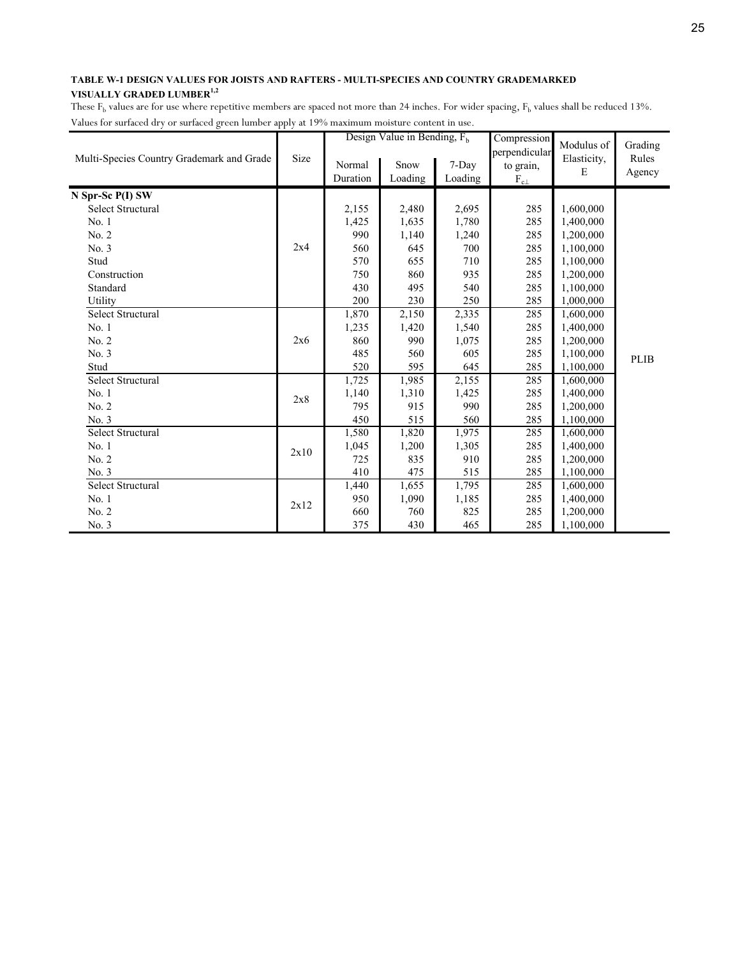|                                           |      |                    | Design Value in Bending, $F_h$ |                  | Compression                                | Modulus of       | Grading         |
|-------------------------------------------|------|--------------------|--------------------------------|------------------|--------------------------------------------|------------------|-----------------|
| Multi-Species Country Grademark and Grade | Size | Normal<br>Duration | Snow<br>Loading                | 7-Day<br>Loading | perpendicular<br>to grain,<br>$F_{c\perp}$ | Elasticity,<br>E | Rules<br>Agency |
| N Spr-Sc P(I) SW                          |      |                    |                                |                  |                                            |                  |                 |
| Select Structural                         |      | 2,155              | 2,480                          | 2,695            | 285                                        | 1,600,000        |                 |
| No.1                                      |      | 1,425              | 1,635                          | 1,780            | 285                                        | 1,400,000        |                 |
| No. 2                                     |      | 990                | 1,140                          | 1,240            | 285                                        | 1,200,000        |                 |
| No. 3                                     | 2x4  | 560                | 645                            | 700              | 285                                        | 1,100,000        |                 |
| Stud                                      |      | 570                | 655                            | 710              | 285                                        | 1,100,000        |                 |
| Construction                              |      | 750                | 860                            | 935              | 285                                        | 1,200,000        |                 |
| Standard                                  |      | 430                | 495                            | 540              | 285                                        | 1,100,000        |                 |
| Utility                                   |      | 200                | 230                            | 250              | 285                                        | 1,000,000        |                 |
| Select Structural                         |      | 1,870              | 2,150                          | 2,335            | 285                                        | 1,600,000        |                 |
| No. 1                                     |      | 1,235              | 1,420                          | 1,540            | 285                                        | 1,400,000        |                 |
| No. 2                                     | 2x6  | 860                | 990                            | 1,075            | 285                                        | 1,200,000        |                 |
| No. 3                                     |      | 485                | 560                            | 605              | 285                                        | 1,100,000        | <b>PLIB</b>     |
| Stud                                      |      | 520                | 595                            | 645              | 285                                        | 1,100,000        |                 |
| <b>Select Structural</b>                  |      | 1,725              | 1,985                          | 2,155            | 285                                        | 1,600,000        |                 |
| No.1                                      | 2x8  | 1,140              | 1,310                          | 1,425            | 285                                        | 1,400,000        |                 |
| No. 2                                     |      | 795                | 915                            | 990              | 285                                        | 1,200,000        |                 |
| No. 3                                     |      | 450                | 515                            | 560              | 285                                        | 1,100,000        |                 |
| Select Structural                         |      | 1,580              | 1,820                          | 1,975            | 285                                        | 1,600,000        |                 |
| No. 1                                     | 2x10 | 1,045              | 1,200                          | 1,305            | 285                                        | 1,400,000        |                 |
| No. 2                                     |      | 725                | 835                            | 910              | 285                                        | 1,200,000        |                 |
| No. 3                                     |      | 410                | 475                            | 515              | 285                                        | 1,100,000        |                 |
| Select Structural                         |      | 1,440              | 1,655                          | 1,795            | 285                                        | 1,600,000        |                 |
| No. 1                                     | 2x12 | 950                | 1,090                          | 1,185            | 285                                        | 1,400,000        |                 |
| No. 2                                     |      | 660                | 760                            | 825              | 285                                        | 1,200,000        |                 |
| No. 3                                     |      | 375                | 430                            | 465              | 285                                        | 1,100,000        |                 |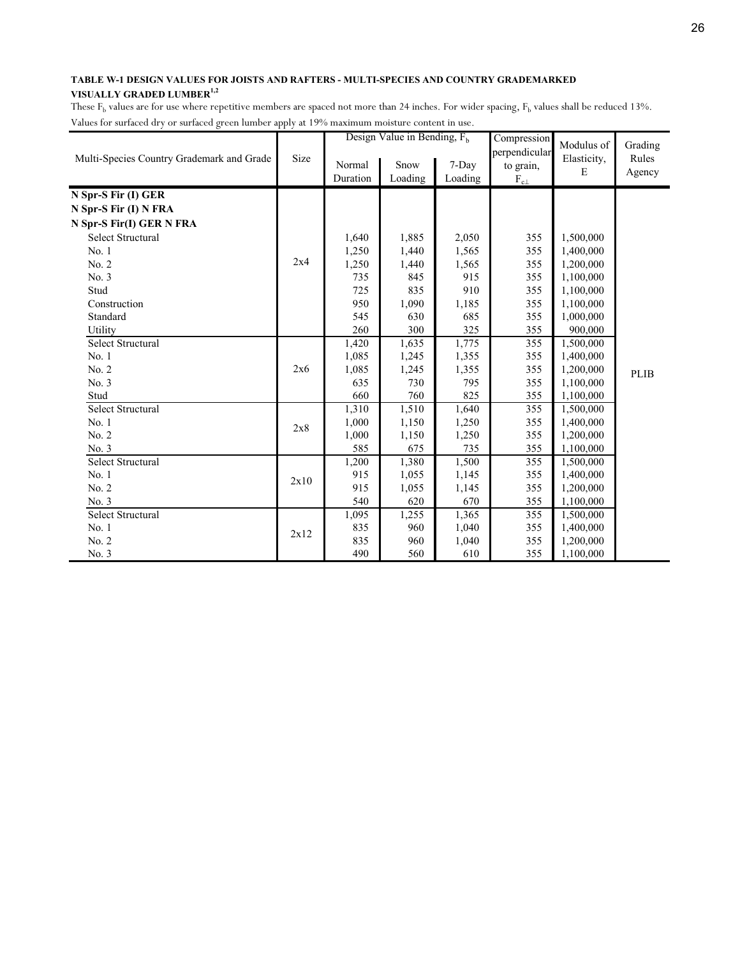|                                           |      |          | Design Value in Bending, $F_h$ |         | Compression<br>perpendicular | Modulus of  | Grading     |
|-------------------------------------------|------|----------|--------------------------------|---------|------------------------------|-------------|-------------|
| Multi-Species Country Grademark and Grade | Size | Normal   | Snow                           | 7-Day   | to grain,                    | Elasticity, | Rules       |
|                                           |      | Duration | Loading                        | Loading | $\rm F_{c\perp}$             | E           | Agency      |
| N Spr-S Fir (I) GER                       |      |          |                                |         |                              |             |             |
| N Spr-S Fir (I) N FRA                     |      |          |                                |         |                              |             |             |
| N Spr-S Fir(I) GER N FRA                  |      |          |                                |         |                              |             |             |
| Select Structural                         |      | 1,640    | 1,885                          | 2,050   | 355                          | 1,500,000   |             |
| No.1                                      |      | 1,250    | 1,440                          | 1,565   | 355                          | 1,400,000   |             |
| No. 2                                     | 2x4  | 1,250    | 1,440                          | 1,565   | 355                          | 1,200,000   |             |
| No. 3                                     |      | 735      | 845                            | 915     | 355                          | 1,100,000   |             |
| Stud                                      |      | 725      | 835                            | 910     | 355                          | 1,100,000   |             |
| Construction                              |      | 950      | 1,090                          | 1,185   | 355                          | 1,100,000   |             |
| Standard                                  |      | 545      | 630                            | 685     | 355                          | 1,000,000   |             |
| Utility                                   |      | 260      | 300                            | 325     | 355                          | 900,000     |             |
| Select Structural                         |      | 1,420    | 1,635                          | 1,775   | 355                          | 1,500,000   |             |
| No. 1                                     |      | 1,085    | 1,245                          | 1,355   | 355                          | 1,400,000   |             |
| No. 2                                     | 2x6  | 1,085    | 1,245                          | 1,355   | 355                          | 1,200,000   | <b>PLIB</b> |
| No. 3                                     |      | 635      | 730                            | 795     | 355                          | 1,100,000   |             |
| Stud                                      |      | 660      | 760                            | 825     | 355                          | 1,100,000   |             |
| <b>Select Structural</b>                  |      | 1,310    | 1,510                          | 1,640   | 355                          | 1,500,000   |             |
| No. 1                                     | 2x8  | 1,000    | 1,150                          | 1,250   | 355                          | 1,400,000   |             |
| No. 2                                     |      | 1,000    | 1,150                          | 1,250   | 355                          | 1,200,000   |             |
| No. 3                                     |      | 585      | 675                            | 735     | 355                          | 1,100,000   |             |
| <b>Select Structural</b>                  |      | 1,200    | 1,380                          | 1,500   | 355                          | 1,500,000   |             |
| No.1                                      | 2x10 | 915      | 1,055                          | 1,145   | 355                          | 1,400,000   |             |
| No. 2                                     |      | 915      | 1,055                          | 1,145   | 355                          | 1,200,000   |             |
| No. 3                                     |      | 540      | 620                            | 670     | 355                          | 1,100,000   |             |
| Select Structural                         |      | 1,095    | 1,255                          | 1,365   | 355                          | 1,500,000   |             |
| No. 1                                     | 2x12 | 835      | 960                            | 1,040   | 355                          | 1,400,000   |             |
| No. 2                                     |      | 835      | 960                            | 1,040   | 355                          | 1,200,000   |             |
| No. 3                                     |      | 490      | 560                            | 610     | 355                          | 1,100,000   |             |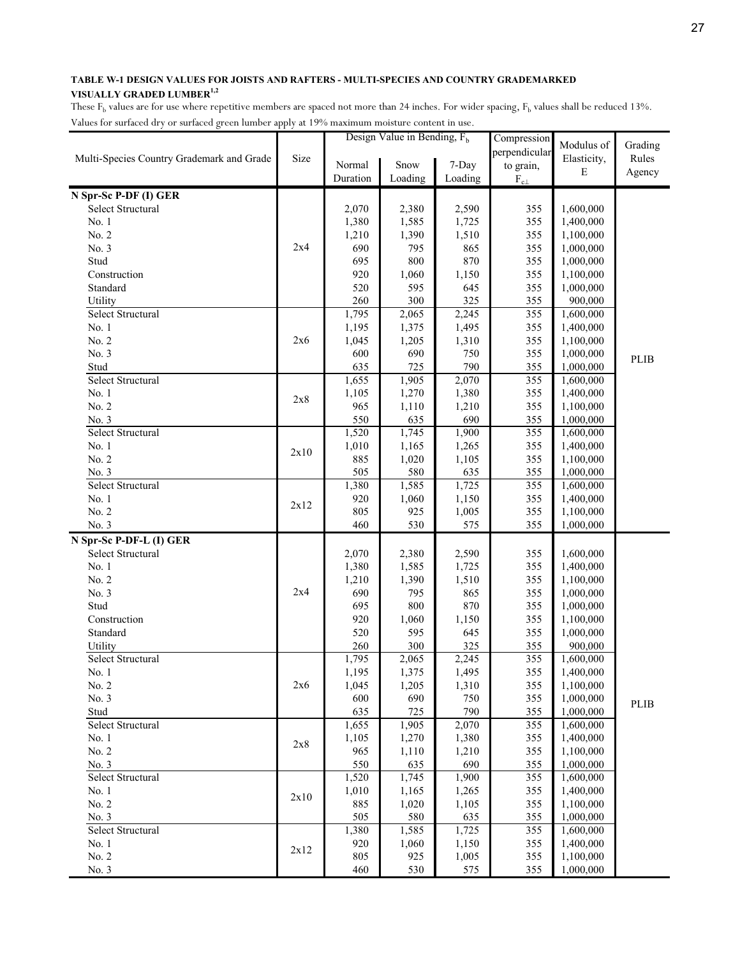|                                           |      |              | Design Value in Bending, $F_h$ |                | Compression      | Modulus of             | Grading     |
|-------------------------------------------|------|--------------|--------------------------------|----------------|------------------|------------------------|-------------|
| Multi-Species Country Grademark and Grade | Size |              |                                |                | perpendicular    | Elasticity,            | Rules       |
|                                           |      | Normal       | Snow                           | 7-Day          | to grain,        | E                      | Agency      |
|                                           |      | Duration     | Loading                        | Loading        | $\rm F_{c\perp}$ |                        |             |
| N Spr-Sc P-DF (I) GER                     |      |              |                                |                |                  |                        |             |
| Select Structural                         |      | 2,070        | 2,380                          | 2,590          | 355              | 1,600,000              |             |
| No. 1                                     |      | 1,380        | 1,585                          | 1,725          | 355              | 1,400,000              |             |
| No. 2                                     |      | 1,210        | 1,390                          | 1,510          | 355              | 1,100,000              |             |
| No. 3                                     | 2x4  | 690          | 795                            | 865            | 355              | 1,000,000              |             |
| Stud                                      |      | 695          | 800                            | 870            | 355              | 1,000,000              |             |
| Construction                              |      | 920          | 1,060                          | 1,150          | 355              | 1,100,000              |             |
| Standard                                  |      | 520          | 595                            | 645            | 355              | 1,000,000              |             |
| Utility                                   |      | 260          | 300                            | 325            | 355              | 900,000                |             |
| Select Structural                         |      | 1,795        | 2,065                          | 2,245          | 355              | 1,600,000              |             |
| No. 1                                     |      | 1,195        | 1,375                          | 1,495          | 355              | 1,400,000              |             |
| No. 2                                     | 2x6  | 1,045        | 1,205                          | 1,310          | 355              | 1,100,000              |             |
| No. 3                                     |      | 600          | 690                            | 750            | 355              | 1,000,000              | <b>PLIB</b> |
| Stud                                      |      | 635          | 725                            | 790            | 355              | 1,000,000              |             |
| Select Structural                         |      | 1,655        | 1,905                          | 2,070          | 355              | 1,600,000              |             |
| No. 1                                     | 2x8  | 1,105        | 1,270                          | 1,380          | 355              | 1,400,000              |             |
| No. 2                                     |      | 965          | 1,110                          | 1,210          | 355              | 1,100,000              |             |
| No. 3<br>Select Structural                |      | 550<br>1,520 | 635                            | 690            | 355<br>355       | 1,000,000              |             |
| No.1                                      |      | 1,010        | 1,745                          | 1,900          |                  | 1,600,000              |             |
| No. 2                                     | 2x10 | 885          | 1,165                          | 1,265<br>1,105 | 355<br>355       | 1,400,000              |             |
| No. 3                                     |      | 505          | 1,020<br>580                   | 635            | 355              | 1,100,000<br>1,000,000 |             |
| Select Structural                         |      | 1,380        | 1,585                          | 1,725          | 355              | 1,600,000              |             |
| No. 1                                     |      | 920          | 1,060                          | 1,150          | 355              | 1,400,000              |             |
| No. 2                                     | 2x12 | 805          | 925                            | 1,005          | 355              | 1,100,000              |             |
| No. 3                                     |      | 460          | 530                            | 575            | 355              | 1,000,000              |             |
| N Spr-Sc P-DF-L (I) GER                   |      |              |                                |                |                  |                        |             |
| Select Structural                         |      | 2,070        | 2,380                          | 2,590          | 355              | 1,600,000              |             |
| No. 1                                     |      | 1,380        | 1,585                          | 1,725          | 355              | 1,400,000              |             |
| No. 2                                     |      | 1,210        | 1,390                          | 1,510          | 355              | 1,100,000              |             |
| No. 3                                     | 2x4  | 690          | 795                            | 865            | 355              | 1,000,000              |             |
| Stud                                      |      | 695          | 800                            | 870            | 355              | 1,000,000              |             |
| Construction                              |      | 920          | 1,060                          | 1,150          | 355              | 1,100,000              |             |
| Standard                                  |      | 520          | 595                            | 645            | 355              | 1,000,000              |             |
| Utility                                   |      | 260          | 300                            | 325            | 355              | 900,000                |             |
| Select Structural                         |      | 1,795        | 2,065                          | 2,245          | 355              | 1,600,000              |             |
| No. 1                                     |      | 1,195        | 1,375                          | 1,495          | 355              | 1,400,000              |             |
| No. 2                                     | 2x6  | 1,045        | 1,205                          | 1,310          | 355              | 1,100,000              |             |
| No. 3                                     |      | 600          | 690                            | 750            | 355              | 1,000,000              | PLIB        |
| Stud                                      |      | 635          | 725                            | 790            | 355              | 1,000,000              |             |
| Select Structural                         |      | 1,655        | 1,905                          | 2,070          | 355              | 1,600,000              |             |
| No. 1                                     | 2x8  | 1,105        | 1,270                          | 1,380          | 355              | 1,400,000              |             |
| No. 2                                     |      | 965          | 1,110                          | 1,210          | 355              | 1,100,000              |             |
| No. 3                                     |      | 550          | 635                            | 690            | 355              | 1,000,000              |             |
| Select Structural                         |      | 1,520        | 1,745                          | 1,900          | 355              | 1,600,000              |             |
| No. 1                                     | 2x10 | 1,010        | 1,165                          | 1,265          | 355              | 1,400,000              |             |
| No. 2                                     |      | 885          | 1,020                          | 1,105          | 355              | 1,100,000              |             |
| No. 3                                     |      | 505          | 580                            | 635            | 355              | 1,000,000              |             |
| Select Structural                         |      | 1,380        | 1,585                          | 1,725          | 355              | 1,600,000              |             |
| No. 1                                     | 2x12 | 920          | 1,060                          | 1,150          | 355              | 1,400,000              |             |
| No. 2<br>No. 3                            |      | 805<br>460   | 925<br>530                     | 1,005<br>575   | 355<br>355       | 1,100,000<br>1,000,000 |             |
|                                           |      |              |                                |                |                  |                        |             |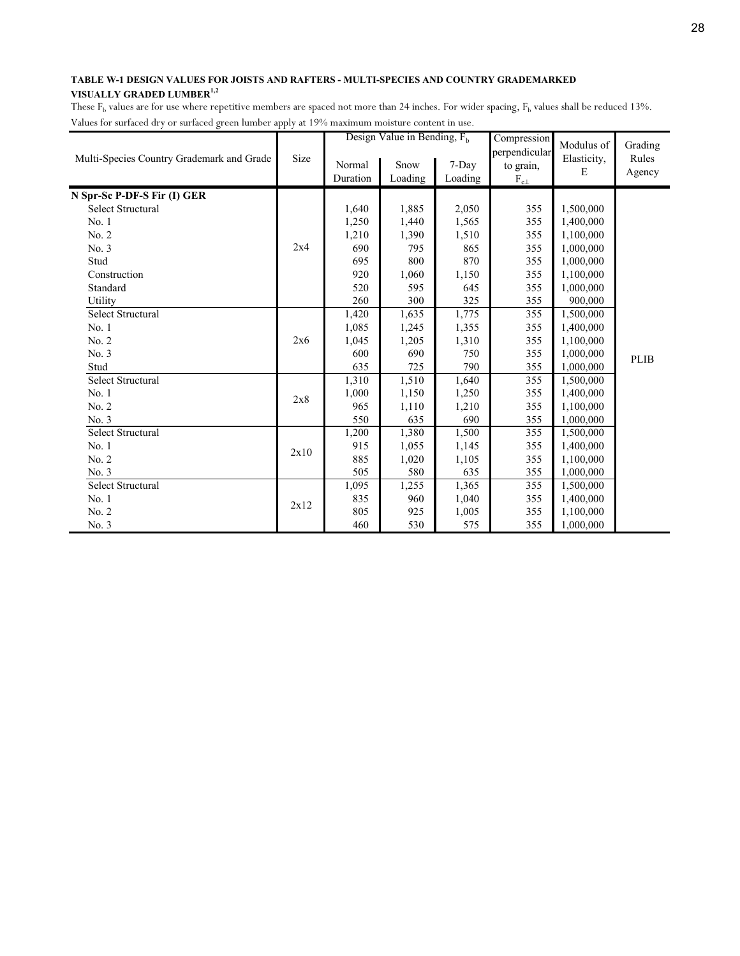|                                           |      |                    | Design Value in Bending, $F_h$ |                  | Compression                                    | Modulus of       | Grading         |
|-------------------------------------------|------|--------------------|--------------------------------|------------------|------------------------------------------------|------------------|-----------------|
| Multi-Species Country Grademark and Grade | Size | Normal<br>Duration | Snow<br>Loading                | 7-Day<br>Loading | perpendicular<br>to grain,<br>$\rm F_{c\perp}$ | Elasticity,<br>E | Rules<br>Agency |
| N Spr-Sc P-DF-S Fir (I) GER               |      |                    |                                |                  |                                                |                  |                 |
| Select Structural                         |      | 1,640              | 1,885                          | 2,050            | 355                                            | 1,500,000        |                 |
| No.1                                      |      | 1,250              | 1,440                          | 1,565            | 355                                            | 1,400,000        |                 |
| No. 2                                     |      | 1,210              | 1,390                          | 1,510            | 355                                            | 1,100,000        |                 |
| No. 3                                     | 2x4  | 690                | 795                            | 865              | 355                                            | 1,000,000        |                 |
| Stud                                      |      | 695                | 800                            | 870              | 355                                            | 1,000,000        |                 |
| Construction                              |      | 920                | 1,060                          | 1,150            | 355                                            | 1,100,000        |                 |
| Standard                                  |      | 520                | 595                            | 645              | 355                                            | 1,000,000        |                 |
| Utility                                   |      | 260                | 300                            | 325              | 355                                            | 900,000          |                 |
| <b>Select Structural</b>                  |      | 1,420              | 1,635                          | 1,775            | 355                                            | 1,500,000        |                 |
| No. 1                                     |      | 1,085              | 1,245                          | 1,355            | 355                                            | 1,400,000        |                 |
| No. 2                                     | 2x6  | 1,045              | 1,205                          | 1,310            | 355                                            | 1,100,000        |                 |
| No. 3                                     |      | 600                | 690                            | 750              | 355                                            | 1,000,000        | <b>PLIB</b>     |
| Stud                                      |      | 635                | 725                            | 790              | 355                                            | 1,000,000        |                 |
| <b>Select Structural</b>                  |      | 1,310              | 1,510                          | 1,640            | 355                                            | 1,500,000        |                 |
| No. 1                                     | 2x8  | 1,000              | 1,150                          | 1,250            | 355                                            | 1,400,000        |                 |
| No. 2                                     |      | 965                | 1,110                          | 1,210            | 355                                            | 1,100,000        |                 |
| No. 3                                     |      | 550                | 635                            | 690              | 355                                            | 1,000,000        |                 |
| <b>Select Structural</b>                  |      | 1,200              | 1,380                          | 1,500            | 355                                            | 1,500,000        |                 |
| No. 1                                     | 2x10 | 915                | 1,055                          | 1,145            | 355                                            | 1,400,000        |                 |
| No. 2                                     |      | 885                | 1,020                          | 1,105            | 355                                            | 1,100,000        |                 |
| No. 3                                     |      | 505                | 580                            | 635              | 355                                            | 1,000,000        |                 |
| Select Structural                         |      | 1,095              | 1,255                          | 1,365            | 355                                            | 1,500,000        |                 |
| No. 1                                     | 2x12 | 835                | 960                            | 1,040            | 355                                            | 1,400,000        |                 |
| No. 2                                     |      | 805                | 925                            | 1,005            | 355                                            | 1,100,000        |                 |
| No. 3                                     |      | 460                | 530                            | 575              | 355                                            | 1,000,000        |                 |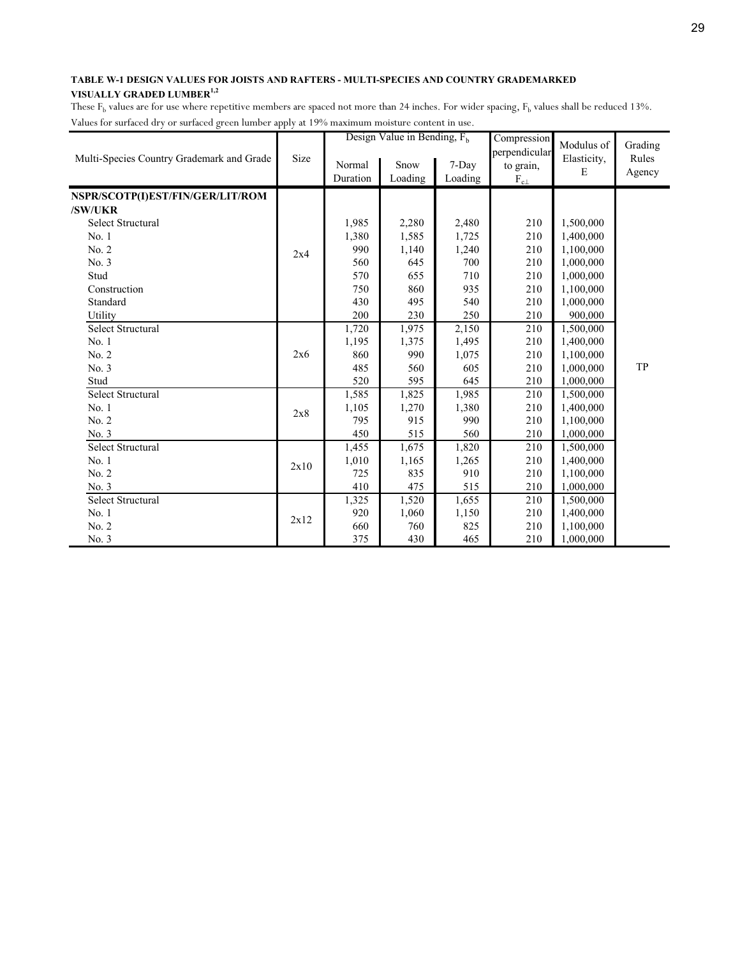|                                           |      |          | Design Value in Bending, $F_h$ |         | Compression<br>perpendicular | Modulus of  | Grading |
|-------------------------------------------|------|----------|--------------------------------|---------|------------------------------|-------------|---------|
| Multi-Species Country Grademark and Grade | Size | Normal   | Snow                           | 7-Day   | to grain,                    | Elasticity, | Rules   |
|                                           |      | Duration | Loading                        | Loading | $\rm F_{c\perp}$             | E           | Agency  |
|                                           |      |          |                                |         |                              |             |         |
| NSPR/SCOTP(I)EST/FIN/GER/LIT/ROM          |      |          |                                |         |                              |             |         |
| /SW/UKR                                   |      |          |                                |         |                              |             |         |
| <b>Select Structural</b>                  |      | 1,985    | 2,280                          | 2,480   | 210                          | 1,500,000   |         |
| No.1                                      |      | 1,380    | 1,585                          | 1,725   | 210                          | 1,400,000   |         |
| No. 2                                     | 2x4  | 990      | 1,140                          | 1,240   | 210                          | 1,100,000   |         |
| No. 3                                     |      | 560      | 645                            | 700     | 210                          | 1,000,000   |         |
| Stud                                      |      | 570      | 655                            | 710     | 210                          | 1,000,000   |         |
| Construction                              |      | 750      | 860                            | 935     | 210                          | 1,100,000   |         |
| Standard                                  |      | 430      | 495                            | 540     | 210                          | 1,000,000   |         |
| Utility                                   |      | 200      | 230                            | 250     | 210                          | 900,000     |         |
| Select Structural                         |      | 1,720    | 1,975                          | 2,150   | 210                          | 1,500,000   |         |
| No. 1                                     |      | 1,195    | 1,375                          | 1,495   | 210                          | 1,400,000   |         |
| No. 2                                     | 2x6  | 860      | 990                            | 1,075   | 210                          | 1,100,000   |         |
| No. 3                                     |      | 485      | 560                            | 605     | 210                          | 1,000,000   | TP      |
| Stud                                      |      | 520      | 595                            | 645     | 210                          | 1,000,000   |         |
| <b>Select Structural</b>                  |      | 1,585    | 1,825                          | 1,985   | 210                          | 1,500,000   |         |
| No. 1                                     |      | 1,105    | 1,270                          | 1,380   | 210                          | 1,400,000   |         |
| No. 2                                     | 2x8  | 795      | 915                            | 990     | 210                          | 1,100,000   |         |
| No. 3                                     |      | 450      | 515                            | 560     | 210                          | 1,000,000   |         |
| <b>Select Structural</b>                  |      | 1,455    | 1,675                          | 1,820   | 210                          | 1,500,000   |         |
| No.1                                      |      | 1,010    | 1,165                          | 1,265   | 210                          | 1,400,000   |         |
| No. 2                                     | 2x10 | 725      | 835                            | 910     | 210                          | 1,100,000   |         |
| No. 3                                     |      | 410      | 475                            | 515     | 210                          | 1,000,000   |         |
| Select Structural                         |      | 1,325    | 1,520                          | 1,655   | 210                          | 1,500,000   |         |
| No. 1                                     |      | 920      | 1,060                          | 1,150   | 210                          | 1,400,000   |         |
| No. 2                                     | 2x12 | 660      | 760                            | 825     | 210                          | 1,100,000   |         |
| No. 3                                     |      | 375      | 430                            | 465     | 210                          | 1,000,000   |         |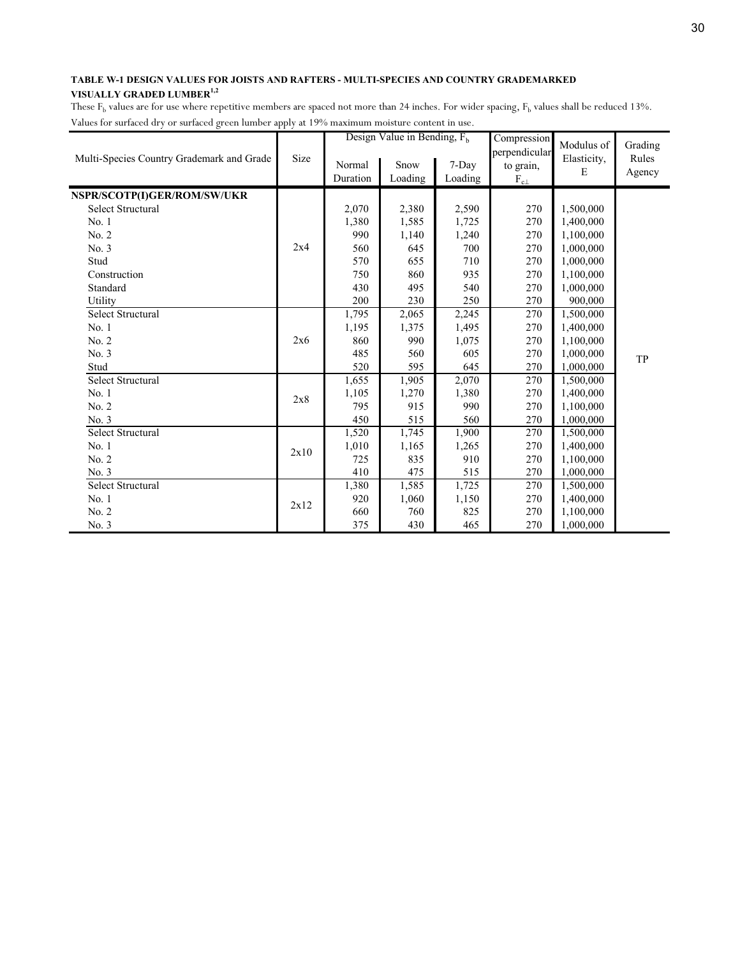|                                           |      |                    | Design Value in Bending, $F_h$ |                  | Compression                                    | Modulus of       | Grading         |
|-------------------------------------------|------|--------------------|--------------------------------|------------------|------------------------------------------------|------------------|-----------------|
| Multi-Species Country Grademark and Grade | Size | Normal<br>Duration | Snow<br>Loading                | 7-Day<br>Loading | perpendicular<br>to grain,<br>$\rm F_{c\perp}$ | Elasticity,<br>E | Rules<br>Agency |
| NSPR/SCOTP(I)GER/ROM/SW/UKR               |      |                    |                                |                  |                                                |                  |                 |
| Select Structural                         |      | 2,070              | 2,380                          | 2,590            | 270                                            | 1,500,000        |                 |
| No. 1                                     |      | 1,380              | 1,585                          | 1,725            | 270                                            | 1,400,000        |                 |
| No. 2                                     |      | 990                | 1,140                          | 1,240            | 270                                            | 1,100,000        |                 |
| No. 3                                     | 2x4  | 560                | 645                            | 700              | 270                                            | 1,000,000        |                 |
| Stud                                      |      | 570                | 655                            | 710              | 270                                            | 1,000,000        |                 |
| Construction                              |      | 750                | 860                            | 935              | 270                                            | 1,100,000        |                 |
| Standard                                  |      | 430                | 495                            | 540              | 270                                            | 1,000,000        |                 |
| Utility                                   |      | 200                | 230                            | 250              | 270                                            | 900,000          |                 |
| <b>Select Structural</b>                  |      | 1,795              | 2,065                          | 2,245            | 270                                            | 1,500,000        |                 |
| No. 1                                     |      | 1,195              | 1,375                          | 1,495            | 270                                            | 1,400,000        |                 |
| No. 2                                     | 2x6  | 860                | 990                            | 1,075            | 270                                            | 1,100,000        |                 |
| No. 3                                     |      | 485                | 560                            | 605              | 270                                            | 1,000,000        | TP              |
| Stud                                      |      | 520                | 595                            | 645              | 270                                            | 1,000,000        |                 |
| <b>Select Structural</b>                  |      | 1,655              | 1,905                          | 2,070            | 270                                            | 1,500,000        |                 |
| No. 1                                     | 2x8  | 1,105              | 1,270                          | 1,380            | 270                                            | 1,400,000        |                 |
| No. 2                                     |      | 795                | 915                            | 990              | 270                                            | 1,100,000        |                 |
| No. 3                                     |      | 450                | 515                            | 560              | 270                                            | 1,000,000        |                 |
| <b>Select Structural</b>                  |      | 1,520              | 1,745                          | 1,900            | 270                                            | 1,500,000        |                 |
| No. 1                                     | 2x10 | 1,010              | 1,165                          | 1,265            | 270                                            | 1,400,000        |                 |
| No. 2                                     |      | 725                | 835                            | 910              | 270                                            | 1,100,000        |                 |
| No. 3                                     |      | 410                | 475                            | 515              | 270                                            | 1,000,000        |                 |
| <b>Select Structural</b>                  |      | 1,380              | 1,585                          | 1,725            | 270                                            | 1,500,000        |                 |
| No. 1                                     |      | 920                | 1,060                          | 1,150            | 270                                            | 1,400,000        |                 |
| No. 2                                     | 2x12 | 660                | 760                            | 825              | 270                                            | 1,100,000        |                 |
| No. 3                                     |      | 375                | 430                            | 465              | 270                                            | 1,000,000        |                 |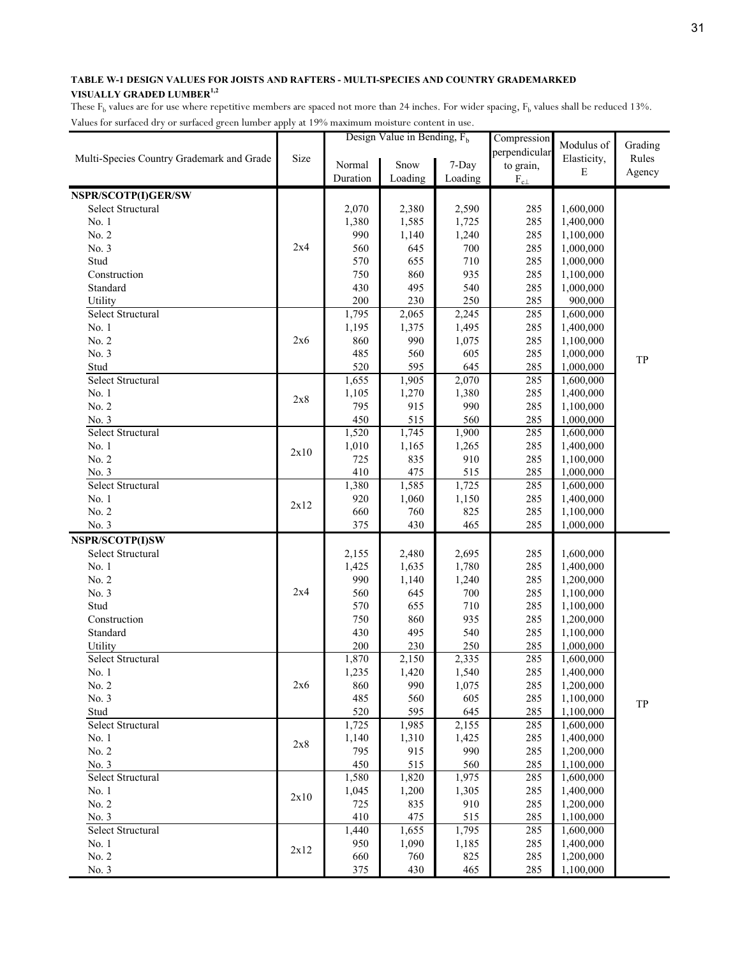|                                           |      | ances for surfaced ary or surfaced green fumber upply at 1970 maximum moisture content in | Design Value in Bending, $Fb$ |         | Compression   |             |         |
|-------------------------------------------|------|-------------------------------------------------------------------------------------------|-------------------------------|---------|---------------|-------------|---------|
|                                           |      |                                                                                           |                               |         | perpendicular | Modulus of  | Grading |
| Multi-Species Country Grademark and Grade | Size | Normal                                                                                    | Snow                          | 7-Day   | to grain,     | Elasticity, | Rules   |
|                                           |      | Duration                                                                                  | Loading                       | Loading | $F_{c\perp}$  | E           | Agency  |
|                                           |      |                                                                                           |                               |         |               |             |         |
| NSPR/SCOTP(I)GER/SW                       |      |                                                                                           |                               |         |               |             |         |
| Select Structural                         |      | 2,070                                                                                     | 2,380                         | 2,590   | 285           | 1,600,000   |         |
| No. 1                                     |      | 1,380                                                                                     | 1,585                         | 1,725   | 285           | 1,400,000   |         |
| No. 2                                     | 2x4  | 990                                                                                       | 1,140                         | 1,240   | 285           | 1,100,000   |         |
| No. 3                                     |      | 560                                                                                       | 645                           | 700     | 285           | 1,000,000   |         |
| Stud                                      |      | 570                                                                                       | 655                           | 710     | 285           | 1,000,000   |         |
| Construction                              |      | 750                                                                                       | 860                           | 935     | 285           | 1,100,000   |         |
| Standard                                  |      | 430                                                                                       | 495                           | 540     | 285           | 1,000,000   |         |
| Utility                                   |      | 200                                                                                       | 230                           | 250     | 285           | 900,000     |         |
| Select Structural                         |      | 1,795                                                                                     | 2,065                         | 2,245   | 285           | 1,600,000   |         |
| No. 1                                     |      | 1,195                                                                                     | 1,375                         | 1,495   | 285           | 1,400,000   |         |
| No. 2                                     | 2x6  | 860                                                                                       | 990                           | 1,075   | 285           | 1,100,000   |         |
| No. 3                                     |      | 485                                                                                       | 560                           | 605     | 285           | 1,000,000   | TP      |
| Stud                                      |      | 520                                                                                       | 595                           | 645     | 285           | 1,000,000   |         |
| Select Structural                         |      | 1,655                                                                                     | 1,905                         | 2,070   | 285           | 1,600,000   |         |
| No. 1                                     | 2x8  | 1,105                                                                                     | 1,270                         | 1,380   | 285           | 1,400,000   |         |
| No. 2                                     |      | 795                                                                                       | 915                           | 990     | 285           | 1,100,000   |         |
| No. 3                                     |      | 450                                                                                       | 515                           | 560     | 285           | 1,000,000   |         |
| Select Structural                         |      | 1,520                                                                                     | 1,745                         | 1,900   | 285           | 1,600,000   |         |
| No. 1                                     | 2x10 | 1,010                                                                                     | 1,165                         | 1,265   | 285           | 1,400,000   |         |
| No. 2                                     |      | 725                                                                                       | 835                           | 910     | 285           | 1,100,000   |         |
| No. 3                                     |      | 410                                                                                       | 475                           | 515     | 285           | 1,000,000   |         |
| Select Structural                         |      | 1,380                                                                                     | 1,585                         | 1,725   | 285           | 1,600,000   |         |
| No. 1                                     | 2x12 | 920                                                                                       | 1,060                         | 1,150   | 285           | 1,400,000   |         |
| No. 2                                     |      | 660                                                                                       | 760                           | 825     | 285           | 1,100,000   |         |
| No. 3                                     |      | 375                                                                                       | 430                           | 465     | 285           | 1,000,000   |         |
| NSPR/SCOTP(I)SW                           |      |                                                                                           |                               |         |               |             |         |
| Select Structural                         |      | 2,155                                                                                     | 2,480                         | 2,695   | 285           | 1,600,000   |         |
| No. 1                                     |      | 1,425                                                                                     | 1,635                         | 1,780   | 285           | 1,400,000   |         |
| No. 2                                     |      | 990                                                                                       | 1,140                         | 1,240   | 285           | 1,200,000   |         |
| No. 3                                     | 2x4  | 560                                                                                       | 645                           | 700     | 285           | 1,100,000   |         |
| Stud                                      |      | 570                                                                                       | 655                           | 710     | 285           | 1,100,000   |         |
| Construction                              |      | 750                                                                                       | 860                           | 935     | 285           | 1,200,000   |         |
| Standard                                  |      | 430                                                                                       | 495                           | 540     | 285           | 1,100,000   |         |
| Utility                                   |      | 200                                                                                       | 230                           | 250     | 285           | 1,000,000   |         |
| Select Structural                         |      | 1,870                                                                                     | 2,150                         | 2,335   | 285           | 1,600,000   |         |
| No. 1                                     |      | 1,235                                                                                     | 1,420                         | 1,540   | 285           | 1,400,000   |         |
| No. 2                                     | 2x6  | 860                                                                                       | 990                           | 1,075   | 285           | 1,200,000   |         |
| No. 3                                     |      | 485                                                                                       | 560                           | 605     | 285           | 1,100,000   | TP      |
| Stud                                      |      | 520                                                                                       | 595                           | 645     | 285           | 1,100,000   |         |
| Select Structural                         |      | 1,725                                                                                     | 1,985                         | 2,155   | 285           | 1,600,000   |         |
| No. 1                                     |      | 1,140                                                                                     | 1,310                         | 1,425   | 285           | 1,400,000   |         |
| No. 2                                     | 2x8  | 795                                                                                       | 915                           | 990     | 285           | 1,200,000   |         |
| No. 3                                     |      | 450                                                                                       | 515                           | 560     | 285           | 1,100,000   |         |
| Select Structural                         |      | 1,580                                                                                     | 1,820                         | 1,975   | 285           | 1,600,000   |         |
| No. 1                                     |      | 1,045                                                                                     | 1,200                         | 1,305   | 285           | 1,400,000   |         |
| No. 2                                     | 2x10 | 725                                                                                       | 835                           | 910     | 285           | 1,200,000   |         |
| No. 3                                     |      | 410                                                                                       | 475                           | 515     | 285           | 1,100,000   |         |
| Select Structural                         |      | 1,440                                                                                     | 1,655                         | 1,795   | 285           | 1,600,000   |         |
| No. 1                                     |      | 950                                                                                       | 1,090                         | 1,185   | 285           | 1,400,000   |         |
| No. 2                                     | 2x12 | 660                                                                                       | 760                           | 825     | 285           | 1,200,000   |         |
| No. 3                                     |      | 375                                                                                       | 430                           | 465     | 285           | 1,100,000   |         |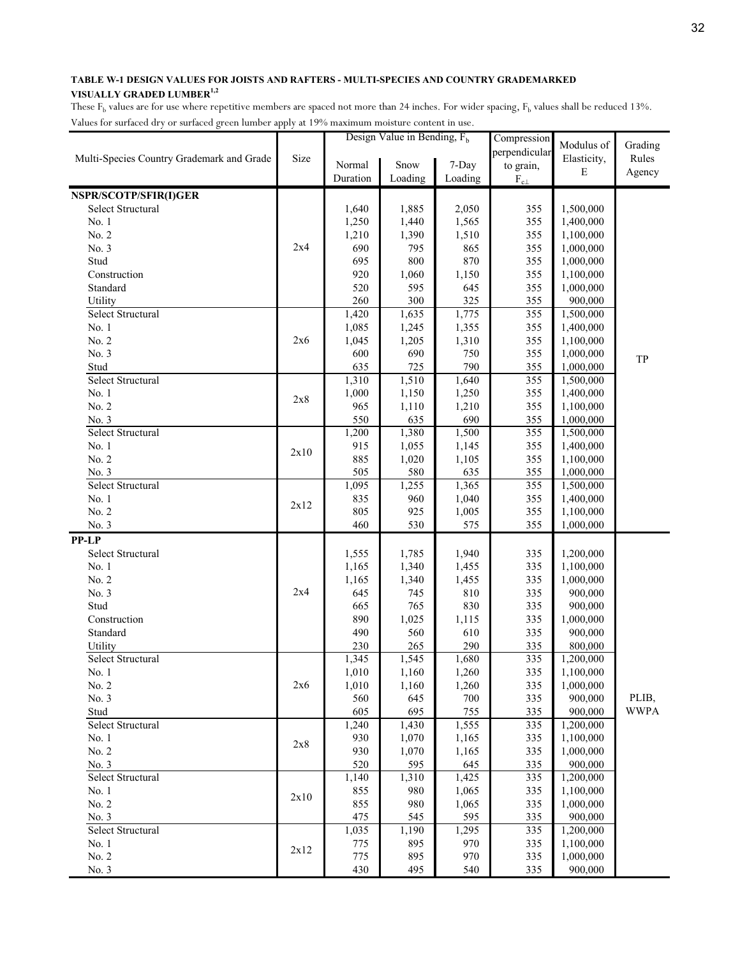|                                           |      |            | Design Value in Bending, $F_h$ |                | Compression      | Modulus of             | Grading     |
|-------------------------------------------|------|------------|--------------------------------|----------------|------------------|------------------------|-------------|
| Multi-Species Country Grademark and Grade | Size |            |                                |                | perpendicular    | Elasticity,            | Rules       |
|                                           |      | Normal     | Snow                           | 7-Day          | to grain,        | $\mathbf E$            | Agency      |
|                                           |      | Duration   | Loading                        | Loading        | $\rm F_{c\perp}$ |                        |             |
| NSPR/SCOTP/SFIR(I)GER                     |      |            |                                |                |                  |                        |             |
| Select Structural                         |      | 1,640      | 1,885                          | 2,050          | 355              | 1,500,000              |             |
| No. 1                                     |      | 1,250      | 1,440                          | 1,565          | 355              | 1,400,000              |             |
| No. 2                                     |      | 1,210      | 1,390                          | 1,510          | 355              | 1,100,000              |             |
| No. 3                                     | 2x4  | 690        | 795                            | 865            | 355              | 1,000,000              |             |
| Stud                                      |      | 695        | 800                            | 870            | 355              | 1,000,000              |             |
| Construction                              |      | 920        | 1,060                          | 1,150          | 355              | 1,100,000              |             |
| Standard                                  |      | 520        | 595                            | 645            | 355              | 1,000,000              |             |
| Utility                                   |      | 260        | 300                            | 325            | 355              | 900,000                |             |
| Select Structural                         |      | 1,420      | 1,635                          | 1,775          | 355              | 1,500,000              |             |
| No. 1                                     |      | 1,085      | 1,245                          | 1,355          | 355              | 1,400,000              |             |
| No. 2                                     | 2x6  | 1,045      | 1,205                          | 1,310          | 355              | 1,100,000              |             |
| No. 3                                     |      | 600        | 690                            | 750            | 355              | 1,000,000              | TP          |
| Stud                                      |      | 635        | 725                            | 790            | 355              | 1,000,000              |             |
| Select Structural                         |      | 1,310      | 1,510                          | 1,640          | 355              | 1,500,000              |             |
| No. 1                                     | 2x8  | 1,000      | 1,150                          | 1,250          | 355              | 1,400,000              |             |
| No. 2                                     |      | 965        | 1,110                          | 1,210          | 355              | 1,100,000              |             |
| No. 3                                     |      | 550        | 635                            | 690            | 355              | 1,000,000              |             |
| Select Structural                         |      | 1,200      | 1,380                          | 1,500          | 355              | 1,500,000              |             |
| No. 1                                     | 2x10 | 915        | 1,055                          | 1,145          | 355              | 1,400,000              |             |
| No. 2                                     |      | 885        | 1,020                          | 1,105          | 355              | 1,100,000              |             |
| No. 3                                     |      | 505        | 580                            | 635            | 355              | 1,000,000              |             |
| Select Structural                         |      | 1,095      | 1,255                          | 1,365          | 355              | 1,500,000              |             |
| No. 1<br>No. 2                            | 2x12 | 835<br>805 | 960<br>925                     | 1,040<br>1,005 | 355<br>355       | 1,400,000<br>1,100,000 |             |
| No. 3                                     |      | 460        | 530                            | 575            | 355              | 1,000,000              |             |
| <b>PP-LP</b>                              |      |            |                                |                |                  |                        |             |
| Select Structural                         |      | 1,555      | 1,785                          | 1,940          | 335              | 1,200,000              |             |
| No. 1                                     |      | 1,165      | 1,340                          | 1,455          | 335              | 1,100,000              |             |
| No. 2                                     |      | 1,165      | 1,340                          | 1,455          | 335              | 1,000,000              |             |
| No. 3                                     | 2x4  | 645        | 745                            | 810            | 335              | 900,000                |             |
| Stud                                      |      | 665        | 765                            | 830            | 335              | 900,000                |             |
| Construction                              |      | 890        | 1,025                          | 1,115          | 335              | 1,000,000              |             |
| Standard                                  |      | 490        | 560                            | 610            | 335              | 900,000                |             |
| Utility                                   |      | 230        | 265                            | 290            | 335              | 800,000                |             |
| Select Structural                         |      | 1,345      | 1,545                          | 1,680          | 335              | 1,200,000              |             |
| No. 1                                     |      | 1,010      | 1,160                          | 1,260          | 335              | 1,100,000              |             |
| No. 2                                     | 2x6  | 1,010      | 1,160                          | 1,260          | 335              | 1,000,000              |             |
| No. 3                                     |      | 560        | 645                            | 700            | 335              | 900,000                | PLIB,       |
| Stud                                      |      | 605        | 695                            | 755            | 335              | 900,000                | <b>WWPA</b> |
| Select Structural                         |      | 1,240      | 1,430                          | 1,555          | 335              | 1,200,000              |             |
| No. 1                                     | 2x8  | 930        | 1,070                          | 1,165          | 335              | 1,100,000              |             |
| No. 2                                     |      | 930        | 1,070                          | 1,165          | 335              | 1,000,000              |             |
| No. 3                                     |      | 520        | 595                            | 645            | 335              | 900,000                |             |
| Select Structural                         |      | 1,140      | 1,310                          | 1,425          | 335              | 1,200,000              |             |
| No. 1                                     | 2x10 | 855        | 980                            | 1,065          | 335              | 1,100,000              |             |
| No. 2                                     |      | 855        | 980                            | 1,065          | 335              | 1,000,000              |             |
| No. 3                                     |      | 475        | 545                            | 595            | 335              | 900,000                |             |
| Select Structural                         |      | 1,035      | 1,190                          | 1,295          | 335              | 1,200,000              |             |
| No. 1                                     | 2x12 | 775        | 895                            | 970            | 335              | 1,100,000              |             |
| No. 2                                     |      | 775        | 895                            | 970            | 335              | 1,000,000              |             |
| No. 3                                     |      | 430        | 495                            | 540            | 335              | 900,000                |             |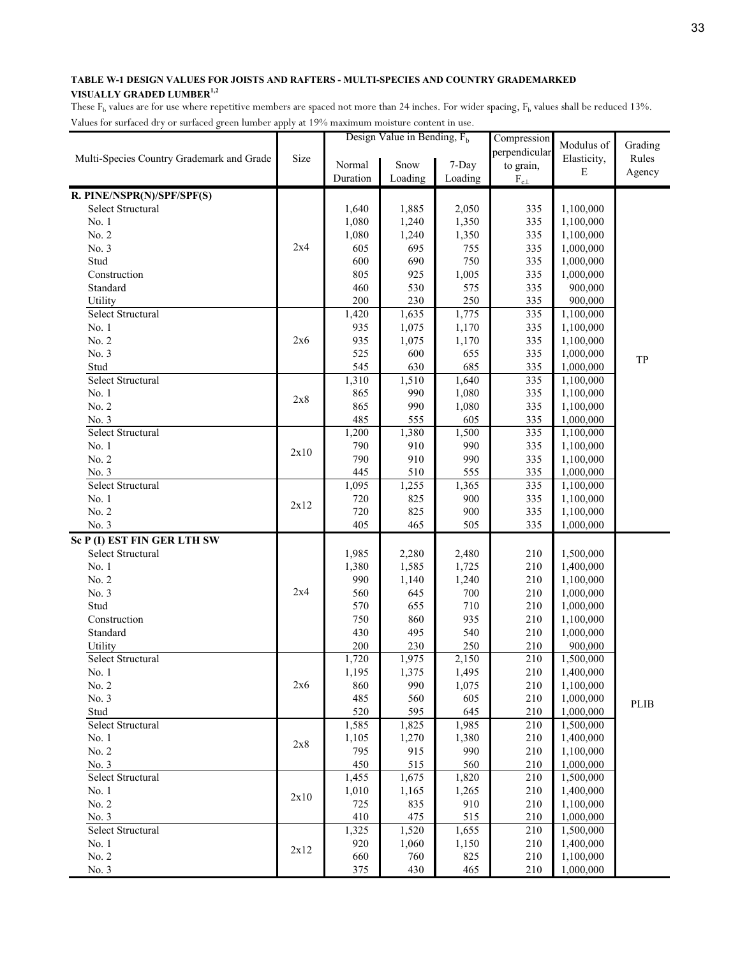|                                           |      |            | Design Value in Bending, $F_h$ |            | Compression      | Modulus of             | Grading |
|-------------------------------------------|------|------------|--------------------------------|------------|------------------|------------------------|---------|
| Multi-Species Country Grademark and Grade | Size |            |                                |            | perpendicular    | Elasticity,            | Rules   |
|                                           |      | Normal     | Snow                           | 7-Day      | to grain,        | E                      |         |
|                                           |      | Duration   | Loading                        | Loading    | $\rm F_{c\perp}$ |                        | Agency  |
| R. PINE/NSPR(N)/SPF/SPF(S)                |      |            |                                |            |                  |                        |         |
| Select Structural                         |      | 1,640      | 1,885                          | 2,050      | 335              | 1,100,000              |         |
| No. 1                                     |      | 1,080      | 1,240                          | 1,350      | 335              | 1,100,000              |         |
| No. 2                                     |      | 1,080      | 1,240                          | 1,350      | 335              | 1,100,000              |         |
| No. 3                                     | 2x4  | 605        | 695                            | 755        | 335              | 1,000,000              |         |
| Stud                                      |      | 600        | 690                            | 750        | 335              | 1,000,000              |         |
| Construction                              |      | 805        | 925                            | 1,005      | 335              | 1,000,000              |         |
| Standard                                  |      | 460        | 530                            | 575        | 335              | 900,000                |         |
| Utility                                   |      | 200        | 230                            | 250        | 335              | 900,000                |         |
| Select Structural                         |      | 1,420      | 1,635                          | 1,775      | 335              | 1,100,000              |         |
| No. 1                                     |      | 935        | 1,075                          | 1,170      | 335              | 1,100,000              |         |
| No. 2                                     | 2x6  | 935        | 1,075                          | 1,170      | 335              | 1,100,000              |         |
| No. 3                                     |      | 525        | 600                            | 655        | 335              | 1,000,000              | TP      |
| Stud                                      |      | 545        | 630                            | 685        | 335              | 1,000,000              |         |
| Select Structural                         |      | 1,310      | 1,510                          | 1,640      | 335              | 1,100,000              |         |
| No. 1                                     | 2x8  | 865        | 990                            | 1,080      | 335              | 1,100,000              |         |
| No. 2                                     |      | 865        | 990                            | 1,080      | 335              | 1,100,000              |         |
| No. 3                                     |      | 485        | 555                            | 605        | 335              | 1,000,000              |         |
| Select Structural                         |      | 1,200      | 1,380                          | 1,500      | 335              | 1,100,000              |         |
| No. 1                                     | 2x10 | 790        | 910                            | 990        | 335              | 1,100,000              |         |
| No. 2                                     |      | 790        | 910                            | 990        | 335              | 1,100,000              |         |
| No. 3                                     |      | 445        | 510                            | 555        | 335              | 1,000,000              |         |
| Select Structural                         |      | 1,095      | 1,255                          | 1,365      | 335              | 1,100,000              |         |
| No. 1                                     | 2x12 | 720        | 825                            | 900        | 335              | 1,100,000              |         |
| No. 2                                     |      | 720        | 825                            | 900        | 335              | 1,100,000              |         |
| No. 3                                     |      | 405        | 465                            | 505        | 335              | 1,000,000              |         |
| Sc P (I) EST FIN GER LTH SW               |      |            |                                |            |                  |                        |         |
| Select Structural                         |      | 1,985      | 2,280                          | 2,480      | 210              | 1,500,000              |         |
| No. 1                                     |      | 1,380      | 1,585                          | 1,725      | 210              | 1,400,000              |         |
| No. 2                                     |      | 990        | 1,140                          | 1,240      | 210              | 1,100,000              |         |
| No. 3                                     | 2x4  | 560        | 645                            | 700        | 210              | 1,000,000              |         |
| Stud                                      |      | 570        | 655                            | 710        | 210              | 1,000,000              |         |
| Construction                              |      | 750        | 860                            | 935        | 210              | 1,100,000              |         |
| Standard                                  |      | 430        | 495                            | 540        | 210              | 1,000,000              |         |
| Utility                                   |      | $200\,$    | 230                            | 250        | 210              | 900,000                |         |
| Select Structural                         |      | 1,720      | 1,975                          | 2,150      | 210              | 1,500,000              |         |
| No. 1                                     |      | 1,195      | 1,375                          | 1,495      | 210              | 1,400,000              |         |
| No. 2<br>No. 3                            | 2x6  | 860<br>485 | 990                            | 1,075      | 210              | 1,100,000              |         |
| Stud                                      |      | 520        | 560<br>595                     | 605<br>645 | 210<br>210       | 1,000,000<br>1,000,000 | PLIB    |
| Select Structural                         |      | 1,585      | 1,825                          | 1,985      | 210              | 1,500,000              |         |
| No. 1                                     |      | 1,105      | 1,270                          | 1,380      | 210              | 1,400,000              |         |
| No. 2                                     | 2x8  | 795        | 915                            | 990        | 210              | 1,100,000              |         |
| No. 3                                     |      | 450        | 515                            | 560        | 210              | 1,000,000              |         |
| Select Structural                         |      | 1,455      | 1,675                          | 1,820      | 210              | 1,500,000              |         |
| No. 1                                     |      | 1,010      | 1,165                          | 1,265      | 210              | 1,400,000              |         |
| No. 2                                     | 2x10 | 725        | 835                            | 910        | 210              | 1,100,000              |         |
| No. 3                                     |      | 410        | 475                            | 515        | 210              | 1,000,000              |         |
| Select Structural                         |      | 1,325      | 1,520                          | 1,655      | 210              | 1,500,000              |         |
| No. 1                                     |      | 920        | 1,060                          | 1,150      | 210              | 1,400,000              |         |
| No. 2                                     | 2x12 | 660        | 760                            | 825        | 210              | 1,100,000              |         |
| No. 3                                     |      | 375        | 430                            | 465        | 210              | 1,000,000              |         |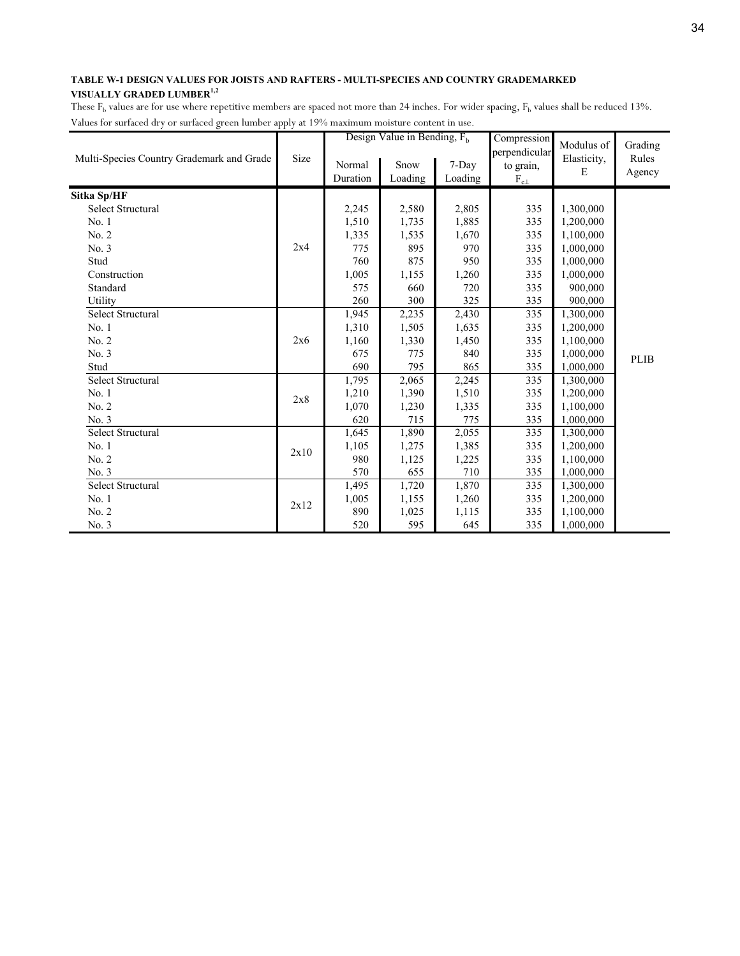|                                           |      |                    | Design Value in Bending, $F_h$ |                  | Compression                                    | Modulus of       | Grading         |
|-------------------------------------------|------|--------------------|--------------------------------|------------------|------------------------------------------------|------------------|-----------------|
| Multi-Species Country Grademark and Grade | Size | Normal<br>Duration | Snow<br>Loading                | 7-Day<br>Loading | perpendicular<br>to grain,<br>$\rm F_{c\perp}$ | Elasticity,<br>E | Rules<br>Agency |
| Sitka Sp/HF                               |      |                    |                                |                  |                                                |                  |                 |
| <b>Select Structural</b>                  |      | 2,245              | 2,580                          | 2,805            | 335                                            | 1,300,000        |                 |
| No. 1                                     |      | 1,510              | 1,735                          | 1,885            | 335                                            | 1,200,000        |                 |
| No. 2                                     |      | 1,335              | 1,535                          | 1,670            | 335                                            | 1,100,000        |                 |
| No. 3                                     | 2x4  | 775                | 895                            | 970              | 335                                            | 1,000,000        |                 |
| Stud                                      |      | 760                | 875                            | 950              | 335                                            | 1,000,000        |                 |
| Construction                              |      | 1,005              | 1,155                          | 1,260            | 335                                            | 1,000,000        |                 |
| Standard                                  |      | 575                | 660                            | 720              | 335                                            | 900,000          |                 |
| Utility                                   |      | 260                | 300                            | 325              | 335                                            | 900,000          |                 |
| Select Structural                         |      | 1,945              | 2,235                          | 2,430            | 335                                            | 1,300,000        |                 |
| No. 1                                     |      | 1,310              | 1,505                          | 1,635            | 335                                            | 1,200,000        |                 |
| No. 2                                     | 2x6  | 1,160              | 1,330                          | 1,450            | 335                                            | 1,100,000        |                 |
| No. 3                                     |      | 675                | 775                            | 840              | 335                                            | 1,000,000        | <b>PLIB</b>     |
| Stud                                      |      | 690                | 795                            | 865              | 335                                            | 1,000,000        |                 |
| <b>Select Structural</b>                  |      | 1,795              | 2,065                          | 2,245            | 335                                            | 1,300,000        |                 |
| No. 1                                     | 2x8  | 1,210              | 1,390                          | 1,510            | 335                                            | 1,200,000        |                 |
| No. 2                                     |      | 1,070              | 1,230                          | 1,335            | 335                                            | 1,100,000        |                 |
| No. 3                                     |      | 620                | 715                            | 775              | 335                                            | 1,000,000        |                 |
| <b>Select Structural</b>                  |      | 1,645              | 1,890                          | 2,055            | 335                                            | 1,300,000        |                 |
| No. 1                                     | 2x10 | 1,105              | 1,275                          | 1,385            | 335                                            | 1,200,000        |                 |
| No. 2                                     |      | 980                | 1,125                          | 1,225            | 335                                            | 1,100,000        |                 |
| No. 3                                     |      | 570                | 655                            | 710              | 335                                            | 1,000,000        |                 |
| <b>Select Structural</b>                  |      | 1,495              | 1,720                          | 1,870            | 335                                            | 1,300,000        |                 |
| No. 1                                     |      | 1,005              | 1,155                          | 1,260            | 335                                            | 1,200,000        |                 |
| No. 2                                     | 2x12 | 890                | 1,025                          | 1,115            | 335                                            | 1,100,000        |                 |
| No. 3                                     |      | 520                | 595                            | 645              | 335                                            | 1,000,000        |                 |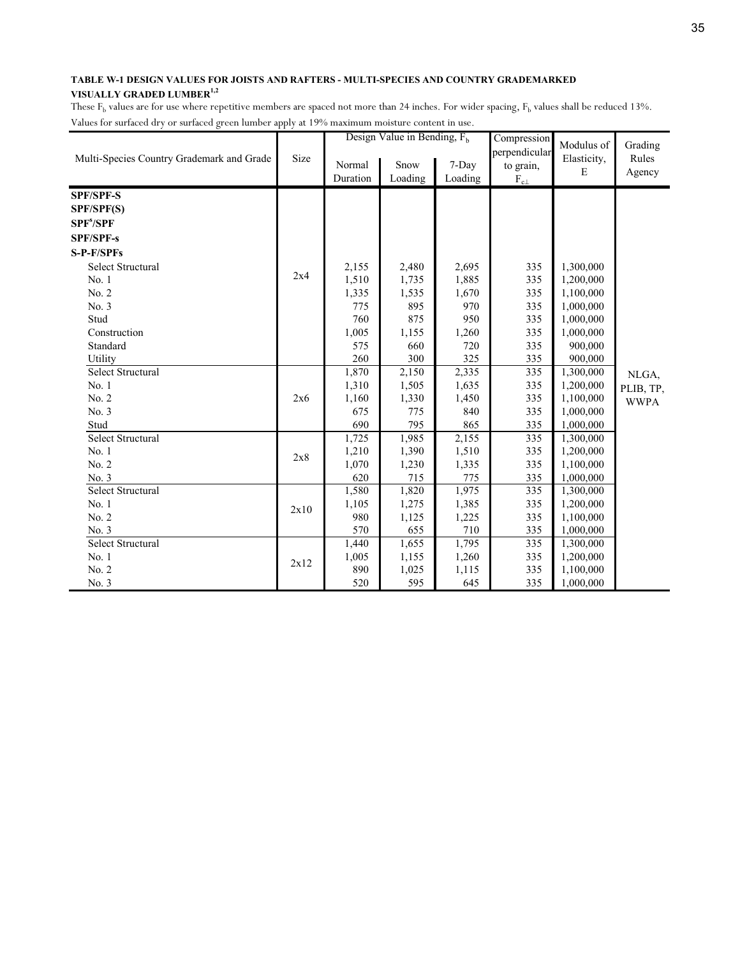|                                           |      |          | Design Value in Bending, $F_h$ |         | Compression                   | Modulus of  | Grading     |
|-------------------------------------------|------|----------|--------------------------------|---------|-------------------------------|-------------|-------------|
| Multi-Species Country Grademark and Grade | Size | Normal   | Snow                           | 7-Day   | perpendicular                 | Elasticity, | Rules       |
|                                           |      | Duration | Loading                        | Loading | to grain,<br>$\rm F_{c\perp}$ | E           | Agency      |
|                                           |      |          |                                |         |                               |             |             |
| <b>SPF/SPF-S</b>                          |      |          |                                |         |                               |             |             |
| SPF/SPF(S)                                |      |          |                                |         |                               |             |             |
| SPF <sup>s</sup> /SPF                     |      |          |                                |         |                               |             |             |
| <b>SPF/SPF-s</b>                          |      |          |                                |         |                               |             |             |
| S-P-F/SPFs                                |      |          |                                |         |                               |             |             |
| Select Structural                         |      | 2,155    | 2,480                          | 2,695   | 335                           | 1,300,000   |             |
| No. 1                                     | 2x4  | 1,510    | 1,735                          | 1,885   | 335                           | 1,200,000   |             |
| No. 2                                     |      | 1,335    | 1,535                          | 1,670   | 335                           | 1,100,000   |             |
| No. 3                                     |      | 775      | 895                            | 970     | 335                           | 1,000,000   |             |
| Stud                                      |      | 760      | 875                            | 950     | 335                           | 1,000,000   |             |
| Construction                              |      | 1,005    | 1,155                          | 1,260   | 335                           | 1,000,000   |             |
| Standard                                  |      | 575      | 660                            | 720     | 335                           | 900,000     |             |
| Utility                                   |      | 260      | 300                            | 325     | 335                           | 900,000     |             |
| Select Structural                         |      | 1,870    | 2,150                          | 2,335   | 335                           | 1,300,000   | NLGA,       |
| No.1                                      |      | 1,310    | 1,505                          | 1,635   | 335                           | 1,200,000   | PLIB, TP,   |
| No. 2                                     | 2x6  | 1,160    | 1,330                          | 1,450   | 335                           | 1,100,000   | <b>WWPA</b> |
| No. 3                                     |      | 675      | 775                            | 840     | 335                           | 1,000,000   |             |
| Stud                                      |      | 690      | 795                            | 865     | 335                           | 1,000,000   |             |
| <b>Select Structural</b>                  |      | 1,725    | 1,985                          | 2,155   | 335                           | 1,300,000   |             |
| No.1                                      | 2x8  | 1,210    | 1,390                          | 1,510   | 335                           | 1,200,000   |             |
| No. 2                                     |      | 1,070    | 1,230                          | 1,335   | 335                           | 1,100,000   |             |
| No. 3                                     |      | 620      | 715                            | 775     | 335                           | 1,000,000   |             |
| Select Structural                         |      | 1,580    | 1,820                          | 1,975   | 335                           | 1,300,000   |             |
| No. 1                                     |      | 1,105    | 1,275                          | 1,385   | 335                           | 1,200,000   |             |
| No. 2                                     | 2x10 | 980      | 1,125                          | 1,225   | 335                           | 1,100,000   |             |
| No. 3                                     |      | 570      | 655                            | 710     | 335                           | 1,000,000   |             |
| Select Structural                         |      | 1,440    | 1,655                          | 1,795   | 335                           | 1,300,000   |             |
| No. 1                                     |      | 1,005    | 1,155                          | 1,260   | 335                           | 1,200,000   |             |
| No. 2                                     | 2x12 | 890      | 1,025                          | 1,115   | 335                           | 1,100,000   |             |
| No. 3                                     |      | 520      | 595                            | 645     | 335                           | 1,000,000   |             |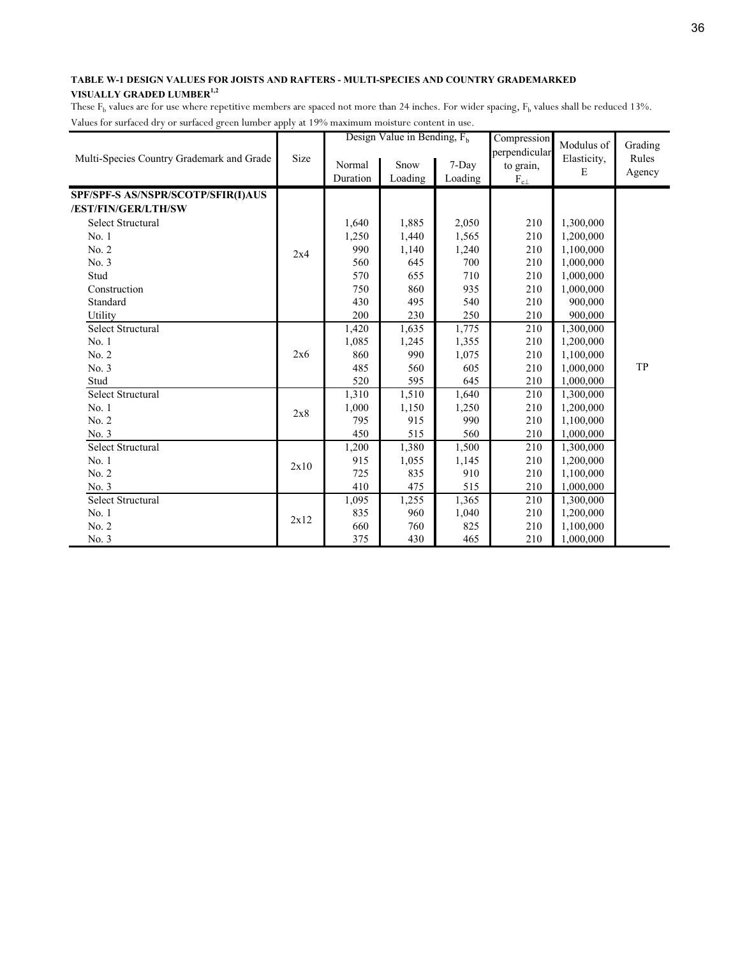|                                           |      |          | Design Value in Bending, $F_h$ |         | Compression      | Modulus of  | Grading |
|-------------------------------------------|------|----------|--------------------------------|---------|------------------|-------------|---------|
| Multi-Species Country Grademark and Grade | Size | Normal   | Snow                           | 7-Day   | perpendicular    | Elasticity, | Rules   |
|                                           |      | Duration | Loading                        | Loading | to grain,        | E           | Agency  |
|                                           |      |          |                                |         | $\rm F_{c\perp}$ |             |         |
| SPF/SPF-S AS/NSPR/SCOTP/SFIR(I)AUS        |      |          |                                |         |                  |             |         |
| /EST/FIN/GER/LTH/SW                       |      |          |                                |         |                  |             |         |
| Select Structural                         |      | 1,640    | 1,885                          | 2,050   | 210              | 1,300,000   |         |
| No.1                                      |      | 1,250    | 1,440                          | 1,565   | 210              | 1,200,000   |         |
| No. 2                                     | 2x4  | 990      | 1,140                          | 1,240   | 210              | 1,100,000   |         |
| No. 3                                     |      | 560      | 645                            | 700     | 210              | 1,000,000   |         |
| Stud                                      |      | 570      | 655                            | 710     | 210              | 1,000,000   |         |
| Construction                              |      | 750      | 860                            | 935     | 210              | 1,000,000   |         |
| Standard                                  |      | 430      | 495                            | 540     | 210              | 900,000     |         |
| Utility                                   |      | 200      | 230                            | 250     | 210              | 900,000     |         |
| Select Structural                         |      | 1,420    | 1,635                          | 1,775   | 210              | 1,300,000   |         |
| No. 1                                     |      | 1,085    | 1,245                          | 1,355   | 210              | 1,200,000   |         |
| No. 2                                     | 2x6  | 860      | 990                            | 1,075   | 210              | 1,100,000   |         |
| No. 3                                     |      | 485      | 560                            | 605     | 210              | 1,000,000   | TP      |
| Stud                                      |      | 520      | 595                            | 645     | 210              | 1,000,000   |         |
| <b>Select Structural</b>                  |      | 1,310    | 1,510                          | 1,640   | 210              | 1,300,000   |         |
| No. 1                                     | 2x8  | 1,000    | 1,150                          | 1,250   | 210              | 1,200,000   |         |
| No. 2                                     |      | 795      | 915                            | 990     | 210              | 1,100,000   |         |
| No. 3                                     |      | 450      | 515                            | 560     | 210              | 1,000,000   |         |
| <b>Select Structural</b>                  |      | 1,200    | 1,380                          | 1,500   | 210              | 1,300,000   |         |
| No.1                                      |      | 915      | 1,055                          | 1,145   | 210              | 1,200,000   |         |
| No. 2                                     | 2x10 | 725      | 835                            | 910     | 210              | 1,100,000   |         |
| No. 3                                     |      | 410      | 475                            | 515     | 210              | 1,000,000   |         |
| Select Structural                         |      | 1,095    | 1,255                          | 1,365   | 210              | 1,300,000   |         |
| No. 1                                     |      | 835      | 960                            | 1,040   | 210              | 1,200,000   |         |
| No. 2                                     | 2x12 | 660      | 760                            | 825     | 210              | 1,100,000   |         |
| No. 3                                     |      | 375      | 430                            | 465     | 210              | 1,000,000   |         |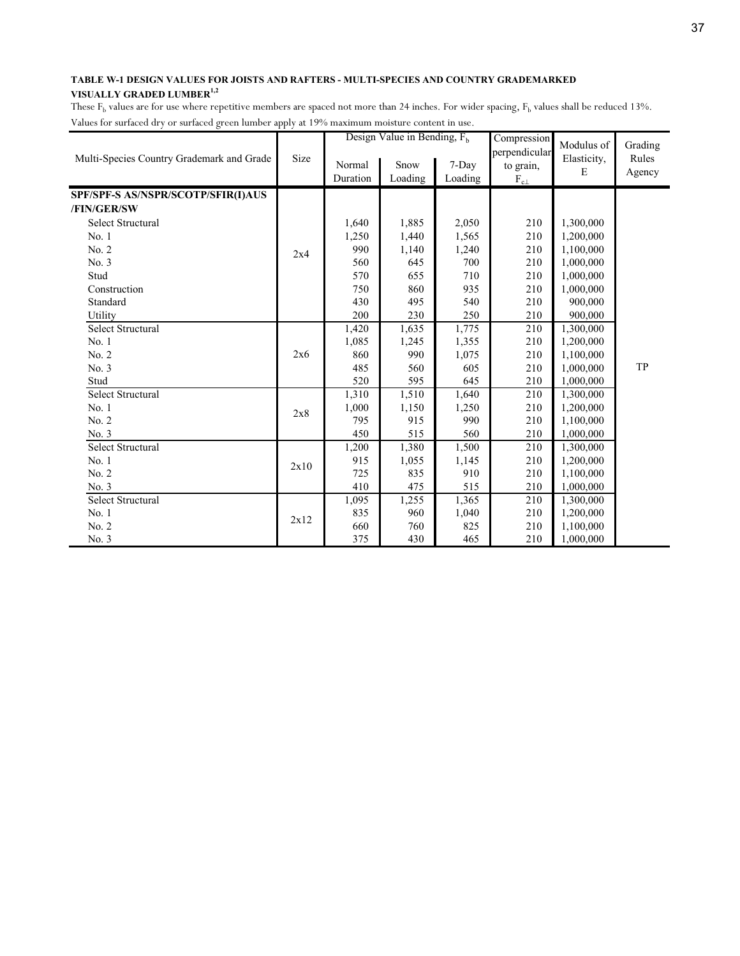|                                           |      |          | Design Value in Bending, $F_h$ |         | Compression                | Modulus of  | Grading |
|-------------------------------------------|------|----------|--------------------------------|---------|----------------------------|-------------|---------|
| Multi-Species Country Grademark and Grade | Size | Normal   | Snow                           | 7-Day   | perpendicular<br>to grain, | Elasticity, | Rules   |
|                                           |      | Duration | Loading                        | Loading | $F_{c\perp}$               | E           | Agency  |
|                                           |      |          |                                |         |                            |             |         |
| SPF/SPF-S AS/NSPR/SCOTP/SFIR(I)AUS        |      |          |                                |         |                            |             |         |
| /FIN/GER/SW                               |      |          |                                |         |                            |             |         |
| <b>Select Structural</b>                  |      | 1,640    | 1,885                          | 2,050   | 210                        | 1,300,000   |         |
| No.1                                      |      | 1,250    | 1,440                          | 1,565   | 210                        | 1,200,000   |         |
| No. 2                                     | 2x4  | 990      | 1,140                          | 1,240   | 210                        | 1,100,000   |         |
| No. 3                                     |      | 560      | 645                            | 700     | 210                        | 1,000,000   |         |
| Stud                                      |      | 570      | 655                            | 710     | 210                        | 1,000,000   |         |
| Construction                              |      | 750      | 860                            | 935     | 210                        | 1,000,000   |         |
| Standard                                  |      | 430      | 495                            | 540     | 210                        | 900,000     |         |
| Utility                                   |      | 200      | 230                            | 250     | 210                        | 900,000     |         |
| Select Structural                         |      | 1,420    | 1,635                          | 1,775   | 210                        | 1,300,000   |         |
| No. 1                                     |      | 1,085    | 1,245                          | 1,355   | 210                        | 1,200,000   |         |
| No. 2                                     | 2x6  | 860      | 990                            | 1,075   | 210                        | 1,100,000   |         |
| No. 3                                     |      | 485      | 560                            | 605     | 210                        | 1,000,000   | TP      |
| Stud                                      |      | 520      | 595                            | 645     | 210                        | 1,000,000   |         |
| <b>Select Structural</b>                  |      | 1,310    | 1,510                          | 1,640   | 210                        | 1,300,000   |         |
| No. 1                                     | 2x8  | 1,000    | 1,150                          | 1,250   | 210                        | 1,200,000   |         |
| No. 2                                     |      | 795      | 915                            | 990     | 210                        | 1,100,000   |         |
| No. 3                                     |      | 450      | 515                            | 560     | 210                        | 1,000,000   |         |
| <b>Select Structural</b>                  |      | 1,200    | 1,380                          | 1,500   | 210                        | 1,300,000   |         |
| No.1                                      |      | 915      | 1,055                          | 1,145   | 210                        | 1,200,000   |         |
| No. 2                                     | 2x10 | 725      | 835                            | 910     | 210                        | 1,100,000   |         |
| No. 3                                     |      | 410      | 475                            | 515     | 210                        | 1,000,000   |         |
| Select Structural                         |      | 1,095    | 1,255                          | 1,365   | 210                        | 1,300,000   |         |
| No. 1                                     |      | 835      | 960                            | 1,040   | 210                        | 1,200,000   |         |
| No. 2                                     | 2x12 | 660      | 760                            | 825     | 210                        | 1,100,000   |         |
| No. 3                                     |      | 375      | 430                            | 465     | 210                        | 1,000,000   |         |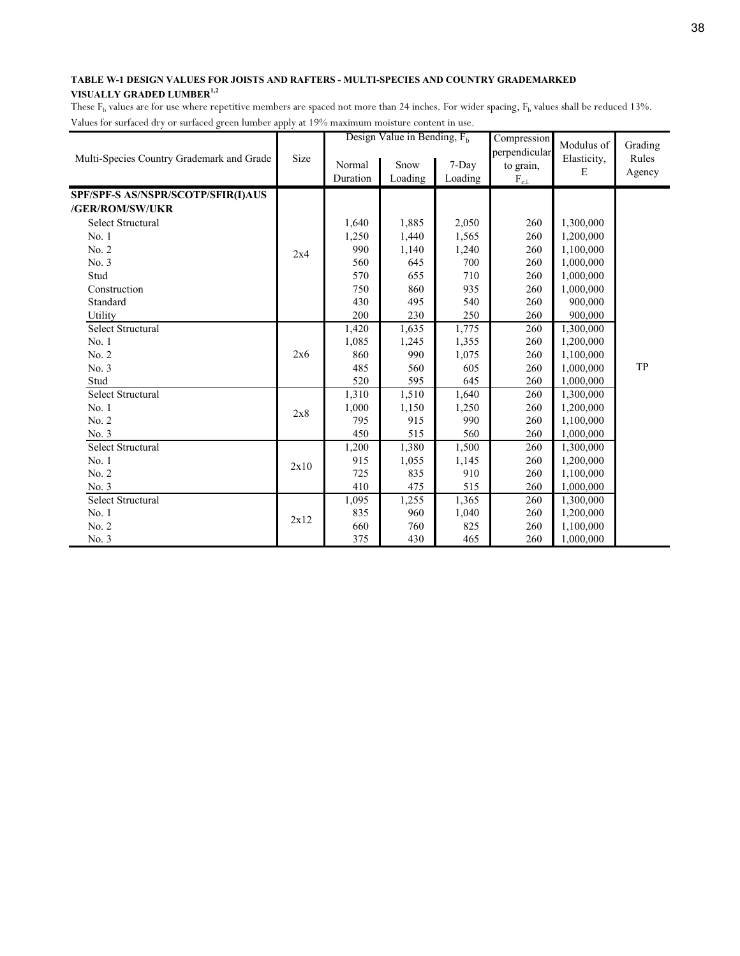|                                           |      |          | Design Value in Bending, $F_h$ |         | Compression                | Modulus of  | Grading |
|-------------------------------------------|------|----------|--------------------------------|---------|----------------------------|-------------|---------|
| Multi-Species Country Grademark and Grade | Size | Normal   | Snow                           | 7-Day   | perpendicular<br>to grain, | Elasticity, | Rules   |
|                                           |      | Duration | Loading                        | Loading | $F_{c\perp}$               | E           | Agency  |
|                                           |      |          |                                |         |                            |             |         |
| SPF/SPF-S AS/NSPR/SCOTP/SFIR(I)AUS        |      |          |                                |         |                            |             |         |
| /GER/ROM/SW/UKR                           |      |          |                                |         |                            |             |         |
| <b>Select Structural</b>                  |      | 1,640    | 1,885                          | 2,050   | 260                        | 1,300,000   |         |
| No.1                                      |      | 1,250    | 1,440                          | 1,565   | 260                        | 1,200,000   |         |
| No. 2                                     | 2x4  | 990      | 1,140                          | 1,240   | 260                        | 1,100,000   |         |
| No. 3                                     |      | 560      | 645                            | 700     | 260                        | 1,000,000   |         |
| Stud                                      |      | 570      | 655                            | 710     | 260                        | 1,000,000   |         |
| Construction                              |      | 750      | 860                            | 935     | 260                        | 1,000,000   |         |
| Standard                                  |      | 430      | 495                            | 540     | 260                        | 900,000     |         |
| Utility                                   |      | 200      | 230                            | 250     | 260                        | 900,000     |         |
| Select Structural                         |      | 1,420    | 1,635                          | 1,775   | 260                        | 1,300,000   |         |
| No. 1                                     |      | 1,085    | 1,245                          | 1,355   | 260                        | 1,200,000   |         |
| No. 2                                     | 2x6  | 860      | 990                            | 1,075   | 260                        | 1,100,000   |         |
| No. 3                                     |      | 485      | 560                            | 605     | 260                        | 1,000,000   | TP      |
| Stud                                      |      | 520      | 595                            | 645     | 260                        | 1,000,000   |         |
| <b>Select Structural</b>                  |      | 1,310    | 1,510                          | 1,640   | 260                        | 1,300,000   |         |
| No. 1                                     | 2x8  | 1,000    | 1,150                          | 1,250   | 260                        | 1,200,000   |         |
| No. 2                                     |      | 795      | 915                            | 990     | 260                        | 1,100,000   |         |
| No. 3                                     |      | 450      | 515                            | 560     | 260                        | 1,000,000   |         |
| <b>Select Structural</b>                  |      | 1,200    | 1,380                          | 1,500   | 260                        | 1,300,000   |         |
| No.1                                      | 2x10 | 915      | 1,055                          | 1,145   | 260                        | 1,200,000   |         |
| No. 2                                     |      | 725      | 835                            | 910     | 260                        | 1,100,000   |         |
| No. 3                                     |      | 410      | 475                            | 515     | 260                        | 1,000,000   |         |
| Select Structural                         |      | 1,095    | 1,255                          | 1,365   | 260                        | 1,300,000   |         |
| No. 1                                     |      | 835      | 960                            | 1,040   | 260                        | 1,200,000   |         |
| No. 2                                     | 2x12 | 660      | 760                            | 825     | 260                        | 1,100,000   |         |
| No. 3                                     |      | 375      | 430                            | 465     | 260                        | 1,000,000   |         |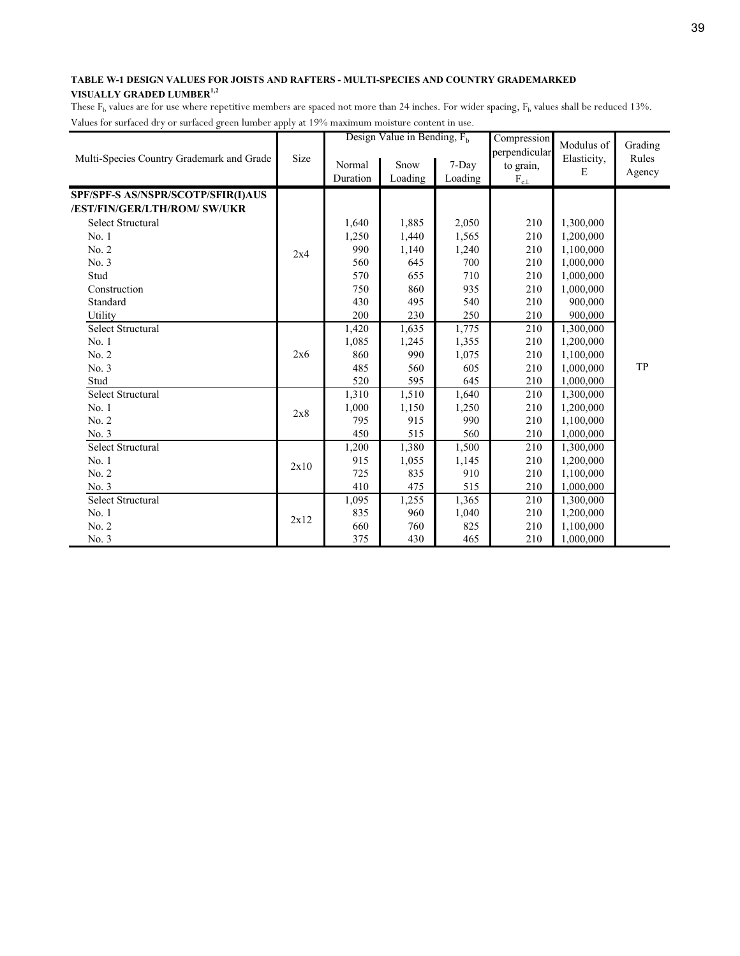|                                           |      |          | Design Value in Bending, $F_h$ |         | Compression      | Modulus of  | Grading |
|-------------------------------------------|------|----------|--------------------------------|---------|------------------|-------------|---------|
| Multi-Species Country Grademark and Grade | Size | Normal   | Snow                           | 7-Day   | perpendicular    | Elasticity, | Rules   |
|                                           |      | Duration | Loading                        | Loading | to grain,        | E           | Agency  |
|                                           |      |          |                                |         | $\rm F_{c\perp}$ |             |         |
| SPF/SPF-S AS/NSPR/SCOTP/SFIR(I)AUS        |      |          |                                |         |                  |             |         |
| /EST/FIN/GER/LTH/ROM/ SW/UKR              |      |          |                                |         |                  |             |         |
| Select Structural                         |      | 1,640    | 1,885                          | 2,050   | 210              | 1,300,000   |         |
| No.1                                      |      | 1,250    | 1,440                          | 1,565   | 210              | 1,200,000   |         |
| No. 2                                     | 2x4  | 990      | 1,140                          | 1,240   | 210              | 1,100,000   |         |
| No. 3                                     |      | 560      | 645                            | 700     | 210              | 1,000,000   |         |
| Stud                                      |      | 570      | 655                            | 710     | 210              | 1,000,000   |         |
| Construction                              |      | 750      | 860                            | 935     | 210              | 1,000,000   |         |
| Standard                                  |      | 430      | 495                            | 540     | 210              | 900,000     |         |
| Utility                                   |      | 200      | 230                            | 250     | 210              | 900,000     |         |
| Select Structural                         |      | 1,420    | 1,635                          | 1,775   | 210              | 1,300,000   |         |
| No.1                                      |      | 1,085    | 1,245                          | 1,355   | 210              | 1,200,000   |         |
| No. 2                                     | 2x6  | 860      | 990                            | 1,075   | 210              | 1,100,000   |         |
| No. 3                                     |      | 485      | 560                            | 605     | 210              | 1,000,000   | TP      |
| Stud                                      |      | 520      | 595                            | 645     | 210              | 1,000,000   |         |
| <b>Select Structural</b>                  |      | 1,310    | 1,510                          | 1,640   | 210              | 1,300,000   |         |
| No. 1                                     | 2x8  | 1,000    | 1,150                          | 1,250   | 210              | 1,200,000   |         |
| No. 2                                     |      | 795      | 915                            | 990     | 210              | 1,100,000   |         |
| No. 3                                     |      | 450      | 515                            | 560     | 210              | 1,000,000   |         |
| <b>Select Structural</b>                  |      | 1,200    | 1,380                          | 1,500   | 210              | 1,300,000   |         |
| No.1                                      |      | 915      | 1,055                          | 1,145   | 210              | 1,200,000   |         |
| No. 2                                     | 2x10 | 725      | 835                            | 910     | 210              | 1,100,000   |         |
| No. 3                                     |      | 410      | 475                            | 515     | 210              | 1,000,000   |         |
| Select Structural                         |      | 1,095    | 1,255                          | 1,365   | 210              | 1,300,000   |         |
| No. 1                                     |      | 835      | 960                            | 1,040   | 210              | 1,200,000   |         |
| No. 2                                     | 2x12 | 660      | 760                            | 825     | 210              | 1,100,000   |         |
| No. 3                                     |      | 375      | 430                            | 465     | 210              | 1,000,000   |         |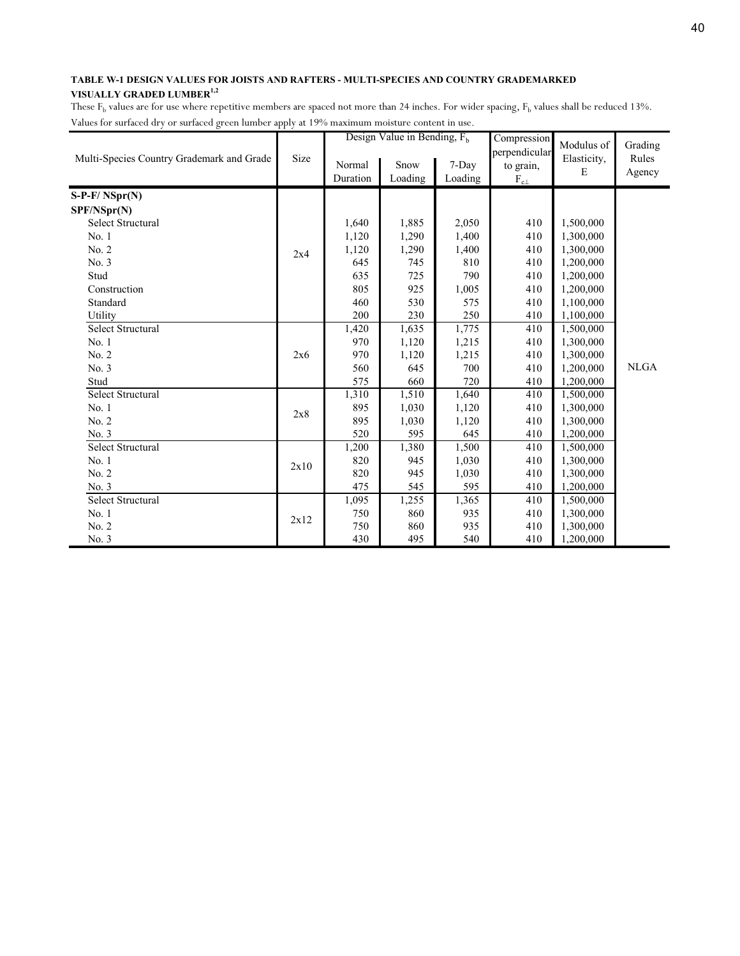|                                           |      |          | Design Value in Bending, $F_h$ |         | Compression                | Modulus of  | Grading     |
|-------------------------------------------|------|----------|--------------------------------|---------|----------------------------|-------------|-------------|
| Multi-Species Country Grademark and Grade | Size | Normal   | Snow                           | 7-Day   | perpendicular<br>to grain, | Elasticity, | Rules       |
|                                           |      | Duration | Loading                        | Loading | $\rm F_{c\perp}$           | E           | Agency      |
| $S-P-F/NSpr(N)$                           |      |          |                                |         |                            |             |             |
| SPF/NSpr(N)                               |      |          |                                |         |                            |             |             |
| <b>Select Structural</b>                  |      | 1,640    | 1,885                          | 2,050   | 410                        | 1,500,000   |             |
| No.1                                      |      | 1,120    | 1,290                          | 1,400   | 410                        | 1,300,000   |             |
| No. 2                                     | 2x4  | 1,120    | 1,290                          | 1,400   | 410                        | 1,300,000   |             |
| No. 3                                     |      | 645      | 745                            | 810     | 410                        | 1,200,000   |             |
| Stud                                      |      | 635      | 725                            | 790     | 410                        | 1,200,000   |             |
| Construction                              |      | 805      | 925                            | 1,005   | 410                        | 1,200,000   |             |
| Standard                                  |      | 460      | 530                            | 575     | 410                        | 1,100,000   |             |
| Utility                                   |      | 200      | 230                            | 250     | 410                        | 1,100,000   |             |
| <b>Select Structural</b>                  |      | 1,420    | 1,635                          | 1,775   | 410                        | 1,500,000   |             |
| No. 1                                     |      | 970      | 1,120                          | 1,215   | 410                        | 1,300,000   |             |
| No. 2                                     | 2x6  | 970      | 1,120                          | 1,215   | 410                        | 1,300,000   |             |
| No. 3                                     |      | 560      | 645                            | 700     | 410                        | 1,200,000   | <b>NLGA</b> |
| Stud                                      |      | 575      | 660                            | 720     | 410                        | 1,200,000   |             |
| <b>Select Structural</b>                  |      | 1,310    | 1,510                          | 1,640   | 410                        | 1,500,000   |             |
| No.1                                      | 2x8  | 895      | 1,030                          | 1,120   | 410                        | 1,300,000   |             |
| No. 2                                     |      | 895      | 1,030                          | 1,120   | 410                        | 1,300,000   |             |
| No. 3                                     |      | 520      | 595                            | 645     | 410                        | 1,200,000   |             |
| <b>Select Structural</b>                  |      | 1,200    | 1,380                          | 1,500   | 410                        | 1,500,000   |             |
| No. 1                                     | 2x10 | 820      | 945                            | 1,030   | 410                        | 1,300,000   |             |
| No. 2                                     |      | 820      | 945                            | 1,030   | 410                        | 1,300,000   |             |
| No. 3                                     |      | 475      | 545                            | 595     | 410                        | 1,200,000   |             |
| <b>Select Structural</b>                  |      | 1,095    | 1,255                          | 1,365   | 410                        | 1,500,000   |             |
| No. 1                                     | 2x12 | 750      | 860                            | 935     | 410                        | 1,300,000   |             |
| No. 2                                     |      | 750      | 860                            | 935     | 410                        | 1,300,000   |             |
| No. 3                                     |      | 430      | 495                            | 540     | 410                        | 1,200,000   |             |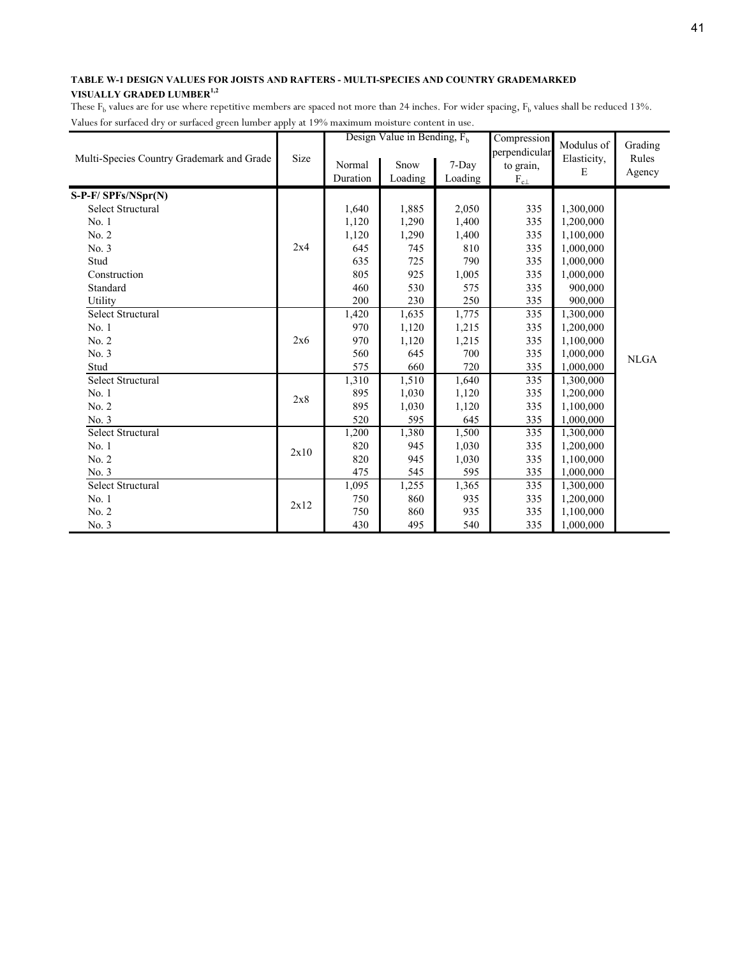|                                           |      |                    | Design Value in Bending, $F_h$ |                  | Compression                                              | Modulus of       | Grading         |
|-------------------------------------------|------|--------------------|--------------------------------|------------------|----------------------------------------------------------|------------------|-----------------|
| Multi-Species Country Grademark and Grade | Size | Normal<br>Duration | Snow<br>Loading                | 7-Day<br>Loading | perpendicular<br>to grain,<br>$F_{c{\underline{\perp}}}$ | Elasticity,<br>E | Rules<br>Agency |
| S-P-F/ SPFs/NSpr(N)                       |      |                    |                                |                  |                                                          |                  |                 |
| Select Structural                         |      | 1,640              | 1,885                          | 2,050            | 335                                                      | 1,300,000        |                 |
| No.1                                      |      | 1,120              | 1,290                          | 1,400            | 335                                                      | 1,200,000        |                 |
| No. 2                                     |      | 1,120              | 1,290                          | 1,400            | 335                                                      | 1,100,000        |                 |
| No. 3                                     | 2x4  | 645                | 745                            | 810              | 335                                                      | 1,000,000        |                 |
| Stud                                      |      | 635                | 725                            | 790              | 335                                                      | 1,000,000        |                 |
| Construction                              |      | 805                | 925                            | 1,005            | 335                                                      | 1,000,000        |                 |
| Standard                                  |      | 460                | 530                            | 575              | 335                                                      | 900,000          |                 |
| Utility                                   |      | 200                | 230                            | 250              | 335                                                      | 900,000          |                 |
| <b>Select Structural</b>                  |      | 1,420              | 1,635                          | 1,775            | 335                                                      | 1,300,000        |                 |
| No. 1                                     |      | 970                | 1,120                          | 1,215            | 335                                                      | 1,200,000        |                 |
| No. 2                                     | 2x6  | 970                | 1,120                          | 1,215            | 335                                                      | 1,100,000        |                 |
| No. 3                                     |      | 560                | 645                            | 700              | 335                                                      | 1,000,000        | <b>NLGA</b>     |
| Stud                                      |      | 575                | 660                            | 720              | 335                                                      | 1,000,000        |                 |
| <b>Select Structural</b>                  |      | 1,310              | 1,510                          | 1,640            | 335                                                      | 1,300,000        |                 |
| No. 1                                     | 2x8  | 895                | 1,030                          | 1,120            | 335                                                      | 1,200,000        |                 |
| No. 2                                     |      | 895                | 1,030                          | 1,120            | 335                                                      | 1,100,000        |                 |
| No. 3                                     |      | 520                | 595                            | 645              | 335                                                      | 1,000,000        |                 |
| <b>Select Structural</b>                  |      | 1,200              | 1,380                          | 1,500            | 335                                                      | 1,300,000        |                 |
| No. 1                                     | 2x10 | 820                | 945                            | 1,030            | 335                                                      | 1,200,000        |                 |
| No. 2                                     |      | 820                | 945                            | 1,030            | 335                                                      | 1,100,000        |                 |
| No. 3                                     |      | 475                | 545                            | 595              | 335                                                      | 1,000,000        |                 |
| Select Structural                         |      | 1,095              | 1,255                          | 1,365            | 335                                                      | 1,300,000        |                 |
| No. 1                                     |      | 750                | 860                            | 935              | 335                                                      | 1,200,000        |                 |
| No. 2                                     | 2x12 | 750                | 860                            | 935              | 335                                                      | 1,100,000        |                 |
| No. 3                                     |      | 430                | 495                            | 540              | 335                                                      | 1,000,000        |                 |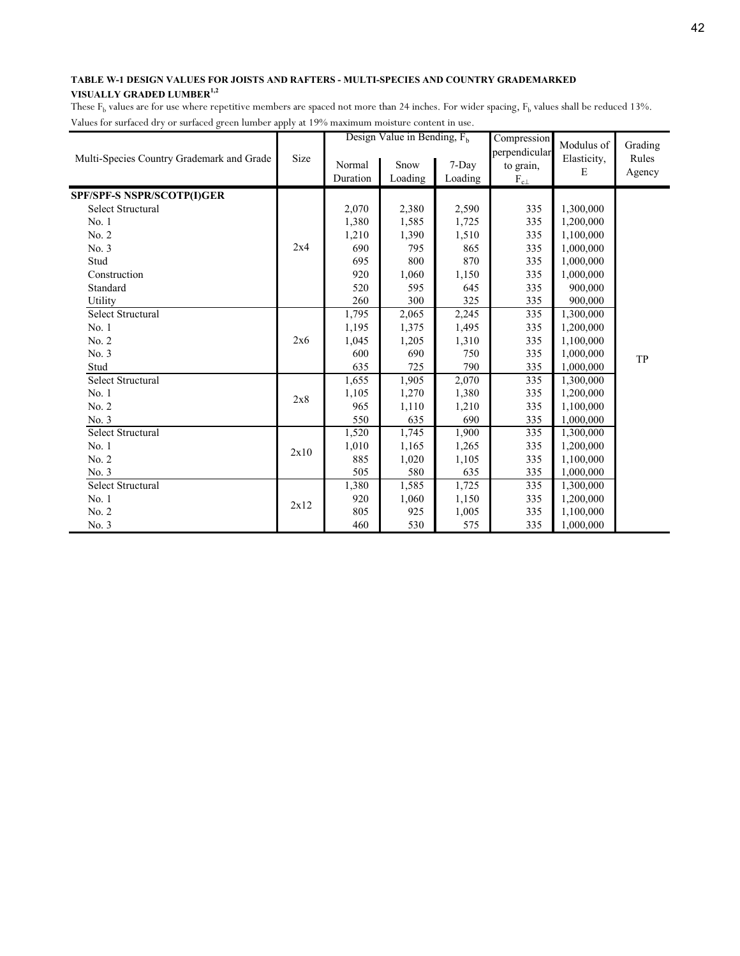|                                           |      |                    | Design Value in Bending, $F_h$ |                  | Compression                                    | Modulus of       | Grading         |
|-------------------------------------------|------|--------------------|--------------------------------|------------------|------------------------------------------------|------------------|-----------------|
| Multi-Species Country Grademark and Grade | Size | Normal<br>Duration | Snow<br>Loading                | 7-Day<br>Loading | perpendicular<br>to grain,<br>$\rm F_{c\perp}$ | Elasticity,<br>E | Rules<br>Agency |
| SPF/SPF-S NSPR/SCOTP(I)GER                |      |                    |                                |                  |                                                |                  |                 |
| Select Structural                         |      | 2,070              | 2,380                          | 2,590            | 335                                            | 1,300,000        |                 |
| No. 1                                     |      | 1,380              | 1,585                          | 1,725            | 335                                            | 1,200,000        |                 |
| No. 2                                     |      | 1,210              | 1,390                          | 1,510            | 335                                            | 1,100,000        |                 |
| No. 3                                     | 2x4  | 690                | 795                            | 865              | 335                                            | 1,000,000        |                 |
| Stud                                      |      | 695                | 800                            | 870              | 335                                            | 1,000,000        |                 |
| Construction                              |      | 920                | 1,060                          | 1,150            | 335                                            | 1,000,000        |                 |
| Standard                                  |      | 520                | 595                            | 645              | 335                                            | 900,000          |                 |
| Utility                                   |      | 260                | 300                            | 325              | 335                                            | 900,000          |                 |
| <b>Select Structural</b>                  |      | 1,795              | 2,065                          | 2,245            | 335                                            | 1,300,000        |                 |
| No. 1                                     |      | 1,195              | 1,375                          | 1,495            | 335                                            | 1,200,000        |                 |
| No. 2                                     | 2x6  | 1,045              | 1,205                          | 1,310            | 335                                            | 1,100,000        |                 |
| No. 3                                     |      | 600                | 690                            | 750              | 335                                            | 1,000,000        | TP              |
| Stud                                      |      | 635                | 725                            | 790              | 335                                            | 1,000,000        |                 |
| <b>Select Structural</b>                  |      | 1,655              | 1,905                          | 2,070            | 335                                            | 1,300,000        |                 |
| No. 1                                     | 2x8  | 1,105              | 1,270                          | 1,380            | 335                                            | 1,200,000        |                 |
| No. 2                                     |      | 965                | 1,110                          | 1,210            | 335                                            | 1,100,000        |                 |
| No. 3                                     |      | 550                | 635                            | 690              | 335                                            | 1,000,000        |                 |
| <b>Select Structural</b>                  |      | 1,520              | 1,745                          | 1,900            | 335                                            | 1,300,000        |                 |
| No. 1                                     | 2x10 | 1,010              | 1,165                          | 1,265            | 335                                            | 1,200,000        |                 |
| No. 2                                     |      | 885                | 1,020                          | 1,105            | 335                                            | 1,100,000        |                 |
| No. 3                                     |      | 505                | 580                            | 635              | 335                                            | 1,000,000        |                 |
| <b>Select Structural</b>                  |      | 1,380              | 1,585                          | 1,725            | 335                                            | 1,300,000        |                 |
| No. 1                                     |      | 920                | 1,060                          | 1,150            | 335                                            | 1,200,000        |                 |
| No. 2                                     | 2x12 | 805                | 925                            | 1,005            | 335                                            | 1,100,000        |                 |
| No. 3                                     |      | 460                | 530                            | 575              | 335                                            | 1,000,000        |                 |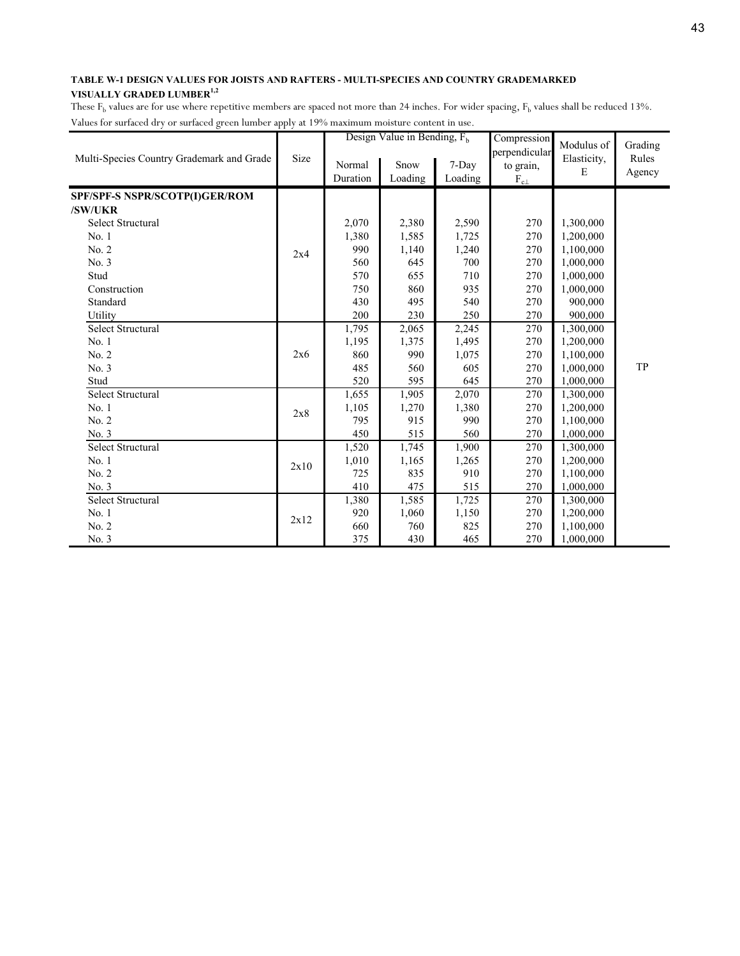|                                           |      |          | Design Value in Bending, $F_h$ |         | Compression                | Modulus of  | Grading |
|-------------------------------------------|------|----------|--------------------------------|---------|----------------------------|-------------|---------|
| Multi-Species Country Grademark and Grade | Size | Normal   | Snow                           | 7-Day   | perpendicular<br>to grain, | Elasticity, | Rules   |
|                                           |      | Duration | Loading                        | Loading | $F_{c\perp}$               | E           | Agency  |
|                                           |      |          |                                |         |                            |             |         |
| SPF/SPF-S NSPR/SCOTP(I)GER/ROM            |      |          |                                |         |                            |             |         |
| /SW/UKR                                   |      |          |                                |         |                            |             |         |
| <b>Select Structural</b>                  |      | 2,070    | 2,380                          | 2,590   | 270                        | 1,300,000   |         |
| No.1                                      |      | 1,380    | 1,585                          | 1,725   | 270                        | 1,200,000   |         |
| No. 2                                     | 2x4  | 990      | 1,140                          | 1,240   | 270                        | 1,100,000   |         |
| No. 3                                     |      | 560      | 645                            | 700     | 270                        | 1,000,000   |         |
| Stud                                      |      | 570      | 655                            | 710     | 270                        | 1,000,000   |         |
| Construction                              |      | 750      | 860                            | 935     | 270                        | 1,000,000   |         |
| Standard                                  |      | 430      | 495                            | 540     | 270                        | 900,000     |         |
| Utility                                   |      | 200      | 230                            | 250     | 270                        | 900,000     |         |
| Select Structural                         |      | 1,795    | 2,065                          | 2,245   | 270                        | 1,300,000   |         |
| No. 1                                     |      | 1,195    | 1,375                          | 1,495   | 270                        | 1,200,000   |         |
| No. 2                                     | 2x6  | 860      | 990                            | 1,075   | 270                        | 1,100,000   |         |
| No. 3                                     |      | 485      | 560                            | 605     | 270                        | 1,000,000   | TP      |
| Stud                                      |      | 520      | 595                            | 645     | 270                        | 1,000,000   |         |
| <b>Select Structural</b>                  |      | 1,655    | 1,905                          | 2,070   | 270                        | 1,300,000   |         |
| No. 1                                     | 2x8  | 1,105    | 1,270                          | 1,380   | 270                        | 1,200,000   |         |
| No. 2                                     |      | 795      | 915                            | 990     | 270                        | 1,100,000   |         |
| No. 3                                     |      | 450      | 515                            | 560     | 270                        | 1,000,000   |         |
| <b>Select Structural</b>                  |      | 1,520    | 1,745                          | 1,900   | 270                        | 1,300,000   |         |
| No.1                                      |      | 1,010    | 1,165                          | 1,265   | 270                        | 1,200,000   |         |
| No. 2                                     | 2x10 | 725      | 835                            | 910     | 270                        | 1,100,000   |         |
| No. 3                                     |      | 410      | 475                            | 515     | 270                        | 1,000,000   |         |
| Select Structural                         |      | 1,380    | 1,585                          | 1,725   | 270                        | 1,300,000   |         |
| No.1                                      |      | 920      | 1,060                          | 1,150   | 270                        | 1,200,000   |         |
| No. 2                                     | 2x12 | 660      | 760                            | 825     | 270                        | 1,100,000   |         |
| No. 3                                     |      | 375      | 430                            | 465     | 270                        | 1,000,000   |         |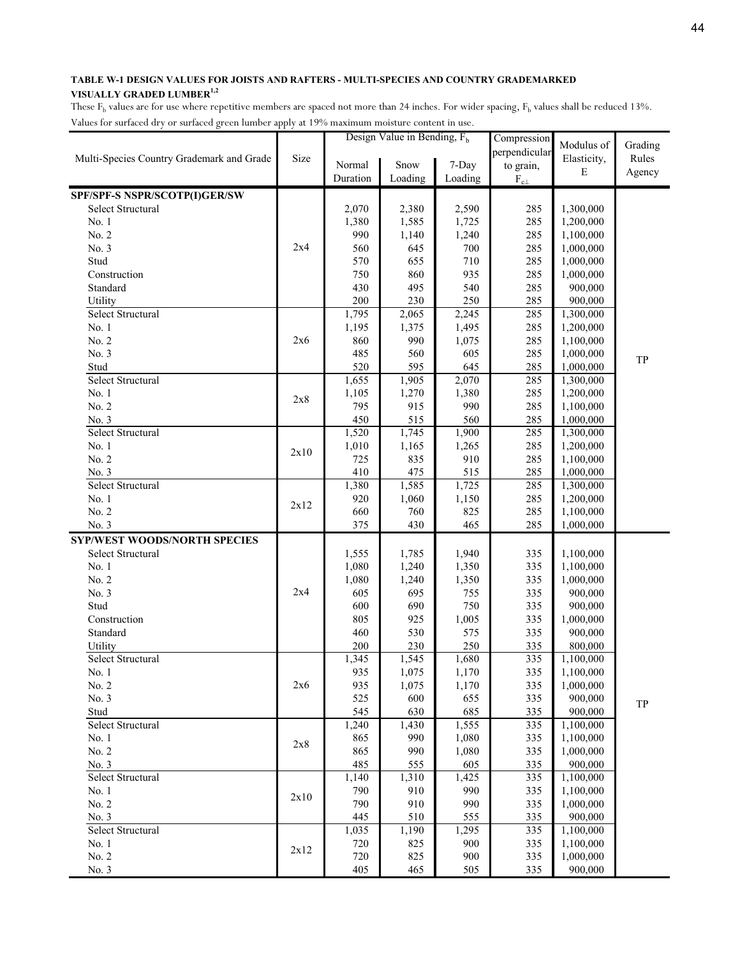| hacs for sariacea ary or sariacea green namoer apply at 1976 maximum moistare content in |      |          | Design Value in Bending, $F_h$ |                    | Compression                |             |         |
|------------------------------------------------------------------------------------------|------|----------|--------------------------------|--------------------|----------------------------|-------------|---------|
|                                                                                          |      |          |                                |                    |                            | Modulus of  | Grading |
| Multi-Species Country Grademark and Grade                                                | Size | Normal   | Snow                           | 7-Day              | perpendicular<br>to grain, | Elasticity, | Rules   |
|                                                                                          |      | Duration | Loading                        | Loading            | $F_{c\perp}$               | E           | Agency  |
|                                                                                          |      |          |                                |                    |                            |             |         |
| SPF/SPF-S NSPR/SCOTP(I)GER/SW                                                            |      |          |                                |                    |                            |             |         |
| Select Structural                                                                        |      | 2,070    | 2,380                          | 2,590              | 285                        | 1,300,000   |         |
| No. 1                                                                                    |      | 1,380    | 1,585                          | 1,725              | 285                        | 1,200,000   |         |
| No. 2                                                                                    | 2x4  | 990      | 1,140                          | 1,240              | 285                        | 1,100,000   |         |
| No. 3                                                                                    |      | 560      | 645                            | 700                | 285                        | 1,000,000   |         |
| Stud                                                                                     |      | 570      | 655                            | 710                | 285                        | 1,000,000   |         |
| Construction                                                                             |      | 750      | 860                            | 935                | 285                        | 1,000,000   |         |
| Standard                                                                                 |      | 430      | 495                            | 540                | 285                        | 900,000     |         |
| Utility                                                                                  |      | 200      | 230                            | 250                | 285                        | 900,000     |         |
| Select Structural                                                                        |      | 1,795    | 2,065                          | $\overline{2,}245$ | 285                        | 1,300,000   |         |
| No. 1                                                                                    |      | 1,195    | 1,375                          | 1,495              | 285                        | 1,200,000   |         |
| No. 2                                                                                    | 2x6  | 860      | 990                            | 1,075              | 285                        | 1,100,000   |         |
| No. 3                                                                                    |      | 485      | 560                            | 605                | 285                        | 1,000,000   | TP      |
| Stud                                                                                     |      | 520      | 595                            | 645                | 285                        | 1,000,000   |         |
| Select Structural                                                                        |      | 1,655    | 1,905                          | 2,070              | 285                        | 1,300,000   |         |
| No. 1                                                                                    | 2x8  | 1,105    | 1,270                          | 1,380              | 285                        | 1,200,000   |         |
| No. 2                                                                                    |      | 795      | 915                            | 990                | 285                        | 1,100,000   |         |
| No. 3                                                                                    |      | 450      | 515                            | 560                | 285                        | 1,000,000   |         |
| Select Structural                                                                        |      | 1,520    | 1,745                          | 1,900              | 285                        | 1,300,000   |         |
| No. 1                                                                                    | 2x10 | 1,010    | 1,165                          | 1,265              | 285                        | 1,200,000   |         |
| No. 2                                                                                    |      | 725      | 835                            | 910                | 285                        | 1,100,000   |         |
| No. 3                                                                                    |      | 410      | 475                            | 515                | 285                        | 1,000,000   |         |
| Select Structural                                                                        |      | 1,380    | 1,585                          | 1,725              | 285                        | 1,300,000   |         |
| No. 1                                                                                    | 2x12 | 920      | 1,060                          | 1,150              | 285                        | 1,200,000   |         |
| No. 2                                                                                    |      | 660      | 760                            | 825                | 285                        | 1,100,000   |         |
| No. 3                                                                                    |      | 375      | 430                            | 465                | 285                        | 1,000,000   |         |
| <b>SYP/WEST WOODS/NORTH SPECIES</b>                                                      |      |          |                                |                    |                            |             |         |
| Select Structural                                                                        |      | 1,555    | 1,785                          | 1,940              | 335                        | 1,100,000   |         |
| No. 1                                                                                    |      | 1,080    | 1,240                          | 1,350              | 335                        | 1,100,000   |         |
| No. 2                                                                                    |      | 1,080    | 1,240                          | 1,350              | 335                        | 1,000,000   |         |
| No. 3                                                                                    | 2x4  | 605      | 695                            | 755                | 335                        | 900,000     |         |
| Stud                                                                                     |      | 600      | 690                            | 750                | 335                        | 900,000     |         |
| Construction                                                                             |      | 805      | 925                            | 1,005              | 335                        | 1,000,000   |         |
| Standard                                                                                 |      | 460      | 530                            | 575                | 335                        | 900,000     |         |
| Utility                                                                                  |      | 200      | 230                            | 250                | 335                        | 800,000     |         |
| Select Structural                                                                        |      | 1,345    | 1,545                          | 1,680              | 335                        | 1,100,000   |         |
| No. 1                                                                                    |      | 935      | 1,075                          | 1,170              | 335                        | 1,100,000   |         |
| No. 2                                                                                    | 2x6  | 935      | 1,075                          | 1,170              | 335                        | 1,000,000   |         |
| No. 3                                                                                    |      | 525      | 600                            | 655                | 335                        | 900,000     | TP      |
| Stud                                                                                     |      | 545      | 630                            | 685                | 335                        | 900,000     |         |
| Select Structural                                                                        |      | 1,240    | 1,430                          | 1,555              | 335                        | 1,100,000   |         |
| No. 1                                                                                    | 2x8  | 865      | 990                            | 1,080              | 335                        | 1,100,000   |         |
| No. 2                                                                                    |      | 865      | 990                            | 1,080              | 335                        | 1,000,000   |         |
| No. 3                                                                                    |      | 485      | 555                            | 605                | 335                        | 900,000     |         |
| Select Structural                                                                        |      | 1,140    | 1,310                          | 1,425              | 335                        | 1,100,000   |         |
| No. 1                                                                                    |      | 790      | 910                            | 990                | 335                        | 1,100,000   |         |
| No. 2                                                                                    | 2x10 | 790      | 910                            | 990                | 335                        | 1,000,000   |         |
| No. 3                                                                                    |      | 445      | 510                            | 555                | 335                        | 900,000     |         |
| Select Structural                                                                        |      | 1,035    | 1,190                          | 1,295              | 335                        | 1,100,000   |         |
| No. 1                                                                                    |      | 720      | 825                            | 900                | 335                        | 1,100,000   |         |
| No. 2                                                                                    | 2x12 | 720      | 825                            | 900                | 335                        | 1,000,000   |         |
| No. 3                                                                                    |      | 405      | 465                            | 505                | 335                        | 900,000     |         |